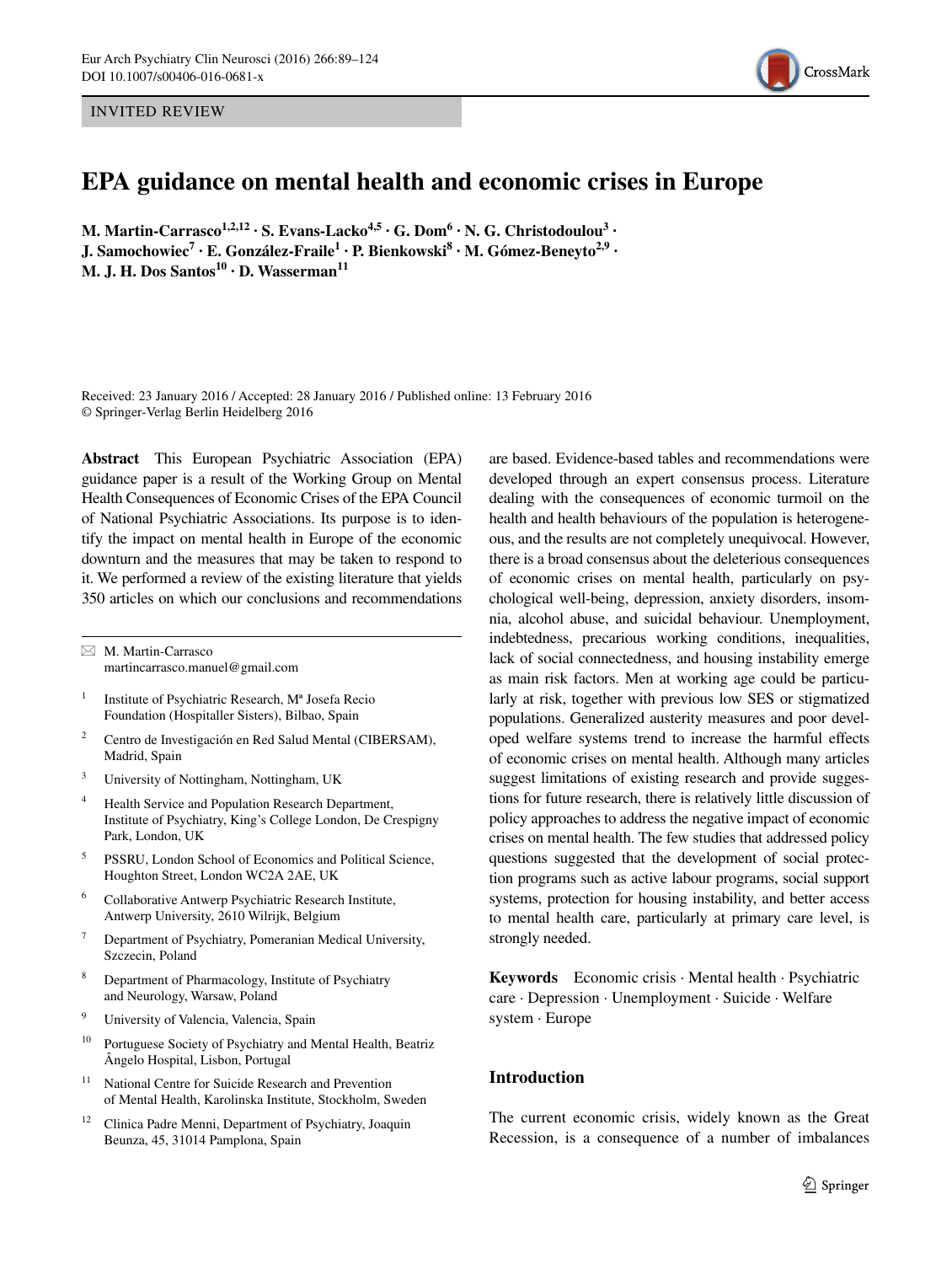INVITED REVIEW



# **EPA guidance on mental health and economic crises in Europe**

**M. Martin**-Carrasco<sup>1,2,12</sup> • S. Evans-Lacko<sup>4,5</sup> • G. Dom<sup>6</sup> • N. G. Christodoulou<sup>3</sup> • **J. Samochowiec<sup>7</sup> · E. González‑Fraile1 · P. Bienkowski8 · M. Gómez‑Beneyto2,9 · M. J. H. Dos Santos<sup>10</sup> · D. Wasserman11**

Received: 23 January 2016 / Accepted: 28 January 2016 / Published online: 13 February 2016 © Springer-Verlag Berlin Heidelberg 2016

**Abstract** This European Psychiatric Association (EPA) guidance paper is a result of the Working Group on Mental Health Consequences of Economic Crises of the EPA Council of National Psychiatric Associations. Its purpose is to identify the impact on mental health in Europe of the economic downturn and the measures that may be taken to respond to it. We performed a review of the existing literature that yields 350 articles on which our conclusions and recommendations

 $\boxtimes$  M. Martin-Carrasco martincarrasco.manuel@gmail.com

- <sup>1</sup> Institute of Psychiatric Research, Mª Josefa Recio Foundation (Hospitaller Sisters), Bilbao, Spain
- <sup>2</sup> Centro de Investigación en Red Salud Mental (CIBERSAM), Madrid, Spain
- <sup>3</sup> University of Nottingham, Nottingham, UK
- <sup>4</sup> Health Service and Population Research Department, Institute of Psychiatry, King's College London, De Crespigny Park, London, UK
- <sup>5</sup> PSSRU, London School of Economics and Political Science, Houghton Street, London WC2A 2AE, UK
- <sup>6</sup> Collaborative Antwerp Psychiatric Research Institute, Antwerp University, 2610 Wilrijk, Belgium
- <sup>7</sup> Department of Psychiatry, Pomeranian Medical University, Szczecin, Poland
- <sup>8</sup> Department of Pharmacology, Institute of Psychiatry and Neurology, Warsaw, Poland
- <sup>9</sup> University of Valencia, Valencia, Spain
- <sup>10</sup> Portuguese Society of Psychiatry and Mental Health, Beatriz Ângelo Hospital, Lisbon, Portugal
- <sup>11</sup> National Centre for Suicide Research and Prevention of Mental Health, Karolinska Institute, Stockholm, Sweden
- <sup>12</sup> Clinica Padre Menni, Department of Psychiatry, Joaquin Beunza, 45, 31014 Pamplona, Spain

are based. Evidence-based tables and recommendations were developed through an expert consensus process. Literature dealing with the consequences of economic turmoil on the health and health behaviours of the population is heterogeneous, and the results are not completely unequivocal. However, there is a broad consensus about the deleterious consequences of economic crises on mental health, particularly on psychological well-being, depression, anxiety disorders, insomnia, alcohol abuse, and suicidal behaviour. Unemployment, indebtedness, precarious working conditions, inequalities, lack of social connectedness, and housing instability emerge as main risk factors. Men at working age could be particularly at risk, together with previous low SES or stigmatized populations. Generalized austerity measures and poor developed welfare systems trend to increase the harmful effects of economic crises on mental health. Although many articles suggest limitations of existing research and provide suggestions for future research, there is relatively little discussion of policy approaches to address the negative impact of economic crises on mental health. The few studies that addressed policy questions suggested that the development of social protection programs such as active labour programs, social support systems, protection for housing instability, and better access to mental health care, particularly at primary care level, is strongly needed.

**Keywords** Economic crisis · Mental health · Psychiatric care · Depression · Unemployment · Suicide · Welfare system · Europe

## **Introduction**

The current economic crisis, widely known as the Great Recession, is a consequence of a number of imbalances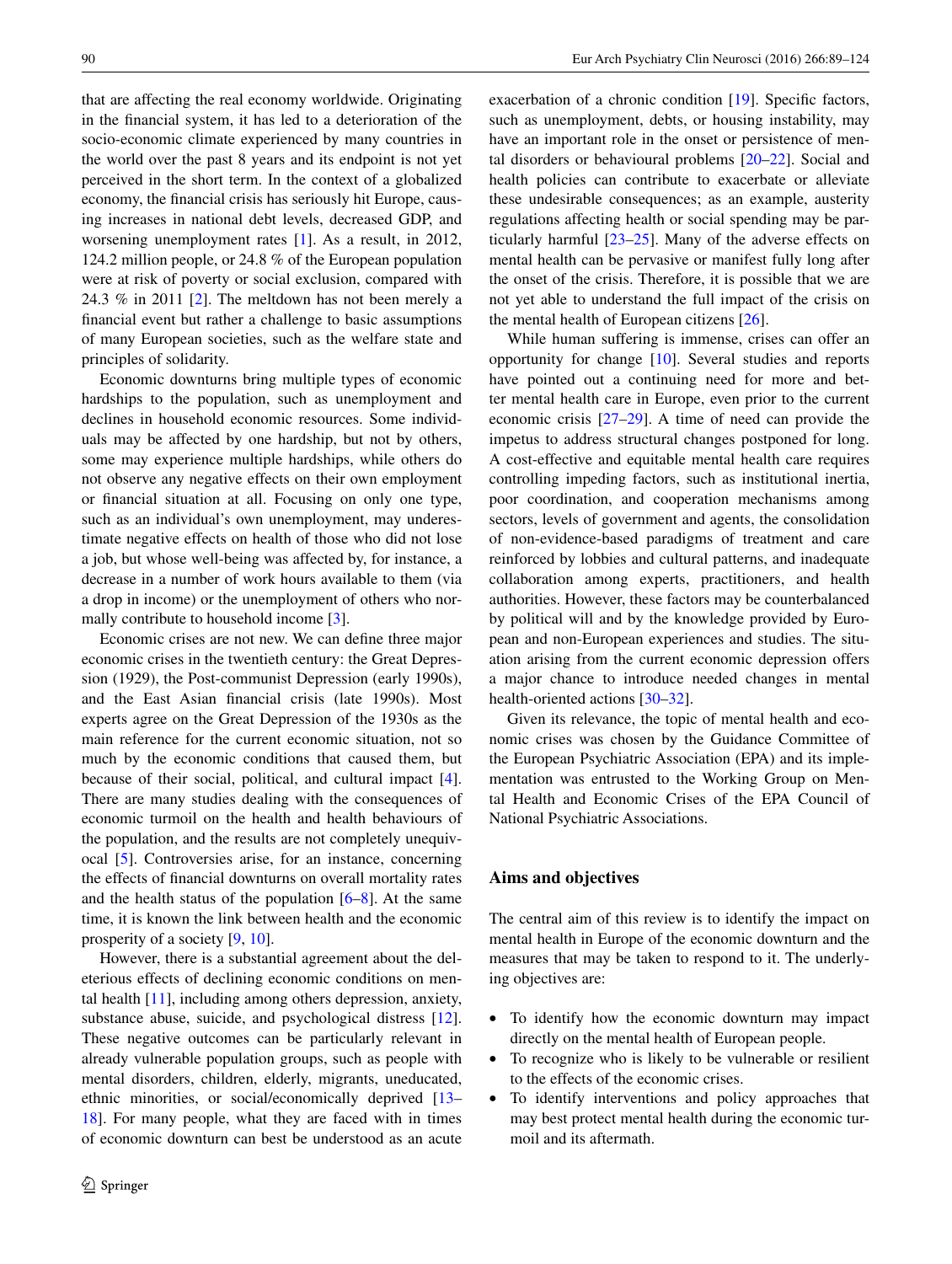that are affecting the real economy worldwide. Originating in the financial system, it has led to a deterioration of the socio-economic climate experienced by many countries in the world over the past 8 years and its endpoint is not yet perceived in the short term. In the context of a globalized economy, the financial crisis has seriously hit Europe, causing increases in national debt levels, decreased GDP, and worsening unemployment rates [\[1](#page-26-0)]. As a result, in 2012, 124.2 million people, or 24.8 % of the European population were at risk of poverty or social exclusion, compared with 24.3 % in 2011 [[2\]](#page-26-1). The meltdown has not been merely a financial event but rather a challenge to basic assumptions of many European societies, such as the welfare state and principles of solidarity.

Economic downturns bring multiple types of economic hardships to the population, such as unemployment and declines in household economic resources. Some individuals may be affected by one hardship, but not by others, some may experience multiple hardships, while others do not observe any negative effects on their own employment or financial situation at all. Focusing on only one type, such as an individual's own unemployment, may underestimate negative effects on health of those who did not lose a job, but whose well-being was affected by, for instance, a decrease in a number of work hours available to them (via a drop in income) or the unemployment of others who normally contribute to household income [\[3](#page-26-2)].

Economic crises are not new. We can define three major economic crises in the twentieth century: the Great Depression (1929), the Post-communist Depression (early 1990s), and the East Asian financial crisis (late 1990s). Most experts agree on the Great Depression of the 1930s as the main reference for the current economic situation, not so much by the economic conditions that caused them, but because of their social, political, and cultural impact [\[4](#page-26-3)]. There are many studies dealing with the consequences of economic turmoil on the health and health behaviours of the population, and the results are not completely unequivocal [\[5](#page-26-4)]. Controversies arise, for an instance, concerning the effects of financial downturns on overall mortality rates and the health status of the population  $[6–8]$  $[6–8]$  $[6–8]$ . At the same time, it is known the link between health and the economic prosperity of a society [\[9](#page-26-7), [10](#page-26-8)].

However, there is a substantial agreement about the deleterious effects of declining economic conditions on mental health [\[11](#page-26-9)], including among others depression, anxiety, substance abuse, suicide, and psychological distress [\[12](#page-26-10)]. These negative outcomes can be particularly relevant in already vulnerable population groups, such as people with mental disorders, children, elderly, migrants, uneducated, ethnic minorities, or social/economically deprived [\[13](#page-27-0)– [18](#page-27-1)]. For many people, what they are faced with in times of economic downturn can best be understood as an acute exacerbation of a chronic condition [\[19](#page-27-2)]. Specific factors, such as unemployment, debts, or housing instability, may have an important role in the onset or persistence of mental disorders or behavioural problems [[20–](#page-27-3)[22\]](#page-27-4). Social and health policies can contribute to exacerbate or alleviate these undesirable consequences; as an example, austerity regulations affecting health or social spending may be particularly harmful  $[23-25]$  $[23-25]$ . Many of the adverse effects on mental health can be pervasive or manifest fully long after the onset of the crisis. Therefore, it is possible that we are not yet able to understand the full impact of the crisis on the mental health of European citizens [[26\]](#page-27-7).

While human suffering is immense, crises can offer an opportunity for change [\[10](#page-26-8)]. Several studies and reports have pointed out a continuing need for more and better mental health care in Europe, even prior to the current economic crisis [\[27](#page-27-8)[–29](#page-27-9)]. A time of need can provide the impetus to address structural changes postponed for long. A cost-effective and equitable mental health care requires controlling impeding factors, such as institutional inertia, poor coordination, and cooperation mechanisms among sectors, levels of government and agents, the consolidation of non-evidence-based paradigms of treatment and care reinforced by lobbies and cultural patterns, and inadequate collaboration among experts, practitioners, and health authorities. However, these factors may be counterbalanced by political will and by the knowledge provided by European and non-European experiences and studies. The situation arising from the current economic depression offers a major chance to introduce needed changes in mental health-oriented actions [\[30](#page-27-10)[–32](#page-27-11)].

Given its relevance, the topic of mental health and economic crises was chosen by the Guidance Committee of the European Psychiatric Association (EPA) and its implementation was entrusted to the Working Group on Mental Health and Economic Crises of the EPA Council of National Psychiatric Associations.

## **Aims and objectives**

The central aim of this review is to identify the impact on mental health in Europe of the economic downturn and the measures that may be taken to respond to it. The underlying objectives are:

- • To identify how the economic downturn may impact directly on the mental health of European people.
- To recognize who is likely to be vulnerable or resilient to the effects of the economic crises.
- To identify interventions and policy approaches that may best protect mental health during the economic turmoil and its aftermath.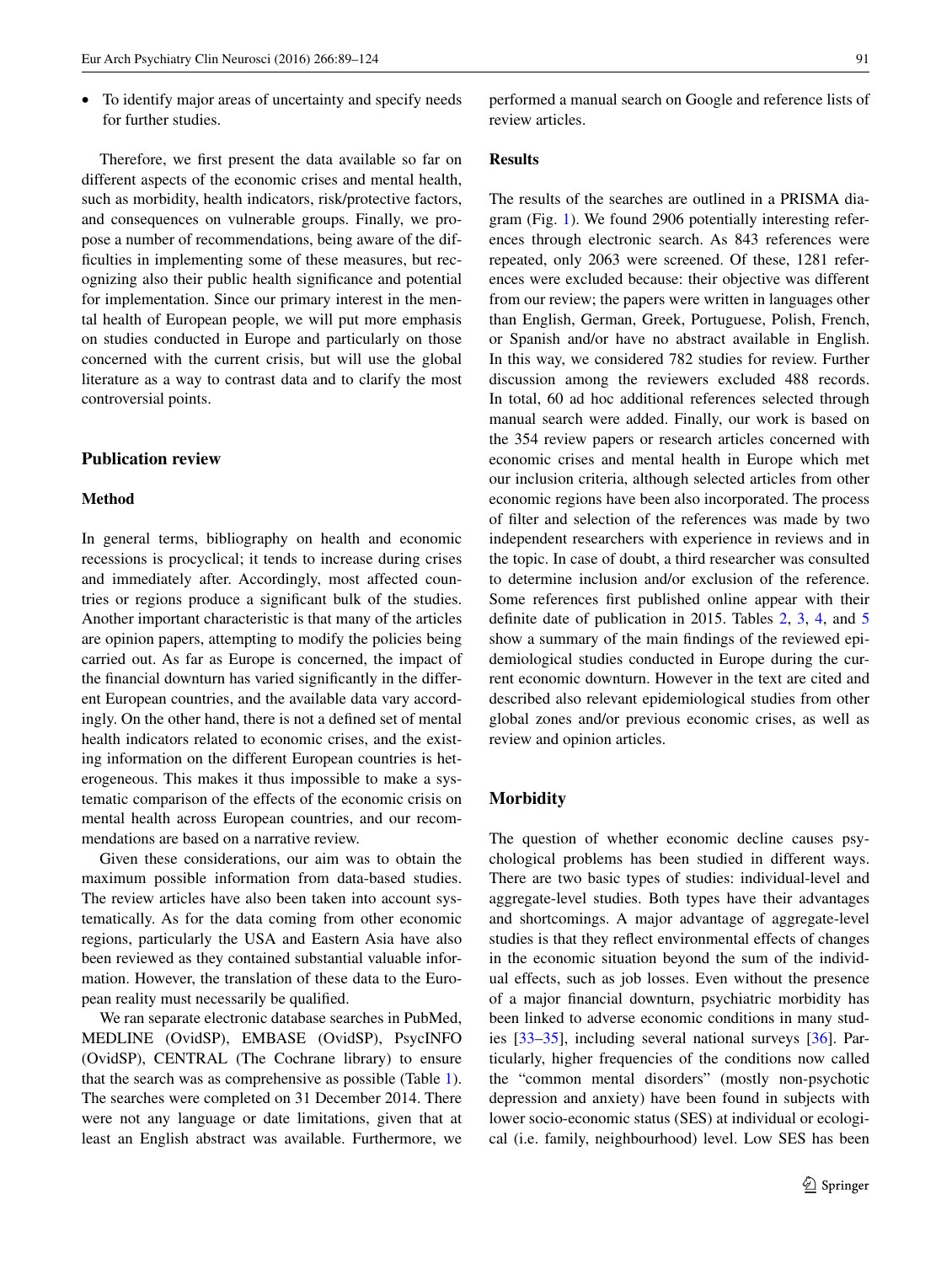To identify major areas of uncertainty and specify needs for further studies.

Therefore, we first present the data available so far on different aspects of the economic crises and mental health, such as morbidity, health indicators, risk/protective factors, and consequences on vulnerable groups. Finally, we propose a number of recommendations, being aware of the difficulties in implementing some of these measures, but recognizing also their public health significance and potential for implementation. Since our primary interest in the mental health of European people, we will put more emphasis on studies conducted in Europe and particularly on those concerned with the current crisis, but will use the global literature as a way to contrast data and to clarify the most controversial points.

## **Publication review**

# **Method**

In general terms, bibliography on health and economic recessions is procyclical; it tends to increase during crises and immediately after. Accordingly, most affected countries or regions produce a significant bulk of the studies. Another important characteristic is that many of the articles are opinion papers, attempting to modify the policies being carried out. As far as Europe is concerned, the impact of the financial downturn has varied significantly in the different European countries, and the available data vary accordingly. On the other hand, there is not a defined set of mental health indicators related to economic crises, and the existing information on the different European countries is heterogeneous. This makes it thus impossible to make a systematic comparison of the effects of the economic crisis on mental health across European countries, and our recommendations are based on a narrative review.

Given these considerations, our aim was to obtain the maximum possible information from data-based studies. The review articles have also been taken into account systematically. As for the data coming from other economic regions, particularly the USA and Eastern Asia have also been reviewed as they contained substantial valuable information. However, the translation of these data to the European reality must necessarily be qualified.

We ran separate electronic database searches in PubMed, MEDLINE (OvidSP), EMBASE (OvidSP), PsycINFO (OvidSP), CENTRAL (The Cochrane library) to ensure that the search was as comprehensive as possible (Table [1](#page-3-0)). The searches were completed on 31 December 2014. There were not any language or date limitations, given that at least an English abstract was available. Furthermore, we

## **Results**

The results of the searches are outlined in a PRISMA diagram (Fig. [1\)](#page-5-0). We found 2906 potentially interesting references through electronic search. As 843 references were repeated, only 2063 were screened. Of these, 1281 references were excluded because: their objective was different from our review; the papers were written in languages other than English, German, Greek, Portuguese, Polish, French, or Spanish and/or have no abstract available in English. In this way, we considered 782 studies for review. Further discussion among the reviewers excluded 488 records. In total, 60 ad hoc additional references selected through manual search were added. Finally, our work is based on the 354 review papers or research articles concerned with economic crises and mental health in Europe which met our inclusion criteria, although selected articles from other economic regions have been also incorporated. The process of filter and selection of the references was made by two independent researchers with experience in reviews and in the topic. In case of doubt, a third researcher was consulted to determine inclusion and/or exclusion of the reference. Some references first published online appear with their definite date of publication in 2015. Tables [2,](#page-6-0) [3,](#page-6-1) [4](#page-7-0), and [5](#page-8-0) show a summary of the main findings of the reviewed epidemiological studies conducted in Europe during the current economic downturn. However in the text are cited and described also relevant epidemiological studies from other global zones and/or previous economic crises, as well as review and opinion articles.

## **Morbidity**

The question of whether economic decline causes psychological problems has been studied in different ways. There are two basic types of studies: individual-level and aggregate-level studies. Both types have their advantages and shortcomings. A major advantage of aggregate-level studies is that they reflect environmental effects of changes in the economic situation beyond the sum of the individual effects, such as job losses. Even without the presence of a major financial downturn, psychiatric morbidity has been linked to adverse economic conditions in many studies [[33–](#page-27-12)[35\]](#page-27-13), including several national surveys [[36\]](#page-27-14). Particularly, higher frequencies of the conditions now called the "common mental disorders" (mostly non-psychotic depression and anxiety) have been found in subjects with lower socio-economic status (SES) at individual or ecological (i.e. family, neighbourhood) level. Low SES has been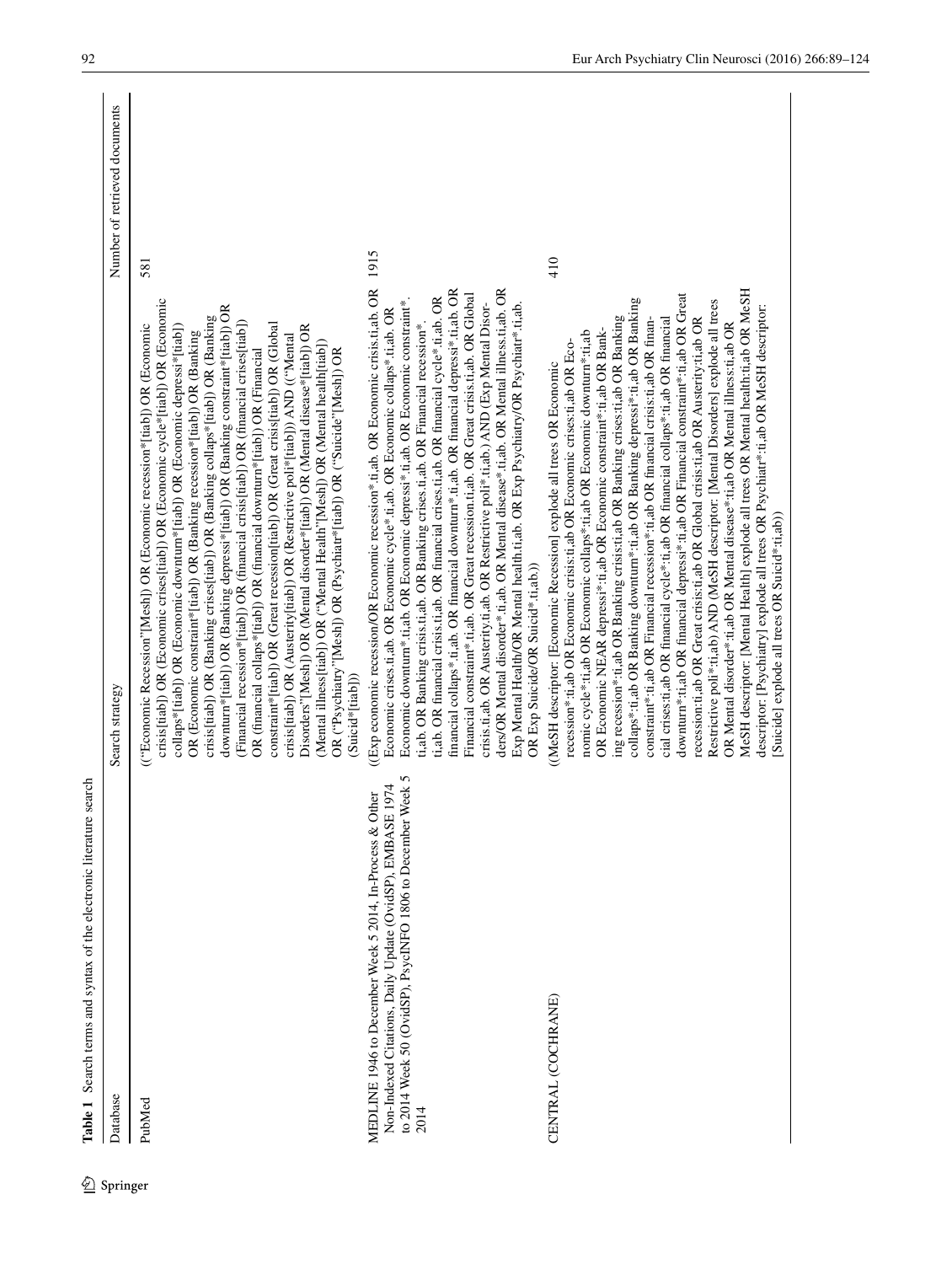| Database                                                                                                                                                                                       | Search strategy                                                                                                                                                                                                                                                                                                                                                                                                                                                                                                                                                                                                                                                                                                                                                                                                                                                                                                                                                                                                                                                                                                                                                                                                                                    | Number of retrieved documents |
|------------------------------------------------------------------------------------------------------------------------------------------------------------------------------------------------|----------------------------------------------------------------------------------------------------------------------------------------------------------------------------------------------------------------------------------------------------------------------------------------------------------------------------------------------------------------------------------------------------------------------------------------------------------------------------------------------------------------------------------------------------------------------------------------------------------------------------------------------------------------------------------------------------------------------------------------------------------------------------------------------------------------------------------------------------------------------------------------------------------------------------------------------------------------------------------------------------------------------------------------------------------------------------------------------------------------------------------------------------------------------------------------------------------------------------------------------------|-------------------------------|
| PubMed                                                                                                                                                                                         | crisis[tiab]) OR (Economic crises[tiab]) OR (Economic cycle*[tiab]) OR (Economic<br>downturn*[tiab]) OR (Banking depressi*[tiab]) OR (Banking constraint*[tiab]) OR<br>crisis[tiab]) OR (Banking crises[tiab]) OR (Banking collaps*[tiab]) OR (Banking<br>(Financial recession*[tiab]) OR (financial crisis[tiab]) OR (financial crises[tiab])<br>(("Economic Recession"[Mesh]) OR (Economic recession"[tiab]) OR (Economic<br>constraint*[tiab]) OR (Great recession[tiab]) OR (Great crisis[tiab]) OR (Global<br>Disorders"[Mesh]) OR (Mental disorder*[tiab]) OR (Mental disease*[tiab]) OR<br>collaps*[tiab]) OR (Economic downturn*[tiab]) OR (Economic depressi*[tiab]<br>OR (Economic constraint*[tiab]) OR (Banking recession*[tiab]) OR (Banking<br>crisis[tiab]) OR (Austerity[tiab]) OR (Restrictive poli*[tiab])) AND (("Mental<br>(Mental illness[tiab]) OR ("Mental Health"[Mesh]) OR (Mental health[tiab])<br>OR (financial collaps*[tiab]) OR (financial downturn*[tiab]) OR (Financial<br>OR ("Psychiatry" [Mesh]) OR (Psychiatr*[tiab]) OR ("Suicide" [Mesh]) OR<br>$(Suicid*[tiab])$                                                                                                                                            | 581                           |
| 5<br>Non-Indexed Citations, Daily Update (OvidSP), EMBASE 1974<br>to 2014 Week 50 (OvidSP), PsycINFO 1806 to December Week<br>MEDLINE 1946 to December Week 5 2014, In-Process & Other<br>2014 | (Exp economic recession/OR Economic recession* ti,ab. OR Economic crisis.ti,ab. OR<br>ders/OR Mental disorder* ti,ab. OR Mental disease* ti,ab. OR Mental illness ti,ab. OR<br>financial collaps*.ti,ab. OR financial downturn*.ti,ab. OR financial depressi*.ti,ab. OR<br>Financial constraint*.ti,ab. OR Great recession.ti,ab. OR Great crisis.ti,ab. OR Global<br>ti,ab. OR financial crisis.ti,ab. OR financial crises.ti,ab. OR financial cycle*.ti,ab. OR<br>Economic downturn* ti,ab. OR Economic depressi* ti,ab. OR Economic constraint*<br>crisis.ti,ab. OR Austerity.ti,ab. OR Restrictive poli*.ti,ab.) AND (Exp Mental Disor-<br>Exp Mental Health/OR Mental health.ti,ab. OR Exp Psychiatry/OR Psychiatr*.ti,ab<br>Economic crises ti,ab. OR Economic cycle* ti,ab. OR Economic collaps* ti,ab. OR<br>ti,ab. OR Banking crisis.ti,ab. OR Banking crises.ti,ab. OR Financial recession*<br>OR Exp Suicide/OR Suicid*.ti,ab.))                                                                                                                                                                                                                                                                                                        | 1915                          |
| CENTRAL (COCHRANE)                                                                                                                                                                             | MeSH descriptor: [Mental Health] explode all trees OR Mental health:ti,ab OR MeSH<br>downturn*:ti,ab OR financial depressi*:ti,ab OR Financial constraint*:ti,ab OR Great<br>collaps*:ti,ab OR Banking downturn*:ti,ab OR Banking depressi*:ti,ab OR Banking<br>Restrictive poli*:ti,ab) AND (MeSH descriptor: [Mental Disorders] explode all trees<br>descriptor: [Psychiatry] explode all trees OR Psychiatr*:ti,ab OR MeSH descriptor:<br>ing recession*:ti,ab OR Banking crisis:ti,ab OR Banking crises:ti,ab OR Banking<br>recession:ti,ab OR Great crisis:ti,ab OR Global crisis:ti,ab OR Austerity:ti,ab OR<br>constraint*:ti,ab OR Financial recession*:ti,ab OR financial crisis:ti,ab OR finan-<br>cial crises:ti,ab OR financial cycle*:ti,ab OR financial collaps*:ti,ab OR financial<br>OR Mental disorder*:ti,ab OR Mental disease*:ti,ab OR Mental illness:ti,ab OR<br>OR Economic NEAR depressi*:ti,ab OR Economic constraint*:ti,ab OR Bank-<br>nomic cycle*:ti,ab OR Economic collaps*:ti,ab OR Economic downturn*:ti,ab<br>recession*:ti,ab OR Economic crisis:ti,ab OR Economic crises:ti,ab OR Eco-<br>(MeSH descriptor: [Economic Recession] explode all trees OR Economic<br>[Suicide] explode all trees OR Suicid*:ti,ab)) | 410                           |

<span id="page-3-0"></span> $\underline{\mathcal{D}}$  Springer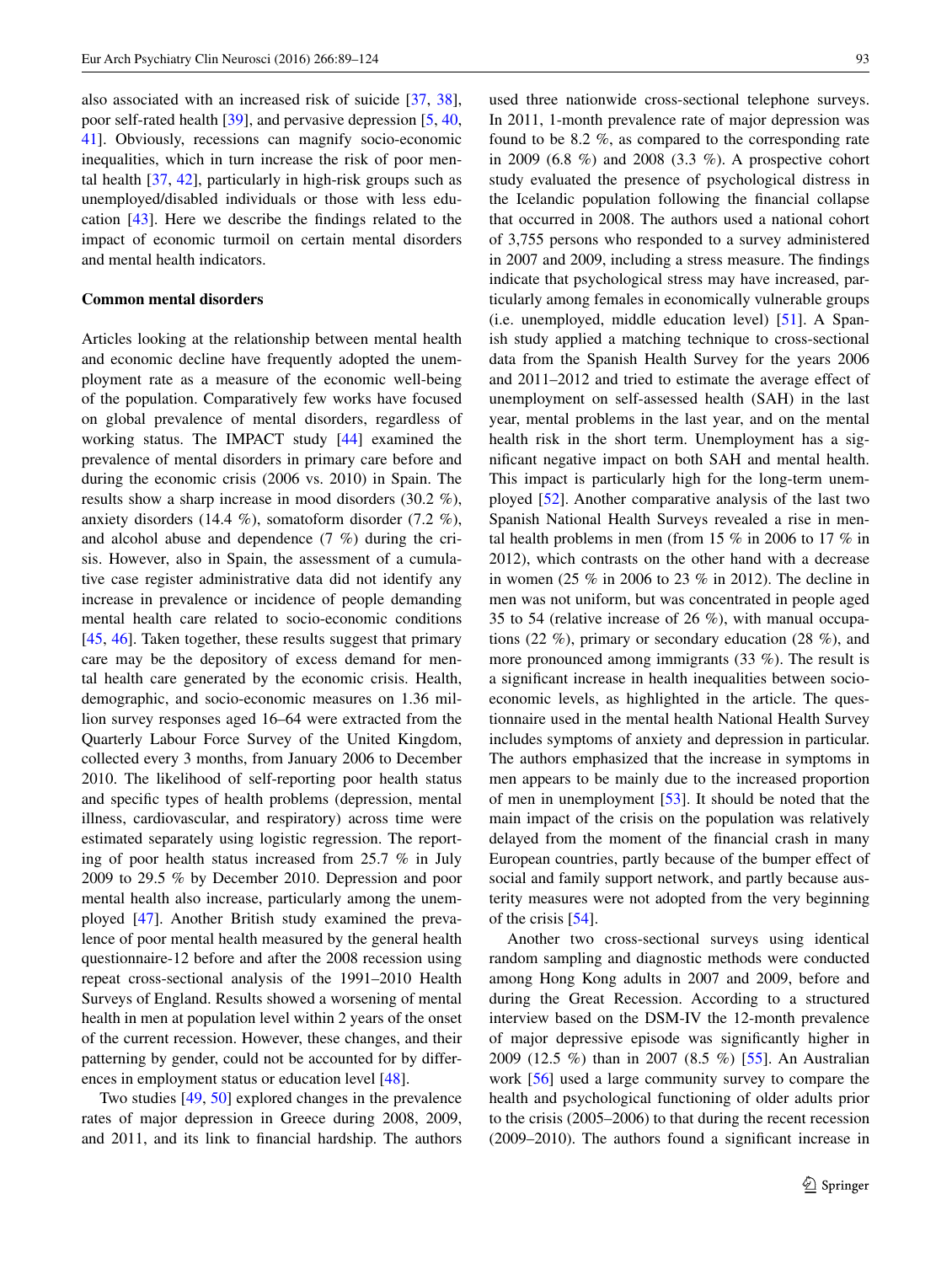also associated with an increased risk of suicide [\[37](#page-27-15), [38](#page-27-16)], poor self-rated health [\[39](#page-27-17)], and pervasive depression [[5,](#page-26-4) [40,](#page-27-18) [41](#page-27-19)]. Obviously, recessions can magnify socio-economic inequalities, which in turn increase the risk of poor mental health [\[37](#page-27-15), [42\]](#page-27-20), particularly in high-risk groups such as unemployed/disabled individuals or those with less education [\[43](#page-27-21)]. Here we describe the findings related to the impact of economic turmoil on certain mental disorders and mental health indicators.

## **Common mental disorders**

Articles looking at the relationship between mental health and economic decline have frequently adopted the unemployment rate as a measure of the economic well-being of the population. Comparatively few works have focused on global prevalence of mental disorders, regardless of working status. The IMPACT study [[44\]](#page-27-22) examined the prevalence of mental disorders in primary care before and during the economic crisis (2006 vs. 2010) in Spain. The results show a sharp increase in mood disorders (30.2 %), anxiety disorders (14.4 %), somatoform disorder (7.2 %), and alcohol abuse and dependence (7 %) during the crisis. However, also in Spain, the assessment of a cumulative case register administrative data did not identify any increase in prevalence or incidence of people demanding mental health care related to socio-economic conditions [\[45](#page-27-23), [46\]](#page-27-24). Taken together, these results suggest that primary care may be the depository of excess demand for mental health care generated by the economic crisis. Health, demographic, and socio-economic measures on 1.36 million survey responses aged 16–64 were extracted from the Quarterly Labour Force Survey of the United Kingdom, collected every 3 months, from January 2006 to December 2010. The likelihood of self-reporting poor health status and specific types of health problems (depression, mental illness, cardiovascular, and respiratory) across time were estimated separately using logistic regression. The reporting of poor health status increased from 25.7 % in July 2009 to 29.5 % by December 2010. Depression and poor mental health also increase, particularly among the unemployed [\[47](#page-27-25)]. Another British study examined the prevalence of poor mental health measured by the general health questionnaire-12 before and after the 2008 recession using repeat cross-sectional analysis of the 1991–2010 Health Surveys of England. Results showed a worsening of mental health in men at population level within 2 years of the onset of the current recession. However, these changes, and their patterning by gender, could not be accounted for by differences in employment status or education level [[48\]](#page-27-26).

Two studies [[49,](#page-27-27) [50\]](#page-27-28) explored changes in the prevalence rates of major depression in Greece during 2008, 2009, and 2011, and its link to financial hardship. The authors

used three nationwide cross-sectional telephone surveys. In 2011, 1-month prevalence rate of major depression was found to be 8.2 %, as compared to the corresponding rate in 2009 (6.8 %) and 2008 (3.3 %). A prospective cohort study evaluated the presence of psychological distress in the Icelandic population following the financial collapse that occurred in 2008. The authors used a national cohort of 3,755 persons who responded to a survey administered in 2007 and 2009, including a stress measure. The findings indicate that psychological stress may have increased, particularly among females in economically vulnerable groups (i.e. unemployed, middle education level) [\[51](#page-28-0)]. A Spanish study applied a matching technique to cross-sectional data from the Spanish Health Survey for the years 2006 and 2011–2012 and tried to estimate the average effect of unemployment on self-assessed health (SAH) in the last year, mental problems in the last year, and on the mental health risk in the short term. Unemployment has a significant negative impact on both SAH and mental health. This impact is particularly high for the long-term unemployed [\[52](#page-28-1)]. Another comparative analysis of the last two Spanish National Health Surveys revealed a rise in mental health problems in men (from 15 % in 2006 to 17 % in 2012), which contrasts on the other hand with a decrease in women (25 % in 2006 to 23 % in 2012). The decline in men was not uniform, but was concentrated in people aged 35 to 54 (relative increase of 26 %), with manual occupations (22 %), primary or secondary education (28 %), and more pronounced among immigrants (33 %). The result is a significant increase in health inequalities between socioeconomic levels, as highlighted in the article. The questionnaire used in the mental health National Health Survey includes symptoms of anxiety and depression in particular. The authors emphasized that the increase in symptoms in men appears to be mainly due to the increased proportion of men in unemployment [\[53](#page-28-2)]. It should be noted that the main impact of the crisis on the population was relatively delayed from the moment of the financial crash in many European countries, partly because of the bumper effect of social and family support network, and partly because austerity measures were not adopted from the very beginning of the crisis [[54\]](#page-28-3).

Another two cross-sectional surveys using identical random sampling and diagnostic methods were conducted among Hong Kong adults in 2007 and 2009, before and during the Great Recession. According to a structured interview based on the DSM-IV the 12-month prevalence of major depressive episode was significantly higher in 2009 (12.5 %) than in 2007 (8.5 %) [\[55](#page-28-4)]. An Australian work [\[56](#page-28-5)] used a large community survey to compare the health and psychological functioning of older adults prior to the crisis (2005–2006) to that during the recent recession (2009–2010). The authors found a significant increase in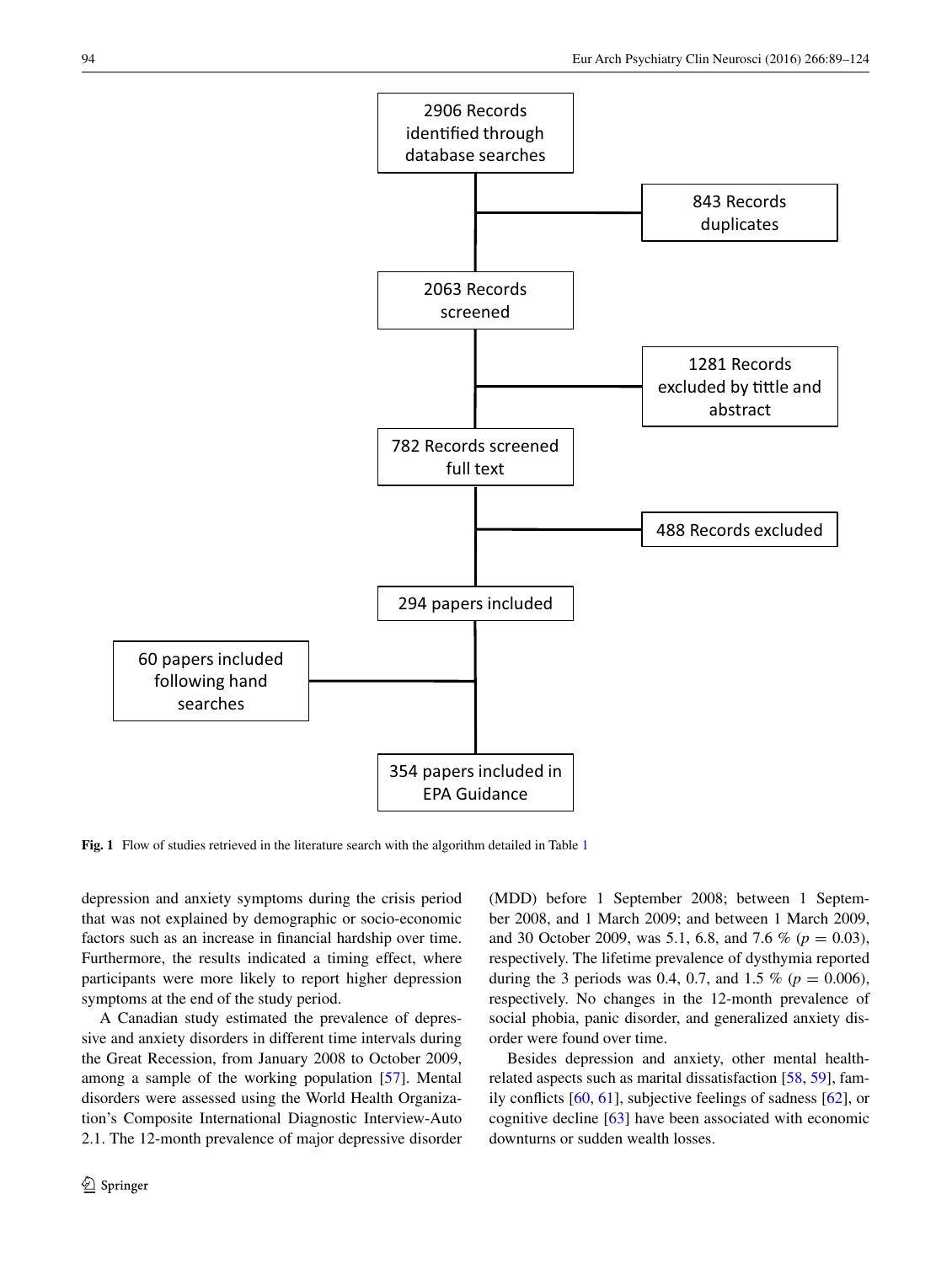

<span id="page-5-0"></span>**Fig. 1** Flow of studies retrieved in the literature search with the algorithm detailed in Table [1](#page-3-0)

depression and anxiety symptoms during the crisis period that was not explained by demographic or socio-economic factors such as an increase in financial hardship over time. Furthermore, the results indicated a timing effect, where participants were more likely to report higher depression symptoms at the end of the study period.

A Canadian study estimated the prevalence of depressive and anxiety disorders in different time intervals during the Great Recession, from January 2008 to October 2009, among a sample of the working population [[57\]](#page-28-6). Mental disorders were assessed using the World Health Organization's Composite International Diagnostic Interview-Auto 2.1. The 12-month prevalence of major depressive disorder (MDD) before 1 September 2008; between 1 September 2008, and 1 March 2009; and between 1 March 2009, and 30 October 2009, was 5.1, 6.8, and 7.6 % (*p* = 0.03), respectively. The lifetime prevalence of dysthymia reported during the 3 periods was 0.4, 0.7, and 1.5 % ( $p = 0.006$ ), respectively. No changes in the 12-month prevalence of social phobia, panic disorder, and generalized anxiety disorder were found over time.

Besides depression and anxiety, other mental healthrelated aspects such as marital dissatisfaction [\[58](#page-28-7), [59](#page-28-8)], family conflicts [\[60](#page-28-9), [61](#page-28-10)], subjective feelings of sadness [\[62](#page-28-11)], or cognitive decline [\[63](#page-28-12)] have been associated with economic downturns or sudden wealth losses.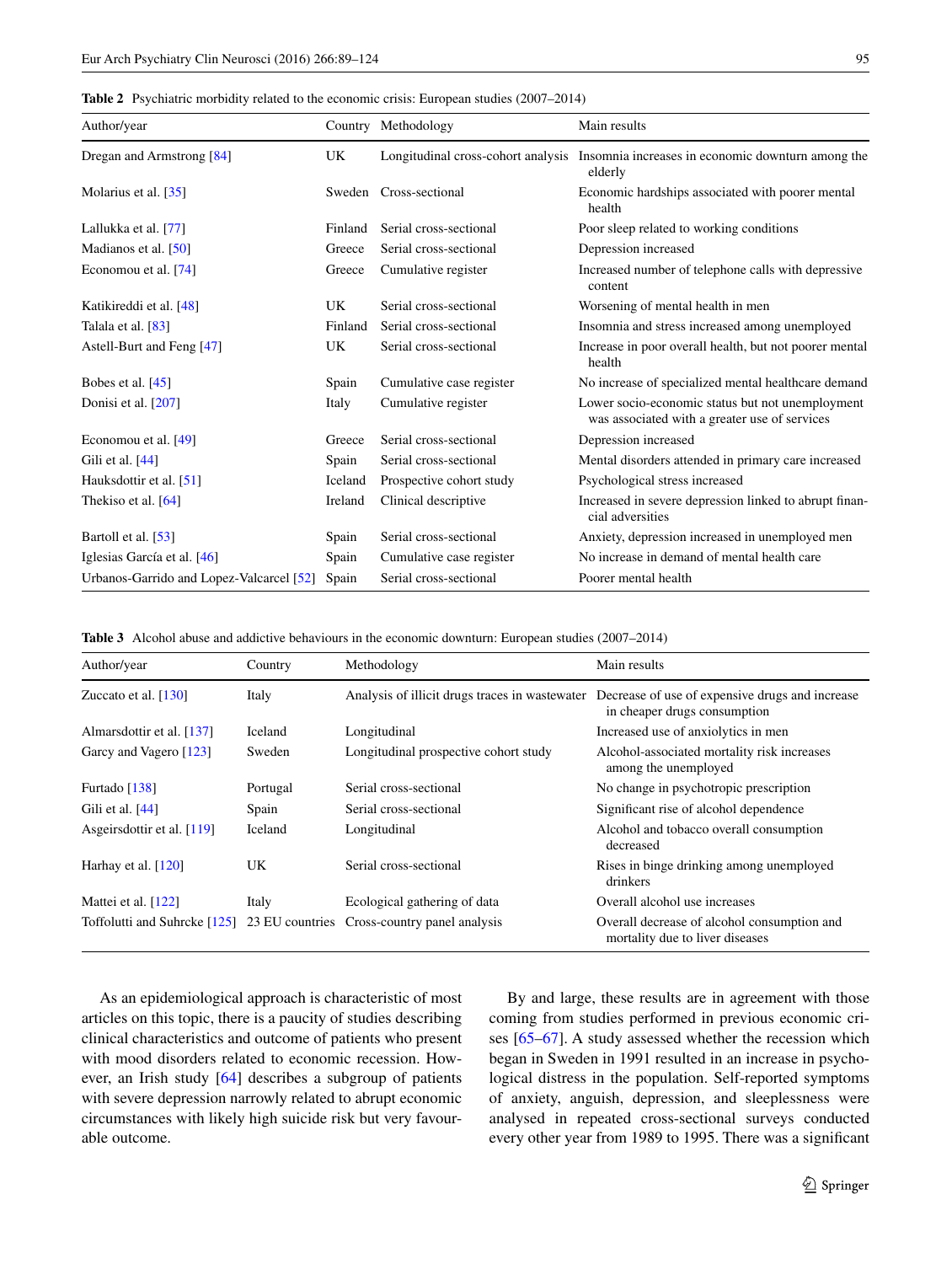<span id="page-6-0"></span>**Table 2** Psychiatric morbidity related to the economic crisis: European studies (2007–2014)

| Author/year                              |         | Country Methodology      | Main results                                                                                      |
|------------------------------------------|---------|--------------------------|---------------------------------------------------------------------------------------------------|
| Dregan and Armstrong [84]                | UK      |                          | Longitudinal cross-cohort analysis Insomnia increases in economic downturn among the<br>elderly   |
| Molarius et al. [35]                     | Sweden  | Cross-sectional          | Economic hardships associated with poorer mental<br>health                                        |
| Lallukka et al. [77]                     | Finland | Serial cross-sectional   | Poor sleep related to working conditions                                                          |
| Madianos et al. [50]                     | Greece  | Serial cross-sectional   | Depression increased                                                                              |
| Economou et al. [74]                     | Greece  | Cumulative register      | Increased number of telephone calls with depressive<br>content                                    |
| Katikireddi et al. [48]                  | UK      | Serial cross-sectional   | Worsening of mental health in men                                                                 |
| Talala et al. [83]                       | Finland | Serial cross-sectional   | Insomnia and stress increased among unemployed                                                    |
| Astell-Burt and Feng [47]                | UK      | Serial cross-sectional   | Increase in poor overall health, but not poorer mental<br>health                                  |
| Bobes et al. $[45]$                      | Spain   | Cumulative case register | No increase of specialized mental healthcare demand                                               |
| Donisi et al. [207]                      | Italy   | Cumulative register      | Lower socio-economic status but not unemployment<br>was associated with a greater use of services |
| Economou et al. [49]                     | Greece  | Serial cross-sectional   | Depression increased                                                                              |
| Gili et al. $[44]$                       | Spain   | Serial cross-sectional   | Mental disorders attended in primary care increased                                               |
| Hauksdottir et al. [51]                  | Iceland | Prospective cohort study | Psychological stress increased                                                                    |
| Thekiso et al. [64]                      | Ireland | Clinical descriptive     | Increased in severe depression linked to abrupt finan-<br>cial adversities                        |
| Bartoll et al. [53]                      | Spain   | Serial cross-sectional   | Anxiety, depression increased in unemployed men                                                   |
| Iglesias García et al. [46]              | Spain   | Cumulative case register | No increase in demand of mental health care                                                       |
| Urbanos-Garrido and Lopez-Valcarcel [52] | Spain   | Serial cross-sectional   | Poorer mental health                                                                              |

<span id="page-6-1"></span>**Table 3** Alcohol abuse and addictive behaviours in the economic downturn: European studies (2007–2014)

| Author/year                                  | Country  | Methodology                                    | Main results                                                                    |
|----------------------------------------------|----------|------------------------------------------------|---------------------------------------------------------------------------------|
| Zuccato et al. $[130]$                       | Italy    | Analysis of illicit drugs traces in wastewater | Decrease of use of expensive drugs and increase<br>in cheaper drugs consumption |
| Almarsdottir et al. [137]                    | Iceland  | Longitudinal                                   | Increased use of anxiolytics in men                                             |
| Garcy and Vagero [123]                       | Sweden   | Longitudinal prospective cohort study          | Alcohol-associated mortality risk increases<br>among the unemployed             |
| Furtado [138]                                | Portugal | Serial cross-sectional                         | No change in psychotropic prescription                                          |
| Gili et al. $[44]$                           | Spain    | Serial cross-sectional                         | Significant rise of alcohol dependence                                          |
| Asgeirsdottir et al. [119]                   | Iceland  | Longitudinal                                   | Alcohol and tobacco overall consumption<br>decreased                            |
| Harhay et al. $[120]$                        | UK       | Serial cross-sectional                         | Rises in binge drinking among unemployed<br>drinkers                            |
| Mattei et al. [122]                          | Italy    | Ecological gathering of data                   | Overall alcohol use increases                                                   |
| Toffolutti and Suhrcke [125] 23 EU countries |          | Cross-country panel analysis                   | Overall decrease of alcohol consumption and<br>mortality due to liver diseases  |

As an epidemiological approach is characteristic of most articles on this topic, there is a paucity of studies describing clinical characteristics and outcome of patients who present with mood disorders related to economic recession. However, an Irish study [\[64](#page-28-13)] describes a subgroup of patients with severe depression narrowly related to abrupt economic circumstances with likely high suicide risk but very favourable outcome.

By and large, these results are in agreement with those coming from studies performed in previous economic crises [[65–](#page-28-14)[67\]](#page-28-15). A study assessed whether the recession which began in Sweden in 1991 resulted in an increase in psychological distress in the population. Self-reported symptoms of anxiety, anguish, depression, and sleeplessness were analysed in repeated cross-sectional surveys conducted every other year from 1989 to 1995. There was a significant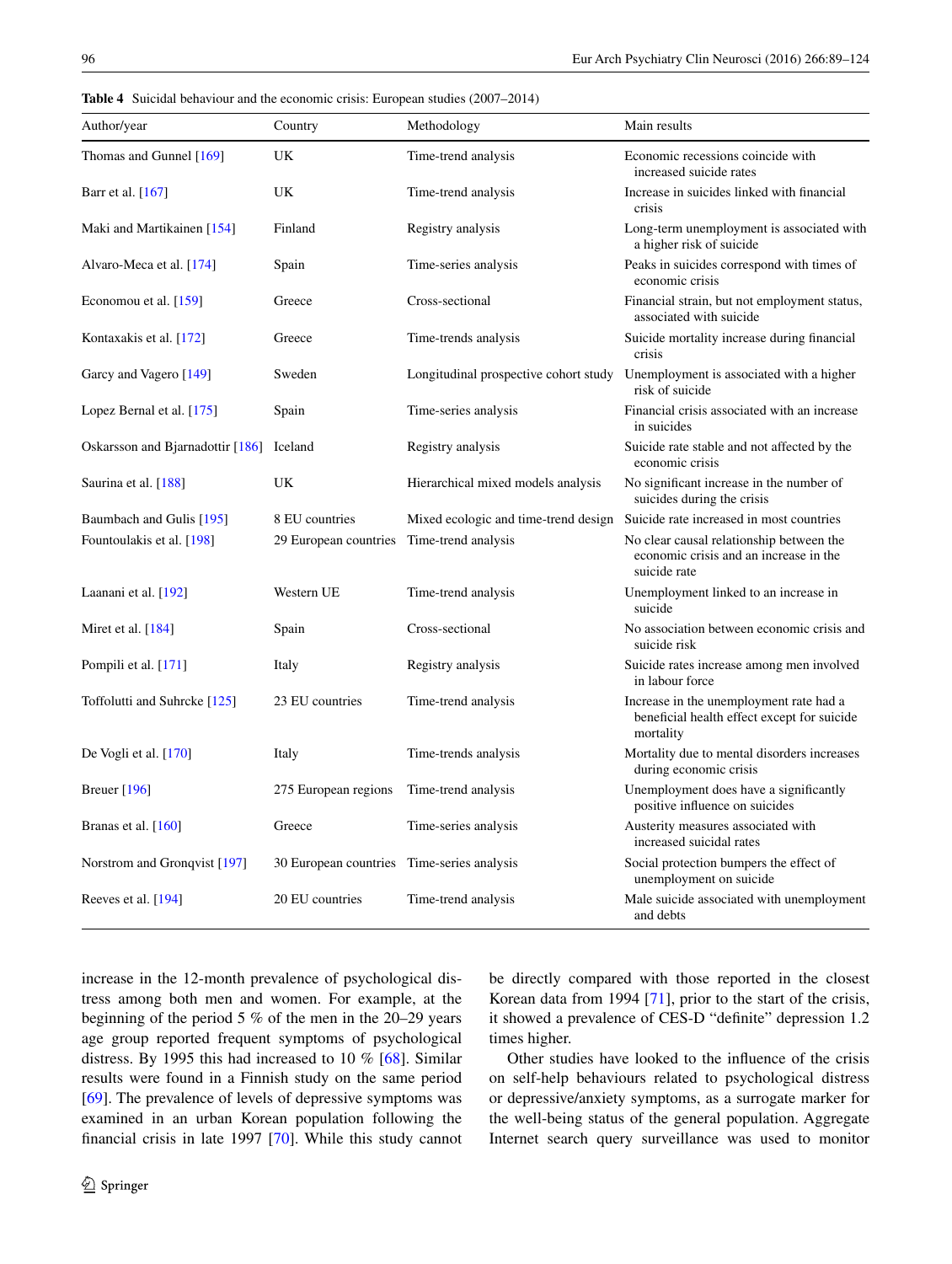| <b>rable +</b> Suicidal behaviour and the economic crisis. European studies (2007–2014) |                                            |                                       |                                                                                                     |
|-----------------------------------------------------------------------------------------|--------------------------------------------|---------------------------------------|-----------------------------------------------------------------------------------------------------|
| Author/year                                                                             | Country                                    | Methodology                           | Main results                                                                                        |
| Thomas and Gunnel [169]                                                                 | UK                                         | Time-trend analysis                   | Economic recessions coincide with<br>increased suicide rates                                        |
| Barr et al. [167]                                                                       | UK                                         | Time-trend analysis                   | Increase in suicides linked with financial<br>crisis                                                |
| Maki and Martikainen [154]                                                              | Finland                                    | Registry analysis                     | Long-term unemployment is associated with<br>a higher risk of suicide                               |
| Alvaro-Meca et al. [174]                                                                | Spain                                      | Time-series analysis                  | Peaks in suicides correspond with times of<br>economic crisis                                       |
| Economou et al. $[159]$                                                                 | Greece                                     | Cross-sectional                       | Financial strain, but not employment status,<br>associated with suicide                             |
| Kontaxakis et al. [172]                                                                 | Greece                                     | Time-trends analysis                  | Suicide mortality increase during financial<br>crisis                                               |
| Garcy and Vagero [149]                                                                  | Sweden                                     | Longitudinal prospective cohort study | Unemployment is associated with a higher<br>risk of suicide                                         |
| Lopez Bernal et al. [175]                                                               | Spain                                      | Time-series analysis                  | Financial crisis associated with an increase<br>in suicides                                         |
| Oskarsson and Bjarnadottir [186] Iceland                                                |                                            | Registry analysis                     | Suicide rate stable and not affected by the<br>economic crisis                                      |
| Saurina et al. [188]                                                                    | UK                                         | Hierarchical mixed models analysis    | No significant increase in the number of<br>suicides during the crisis                              |
| Baumbach and Gulis [195]                                                                | 8 EU countries                             |                                       | Mixed ecologic and time-trend design Suicide rate increased in most countries                       |
| Fountoulakis et al. [198]                                                               | 29 European countries                      | Time-trend analysis                   | No clear causal relationship between the<br>economic crisis and an increase in the<br>suicide rate  |
| Laanani et al. [192]                                                                    | Western UE                                 | Time-trend analysis                   | Unemployment linked to an increase in<br>suicide                                                    |
| Miret et al. $[184]$                                                                    | Spain                                      | Cross-sectional                       | No association between economic crisis and<br>suicide risk                                          |
| Pompili et al. [171]                                                                    | Italy                                      | Registry analysis                     | Suicide rates increase among men involved<br>in labour force                                        |
| Toffolutti and Suhrcke [125]                                                            | 23 EU countries                            | Time-trend analysis                   | Increase in the unemployment rate had a<br>beneficial health effect except for suicide<br>mortality |
| De Vogli et al. $[170]$                                                                 | Italy                                      | Time-trends analysis                  | Mortality due to mental disorders increases<br>during economic crisis                               |
| Breuer $[196]$                                                                          | 275 European regions                       | Time-trend analysis                   | Unemployment does have a significantly<br>positive influence on suicides                            |
| Branas et al. $[160]$                                                                   | Greece                                     | Time-series analysis                  | Austerity measures associated with<br>increased suicidal rates                                      |
| Norstrom and Gronqvist [197]                                                            | 30 European countries Time-series analysis |                                       | Social protection bumpers the effect of<br>unemployment on suicide                                  |
| Reeves et al. [194]                                                                     | 20 EU countries                            | Time-trend analysis                   | Male suicide associated with unemployment<br>and debts                                              |

<span id="page-7-0"></span>**Table 4** Suicidal behaviour and the economic crisis: European studies (2007–2014)

increase in the 12-month prevalence of psychological distress among both men and women. For example, at the beginning of the period 5 % of the men in the 20–29 years age group reported frequent symptoms of psychological distress. By 1995 this had increased to 10 % [[68\]](#page-28-20). Similar results were found in a Finnish study on the same period [\[69](#page-28-21)]. The prevalence of levels of depressive symptoms was examined in an urban Korean population following the financial crisis in late 1997 [\[70](#page-28-22)]. While this study cannot be directly compared with those reported in the closest Korean data from 1994 [[71\]](#page-28-23), prior to the start of the crisis, it showed a prevalence of CES-D "definite" depression 1.2 times higher.

Other studies have looked to the influence of the crisis on self-help behaviours related to psychological distress or depressive/anxiety symptoms, as a surrogate marker for the well-being status of the general population. Aggregate Internet search query surveillance was used to monitor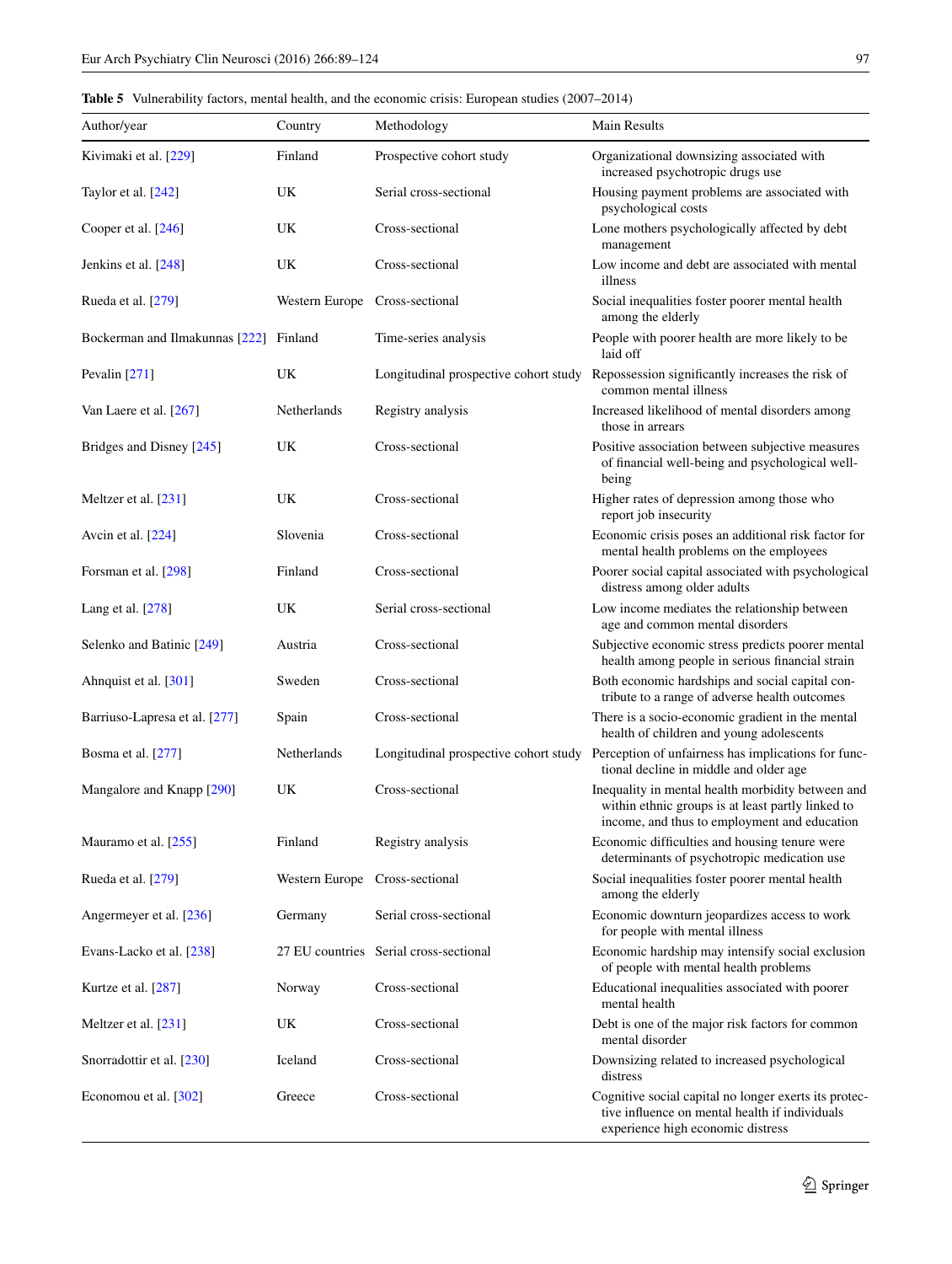# <span id="page-8-0"></span>**Table 5** Vulnerability factors, mental health, and the economic crisis: European studies (2007–2014)

| Author/year                    | Country                        | Methodology                            | Main Results                                                                                                                                           |
|--------------------------------|--------------------------------|----------------------------------------|--------------------------------------------------------------------------------------------------------------------------------------------------------|
| Kivimaki et al. [229]          | Finland                        | Prospective cohort study               | Organizational downsizing associated with<br>increased psychotropic drugs use                                                                          |
| Taylor et al. [242]            | UK                             | Serial cross-sectional                 | Housing payment problems are associated with<br>psychological costs                                                                                    |
| Cooper et al. [246]            | UK                             | Cross-sectional                        | Lone mothers psychologically affected by debt<br>management                                                                                            |
| Jenkins et al. [248]           | UK                             | Cross-sectional                        | Low income and debt are associated with mental<br>illness                                                                                              |
| Rueda et al. [279]             | Western Europe Cross-sectional |                                        | Social inequalities foster poorer mental health<br>among the elderly                                                                                   |
| Bockerman and Ilmakunnas [222] | Finland                        | Time-series analysis                   | People with poorer health are more likely to be<br>laid off                                                                                            |
| Pevalin $[271]$                | UK                             |                                        | Longitudinal prospective cohort study Repossession significantly increases the risk of<br>common mental illness                                        |
| Van Laere et al. [267]         | Netherlands                    | Registry analysis                      | Increased likelihood of mental disorders among<br>those in arrears                                                                                     |
| Bridges and Disney [245]       | UK                             | Cross-sectional                        | Positive association between subjective measures<br>of financial well-being and psychological well-<br>being                                           |
| Meltzer et al. $[231]$         | UK                             | Cross-sectional                        | Higher rates of depression among those who<br>report job insecurity                                                                                    |
| Avcin et al. [224]             | Slovenia                       | Cross-sectional                        | Economic crisis poses an additional risk factor for<br>mental health problems on the employees                                                         |
| Forsman et al. [298]           | Finland                        | Cross-sectional                        | Poorer social capital associated with psychological<br>distress among older adults                                                                     |
| Lang et al. $[278]$            | UK                             | Serial cross-sectional                 | Low income mediates the relationship between<br>age and common mental disorders                                                                        |
| Selenko and Batinic [249]      | Austria                        | Cross-sectional                        | Subjective economic stress predicts poorer mental<br>health among people in serious financial strain                                                   |
| Ahnquist et al. [301]          | Sweden                         | Cross-sectional                        | Both economic hardships and social capital con-<br>tribute to a range of adverse health outcomes                                                       |
| Barriuso-Lapresa et al. [277]  | Spain                          | Cross-sectional                        | There is a socio-economic gradient in the mental<br>health of children and young adolescents                                                           |
| Bosma et al. [277]             | Netherlands                    | Longitudinal prospective cohort study  | Perception of unfairness has implications for func-<br>tional decline in middle and older age                                                          |
| Mangalore and Knapp [290]      | UK                             | Cross-sectional                        | Inequality in mental health morbidity between and<br>within ethnic groups is at least partly linked to<br>income, and thus to employment and education |
| Mauramo et al. [255]           | Finland                        | Registry analysis                      | Economic difficulties and housing tenure were<br>determinants of psychotropic medication use                                                           |
| Rueda et al. [279]             | Western Europe Cross-sectional |                                        | Social inequalities foster poorer mental health<br>among the elderly                                                                                   |
| Angermeyer et al. [236]        | Germany                        | Serial cross-sectional                 | Economic downturn jeopardizes access to work<br>for people with mental illness                                                                         |
| Evans-Lacko et al. [238]       |                                | 27 EU countries Serial cross-sectional | Economic hardship may intensify social exclusion<br>of people with mental health problems                                                              |
| Kurtze et al. [287]            | Norway                         | Cross-sectional                        | Educational inequalities associated with poorer<br>mental health                                                                                       |
| Meltzer et al. [231]           | UK                             | Cross-sectional                        | Debt is one of the major risk factors for common<br>mental disorder                                                                                    |
| Snorradottir et al. [230]      | Iceland                        | Cross-sectional                        | Downsizing related to increased psychological<br>distress                                                                                              |
| Economou et al. [302]          | Greece                         | Cross-sectional                        | Cognitive social capital no longer exerts its protec-<br>tive influence on mental health if individuals<br>experience high economic distress           |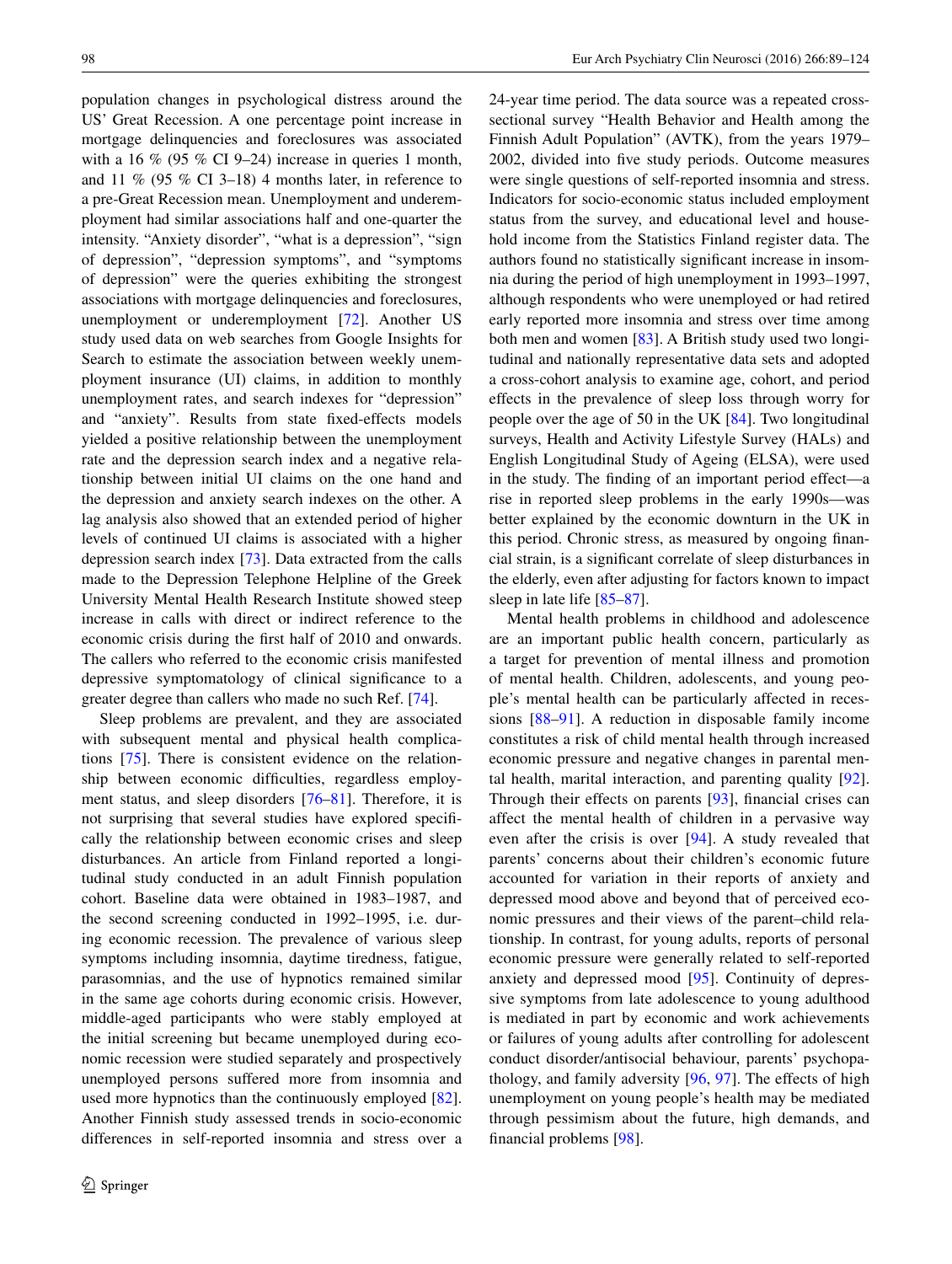population changes in psychological distress around the US' Great Recession. A one percentage point increase in mortgage delinquencies and foreclosures was associated with a 16  $\%$  (95  $\%$  CI 9–24) increase in queries 1 month, and 11 % (95 % CI 3–18) 4 months later, in reference to a pre-Great Recession mean. Unemployment and underemployment had similar associations half and one-quarter the intensity. "Anxiety disorder", "what is a depression", "sign of depression", "depression symptoms", and "symptoms of depression" were the queries exhibiting the strongest associations with mortgage delinquencies and foreclosures, unemployment or underemployment [\[72](#page-28-24)]. Another US study used data on web searches from Google Insights for Search to estimate the association between weekly unemployment insurance (UI) claims, in addition to monthly unemployment rates, and search indexes for "depression" and "anxiety". Results from state fixed-effects models yielded a positive relationship between the unemployment rate and the depression search index and a negative relationship between initial UI claims on the one hand and the depression and anxiety search indexes on the other. A lag analysis also showed that an extended period of higher levels of continued UI claims is associated with a higher depression search index [\[73](#page-28-25)]. Data extracted from the calls made to the Depression Telephone Helpline of the Greek University Mental Health Research Institute showed steep increase in calls with direct or indirect reference to the economic crisis during the first half of 2010 and onwards. The callers who referred to the economic crisis manifested depressive symptomatology of clinical significance to a greater degree than callers who made no such Ref. [[74\]](#page-28-18).

Sleep problems are prevalent, and they are associated with subsequent mental and physical health complications [[75\]](#page-28-26). There is consistent evidence on the relationship between economic difficulties, regardless employment status, and sleep disorders [[76–](#page-28-27)[81\]](#page-28-28). Therefore, it is not surprising that several studies have explored specifically the relationship between economic crises and sleep disturbances. An article from Finland reported a longitudinal study conducted in an adult Finnish population cohort. Baseline data were obtained in 1983–1987, and the second screening conducted in 1992–1995, i.e. during economic recession. The prevalence of various sleep symptoms including insomnia, daytime tiredness, fatigue, parasomnias, and the use of hypnotics remained similar in the same age cohorts during economic crisis. However, middle-aged participants who were stably employed at the initial screening but became unemployed during economic recession were studied separately and prospectively unemployed persons suffered more from insomnia and used more hypnotics than the continuously employed [\[82](#page-28-29)]. Another Finnish study assessed trends in socio-economic differences in self-reported insomnia and stress over a 24-year time period. The data source was a repeated crosssectional survey "Health Behavior and Health among the Finnish Adult Population" (AVTK), from the years 1979– 2002, divided into five study periods. Outcome measures were single questions of self-reported insomnia and stress. Indicators for socio-economic status included employment status from the survey, and educational level and household income from the Statistics Finland register data. The authors found no statistically significant increase in insomnia during the period of high unemployment in 1993–1997, although respondents who were unemployed or had retired early reported more insomnia and stress over time among both men and women [\[83](#page-28-19)]. A British study used two longitudinal and nationally representative data sets and adopted a cross-cohort analysis to examine age, cohort, and period effects in the prevalence of sleep loss through worry for people over the age of 50 in the UK [\[84](#page-28-16)]. Two longitudinal surveys, Health and Activity Lifestyle Survey (HALs) and English Longitudinal Study of Ageing (ELSA), were used in the study. The finding of an important period effect—a rise in reported sleep problems in the early 1990s—was better explained by the economic downturn in the UK in this period. Chronic stress, as measured by ongoing financial strain, is a significant correlate of sleep disturbances in the elderly, even after adjusting for factors known to impact sleep in late life [[85–](#page-28-30)[87\]](#page-28-31).

Mental health problems in childhood and adolescence are an important public health concern, particularly as a target for prevention of mental illness and promotion of mental health. Children, adolescents, and young people's mental health can be particularly affected in recessions [[88–](#page-29-5)[91](#page-29-6)]. A reduction in disposable family income constitutes a risk of child mental health through increased economic pressure and negative changes in parental mental health, marital interaction, and parenting quality [\[92](#page-29-7)]. Through their effects on parents [\[93](#page-29-8)], financial crises can affect the mental health of children in a pervasive way even after the crisis is over [\[94](#page-29-9)]. A study revealed that parents' concerns about their children's economic future accounted for variation in their reports of anxiety and depressed mood above and beyond that of perceived economic pressures and their views of the parent–child relationship. In contrast, for young adults, reports of personal economic pressure were generally related to self-reported anxiety and depressed mood [[95](#page-29-10)]. Continuity of depressive symptoms from late adolescence to young adulthood is mediated in part by economic and work achievements or failures of young adults after controlling for adolescent conduct disorder/antisocial behaviour, parents' psychopathology, and family adversity [\[96](#page-29-11), [97\]](#page-29-12). The effects of high unemployment on young people's health may be mediated through pessimism about the future, high demands, and financial problems [\[98](#page-29-13)].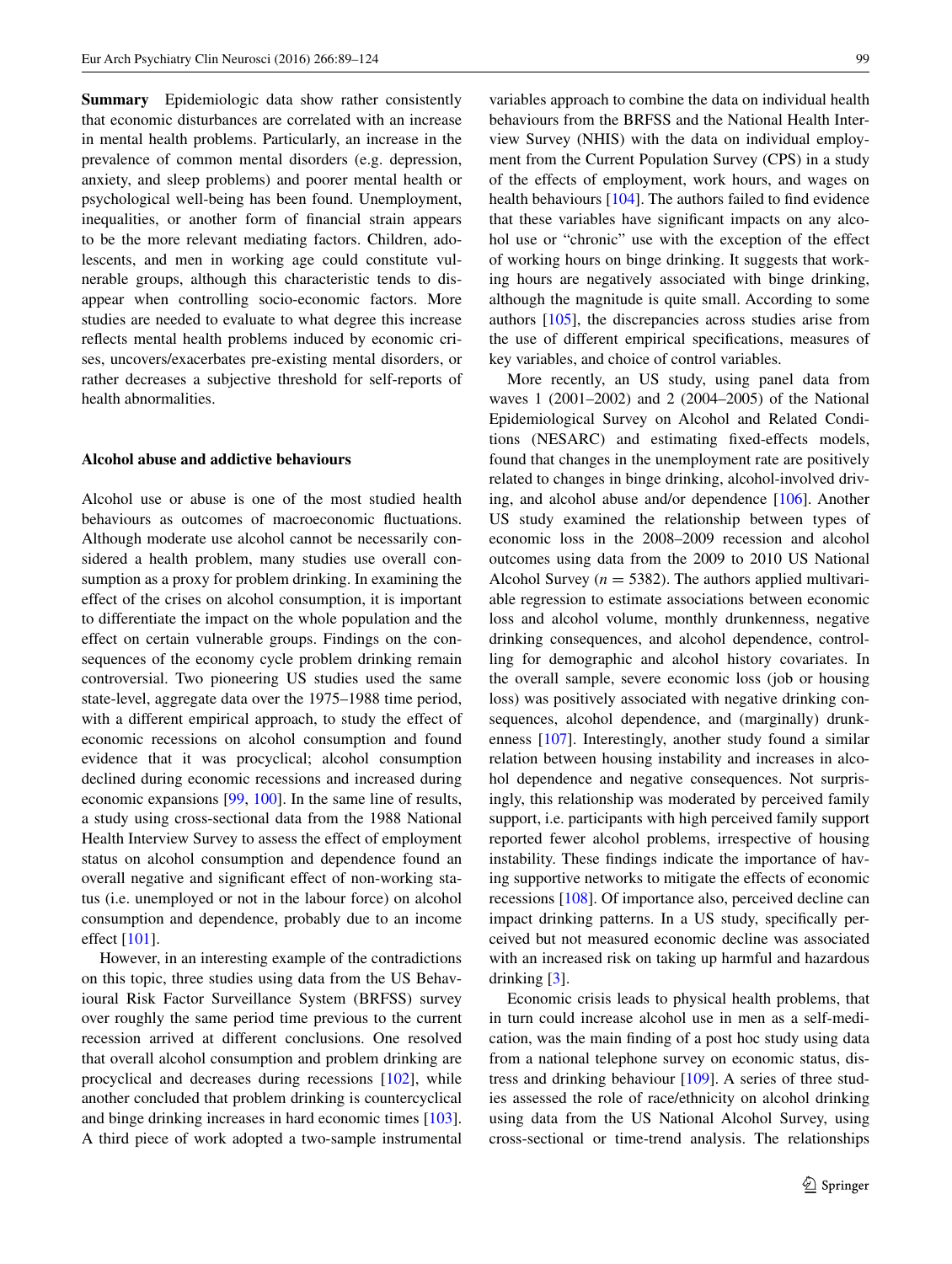**Summary** Epidemiologic data show rather consistently that economic disturbances are correlated with an increase in mental health problems. Particularly, an increase in the prevalence of common mental disorders (e.g. depression, anxiety, and sleep problems) and poorer mental health or psychological well-being has been found. Unemployment, inequalities, or another form of financial strain appears to be the more relevant mediating factors. Children, adolescents, and men in working age could constitute vulnerable groups, although this characteristic tends to disappear when controlling socio-economic factors. More studies are needed to evaluate to what degree this increase reflects mental health problems induced by economic crises, uncovers/exacerbates pre-existing mental disorders, or rather decreases a subjective threshold for self-reports of health abnormalities.

#### **Alcohol abuse and addictive behaviours**

Alcohol use or abuse is one of the most studied health behaviours as outcomes of macroeconomic fluctuations. Although moderate use alcohol cannot be necessarily considered a health problem, many studies use overall consumption as a proxy for problem drinking. In examining the effect of the crises on alcohol consumption, it is important to differentiate the impact on the whole population and the effect on certain vulnerable groups. Findings on the consequences of the economy cycle problem drinking remain controversial. Two pioneering US studies used the same state-level, aggregate data over the 1975–1988 time period, with a different empirical approach, to study the effect of economic recessions on alcohol consumption and found evidence that it was procyclical; alcohol consumption declined during economic recessions and increased during economic expansions [\[99](#page-29-14), [100](#page-29-15)]. In the same line of results, a study using cross-sectional data from the 1988 National Health Interview Survey to assess the effect of employment status on alcohol consumption and dependence found an overall negative and significant effect of non-working status (i.e. unemployed or not in the labour force) on alcohol consumption and dependence, probably due to an income effect [\[101](#page-29-16)].

However, in an interesting example of the contradictions on this topic, three studies using data from the US Behavioural Risk Factor Surveillance System (BRFSS) survey over roughly the same period time previous to the current recession arrived at different conclusions. One resolved that overall alcohol consumption and problem drinking are procyclical and decreases during recessions [[102\]](#page-29-17), while another concluded that problem drinking is countercyclical and binge drinking increases in hard economic times [\[103](#page-29-18)]. A third piece of work adopted a two-sample instrumental

variables approach to combine the data on individual health behaviours from the BRFSS and the National Health Interview Survey (NHIS) with the data on individual employment from the Current Population Survey (CPS) in a study of the effects of employment, work hours, and wages on health behaviours [[104\]](#page-29-19). The authors failed to find evidence that these variables have significant impacts on any alcohol use or "chronic" use with the exception of the effect of working hours on binge drinking. It suggests that working hours are negatively associated with binge drinking, although the magnitude is quite small. According to some authors [[105\]](#page-29-20), the discrepancies across studies arise from the use of different empirical specifications, measures of key variables, and choice of control variables.

More recently, an US study, using panel data from waves 1 (2001–2002) and 2 (2004–2005) of the National Epidemiological Survey on Alcohol and Related Conditions (NESARC) and estimating fixed-effects models, found that changes in the unemployment rate are positively related to changes in binge drinking, alcohol-involved driving, and alcohol abuse and/or dependence [\[106](#page-29-21)]. Another US study examined the relationship between types of economic loss in the 2008–2009 recession and alcohol outcomes using data from the 2009 to 2010 US National Alcohol Survey ( $n = 5382$ ). The authors applied multivariable regression to estimate associations between economic loss and alcohol volume, monthly drunkenness, negative drinking consequences, and alcohol dependence, controlling for demographic and alcohol history covariates. In the overall sample, severe economic loss (job or housing loss) was positively associated with negative drinking consequences, alcohol dependence, and (marginally) drunkenness [\[107](#page-29-22)]. Interestingly, another study found a similar relation between housing instability and increases in alcohol dependence and negative consequences. Not surprisingly, this relationship was moderated by perceived family support, i.e. participants with high perceived family support reported fewer alcohol problems, irrespective of housing instability. These findings indicate the importance of having supportive networks to mitigate the effects of economic recessions [\[108](#page-29-23)]. Of importance also, perceived decline can impact drinking patterns. In a US study, specifically perceived but not measured economic decline was associated with an increased risk on taking up harmful and hazardous drinking [[3\]](#page-26-2).

Economic crisis leads to physical health problems, that in turn could increase alcohol use in men as a self-medication, was the main finding of a post hoc study using data from a national telephone survey on economic status, distress and drinking behaviour [\[109](#page-29-24)]. A series of three studies assessed the role of race/ethnicity on alcohol drinking using data from the US National Alcohol Survey, using cross-sectional or time-trend analysis. The relationships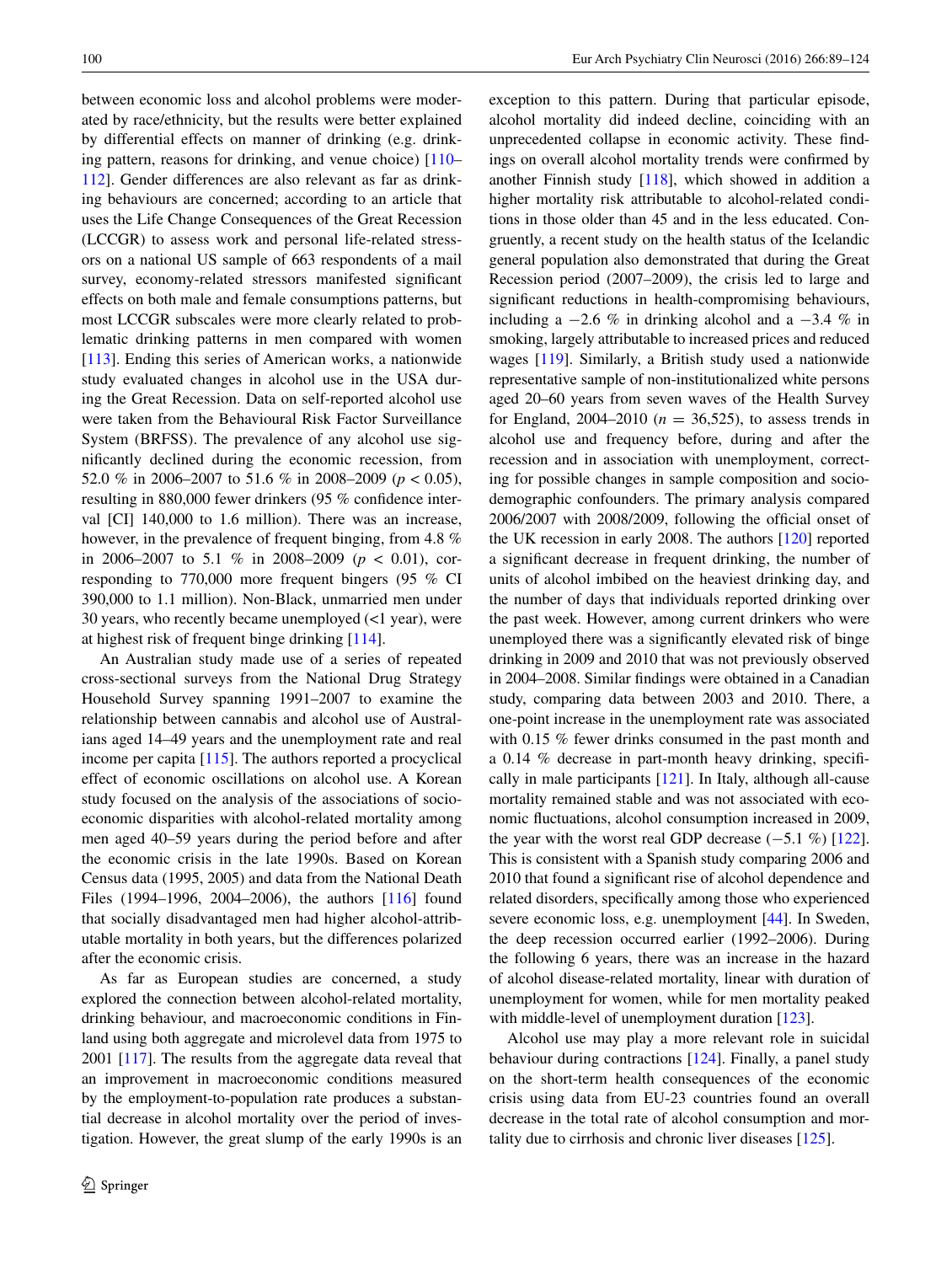between economic loss and alcohol problems were moderated by race/ethnicity, but the results were better explained by differential effects on manner of drinking (e.g. drinking pattern, reasons for drinking, and venue choice) [\[110](#page-29-25)– [112](#page-29-26)]. Gender differences are also relevant as far as drinking behaviours are concerned; according to an article that uses the Life Change Consequences of the Great Recession (LCCGR) to assess work and personal life-related stressors on a national US sample of 663 respondents of a mail survey, economy-related stressors manifested significant effects on both male and female consumptions patterns, but most LCCGR subscales were more clearly related to problematic drinking patterns in men compared with women [\[113](#page-29-27)]. Ending this series of American works, a nationwide study evaluated changes in alcohol use in the USA during the Great Recession. Data on self-reported alcohol use were taken from the Behavioural Risk Factor Surveillance System (BRFSS). The prevalence of any alcohol use significantly declined during the economic recession, from 52.0 % in 2006–2007 to 51.6 % in 2008–2009 (*p* < 0.05), resulting in 880,000 fewer drinkers (95 % confidence interval [CI] 140,000 to 1.6 million). There was an increase, however, in the prevalence of frequent binging, from 4.8 % in 2006–2007 to 5.1 % in 2008–2009 (*p* < 0.01), corresponding to 770,000 more frequent bingers (95 % CI 390,000 to 1.1 million). Non-Black, unmarried men under 30 years, who recently became unemployed (<1 year), were at highest risk of frequent binge drinking [[114\]](#page-29-28).

An Australian study made use of a series of repeated cross-sectional surveys from the National Drug Strategy Household Survey spanning 1991–2007 to examine the relationship between cannabis and alcohol use of Australians aged 14–49 years and the unemployment rate and real income per capita [\[115](#page-29-29)]. The authors reported a procyclical effect of economic oscillations on alcohol use. A Korean study focused on the analysis of the associations of socioeconomic disparities with alcohol-related mortality among men aged 40–59 years during the period before and after the economic crisis in the late 1990s. Based on Korean Census data (1995, 2005) and data from the National Death Files (1994–1996, 2004–2006), the authors [\[116](#page-29-30)] found that socially disadvantaged men had higher alcohol-attributable mortality in both years, but the differences polarized after the economic crisis.

As far as European studies are concerned, a study explored the connection between alcohol-related mortality, drinking behaviour, and macroeconomic conditions in Finland using both aggregate and microlevel data from 1975 to 2001 [\[117](#page-29-31)]. The results from the aggregate data reveal that an improvement in macroeconomic conditions measured by the employment-to-population rate produces a substantial decrease in alcohol mortality over the period of investigation. However, the great slump of the early 1990s is an exception to this pattern. During that particular episode, alcohol mortality did indeed decline, coinciding with an unprecedented collapse in economic activity. These findings on overall alcohol mortality trends were confirmed by another Finnish study [\[118](#page-29-32)], which showed in addition a higher mortality risk attributable to alcohol-related conditions in those older than 45 and in the less educated. Congruently, a recent study on the health status of the Icelandic general population also demonstrated that during the Great Recession period (2007–2009), the crisis led to large and significant reductions in health-compromising behaviours, including a  $-2.6\%$  in drinking alcohol and a  $-3.4\%$  in smoking, largely attributable to increased prices and reduced wages [\[119\]](#page-29-1). Similarly, a British study used a nationwide representative sample of non-institutionalized white persons aged 20–60 years from seven waves of the Health Survey for England, 2004–2010 ( $n = 36,525$ ), to assess trends in alcohol use and frequency before, during and after the recession and in association with unemployment, correcting for possible changes in sample composition and sociodemographic confounders. The primary analysis compared 2006/2007 with 2008/2009, following the official onset of the UK recession in early 2008. The authors [\[120](#page-29-2)] reported a significant decrease in frequent drinking, the number of units of alcohol imbibed on the heaviest drinking day, and the number of days that individuals reported drinking over the past week. However, among current drinkers who were unemployed there was a significantly elevated risk of binge drinking in 2009 and 2010 that was not previously observed in 2004–2008. Similar findings were obtained in a Canadian study, comparing data between 2003 and 2010. There, a one-point increase in the unemployment rate was associated with 0.15 % fewer drinks consumed in the past month and a 0.14 % decrease in part-month heavy drinking, specifically in male participants [[121\]](#page-29-33). In Italy, although all-cause mortality remained stable and was not associated with economic fluctuations, alcohol consumption increased in 2009, the year with the worst real GDP decrease  $(-5.1 \%)$  [[122](#page-29-3)]. This is consistent with a Spanish study comparing 2006 and 2010 that found a significant rise of alcohol dependence and related disorders, specifically among those who experienced severe economic loss, e.g. unemployment [\[44](#page-27-22)]. In Sweden, the deep recession occurred earlier (1992–2006). During the following 6 years, there was an increase in the hazard of alcohol disease-related mortality, linear with duration of unemployment for women, while for men mortality peaked with middle-level of unemployment duration [\[123](#page-29-0)].

Alcohol use may play a more relevant role in suicidal behaviour during contractions [\[124](#page-29-34)]. Finally, a panel study on the short-term health consequences of the economic crisis using data from EU-23 countries found an overall decrease in the total rate of alcohol consumption and mortality due to cirrhosis and chronic liver diseases [[125\]](#page-29-4).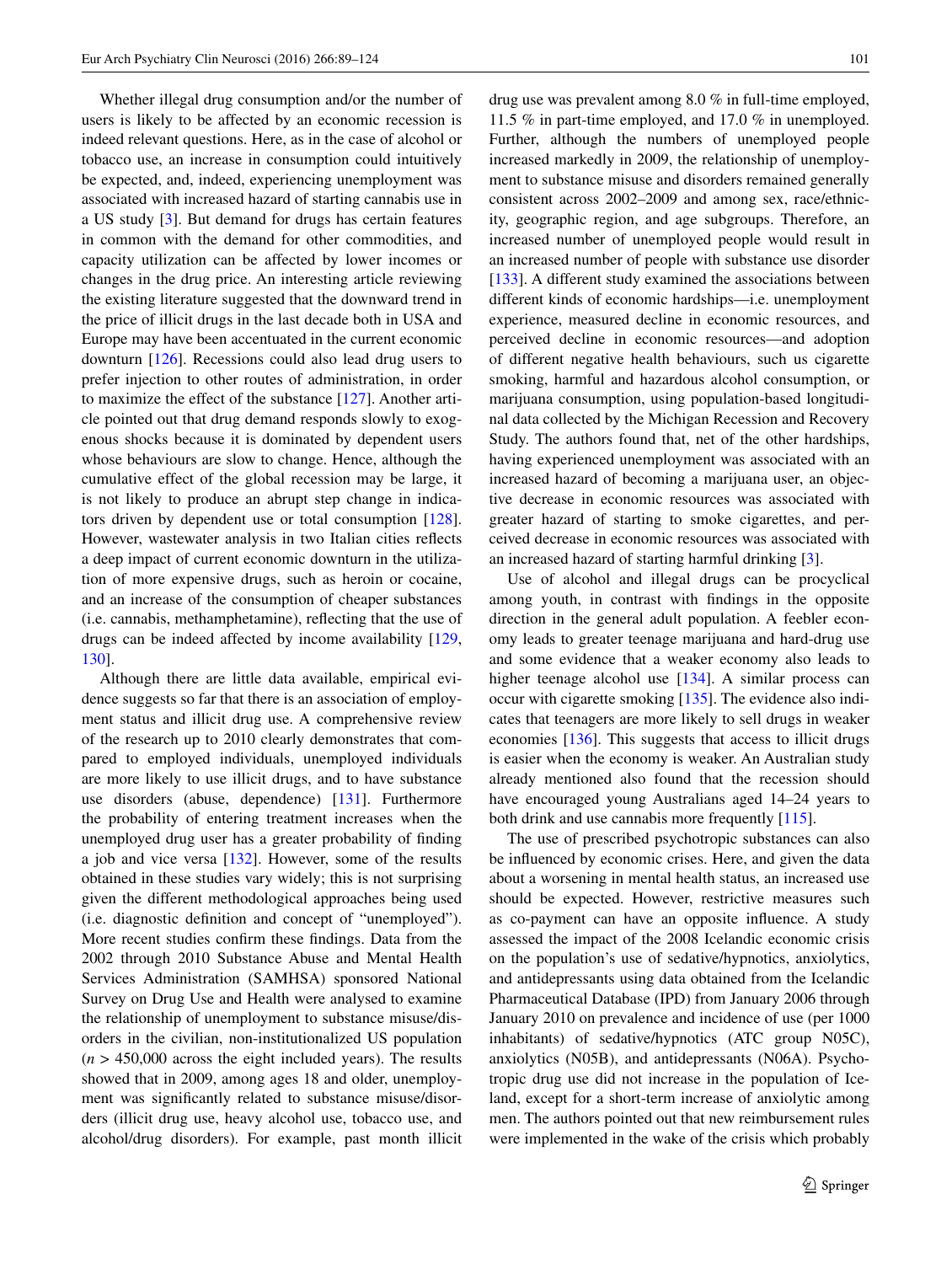Whether illegal drug consumption and/or the number of users is likely to be affected by an economic recession is indeed relevant questions. Here, as in the case of alcohol or tobacco use, an increase in consumption could intuitively be expected, and, indeed, experiencing unemployment was associated with increased hazard of starting cannabis use in a US study [\[3](#page-26-2)]. But demand for drugs has certain features in common with the demand for other commodities, and capacity utilization can be affected by lower incomes or changes in the drug price. An interesting article reviewing the existing literature suggested that the downward trend in the price of illicit drugs in the last decade both in USA and Europe may have been accentuated in the current economic downturn [\[126](#page-29-35)]. Recessions could also lead drug users to prefer injection to other routes of administration, in order to maximize the effect of the substance [\[127](#page-29-36)]. Another article pointed out that drug demand responds slowly to exogenous shocks because it is dominated by dependent users whose behaviours are slow to change. Hence, although the cumulative effect of the global recession may be large, it is not likely to produce an abrupt step change in indicators driven by dependent use or total consumption [\[128](#page-30-7)]. However, wastewater analysis in two Italian cities reflects a deep impact of current economic downturn in the utilization of more expensive drugs, such as heroin or cocaine, and an increase of the consumption of cheaper substances (i.e. cannabis, methamphetamine), reflecting that the use of drugs can be indeed affected by income availability [[129,](#page-30-8) [130](#page-30-0)].

Although there are little data available, empirical evidence suggests so far that there is an association of employment status and illicit drug use. A comprehensive review of the research up to 2010 clearly demonstrates that compared to employed individuals, unemployed individuals are more likely to use illicit drugs, and to have substance use disorders (abuse, dependence) [\[131](#page-30-9)]. Furthermore the probability of entering treatment increases when the unemployed drug user has a greater probability of finding a job and vice versa [\[132](#page-30-10)]. However, some of the results obtained in these studies vary widely; this is not surprising given the different methodological approaches being used (i.e. diagnostic definition and concept of "unemployed"). More recent studies confirm these findings. Data from the 2002 through 2010 Substance Abuse and Mental Health Services Administration (SAMHSA) sponsored National Survey on Drug Use and Health were analysed to examine the relationship of unemployment to substance misuse/disorders in the civilian, non-institutionalized US population  $(n > 450,000$  across the eight included years). The results showed that in 2009, among ages 18 and older, unemployment was significantly related to substance misuse/disorders (illicit drug use, heavy alcohol use, tobacco use, and alcohol/drug disorders). For example, past month illicit drug use was prevalent among 8.0 % in full-time employed, 11.5 % in part-time employed, and 17.0 % in unemployed. Further, although the numbers of unemployed people increased markedly in 2009, the relationship of unemployment to substance misuse and disorders remained generally consistent across 2002–2009 and among sex, race/ethnicity, geographic region, and age subgroups. Therefore, an increased number of unemployed people would result in an increased number of people with substance use disorder [\[133](#page-30-11)]. A different study examined the associations between different kinds of economic hardships—i.e. unemployment experience, measured decline in economic resources, and perceived decline in economic resources—and adoption of different negative health behaviours, such us cigarette smoking, harmful and hazardous alcohol consumption, or marijuana consumption, using population-based longitudinal data collected by the Michigan Recession and Recovery Study. The authors found that, net of the other hardships, having experienced unemployment was associated with an increased hazard of becoming a marijuana user, an objective decrease in economic resources was associated with greater hazard of starting to smoke cigarettes, and perceived decrease in economic resources was associated with an increased hazard of starting harmful drinking [[3\]](#page-26-2).

Use of alcohol and illegal drugs can be procyclical among youth, in contrast with findings in the opposite direction in the general adult population. A feebler economy leads to greater teenage marijuana and hard-drug use and some evidence that a weaker economy also leads to higher teenage alcohol use [[134\]](#page-30-12). A similar process can occur with cigarette smoking [\[135](#page-30-13)]. The evidence also indicates that teenagers are more likely to sell drugs in weaker economies [[136\]](#page-30-14). This suggests that access to illicit drugs is easier when the economy is weaker. An Australian study already mentioned also found that the recession should have encouraged young Australians aged 14–24 years to both drink and use cannabis more frequently [\[115](#page-29-29)].

The use of prescribed psychotropic substances can also be influenced by economic crises. Here, and given the data about a worsening in mental health status, an increased use should be expected. However, restrictive measures such as co-payment can have an opposite influence. A study assessed the impact of the 2008 Icelandic economic crisis on the population's use of sedative/hypnotics, anxiolytics, and antidepressants using data obtained from the Icelandic Pharmaceutical Database (IPD) from January 2006 through January 2010 on prevalence and incidence of use (per 1000 inhabitants) of sedative/hypnotics (ATC group N05C), anxiolytics (N05B), and antidepressants (N06A). Psychotropic drug use did not increase in the population of Iceland, except for a short-term increase of anxiolytic among men. The authors pointed out that new reimbursement rules were implemented in the wake of the crisis which probably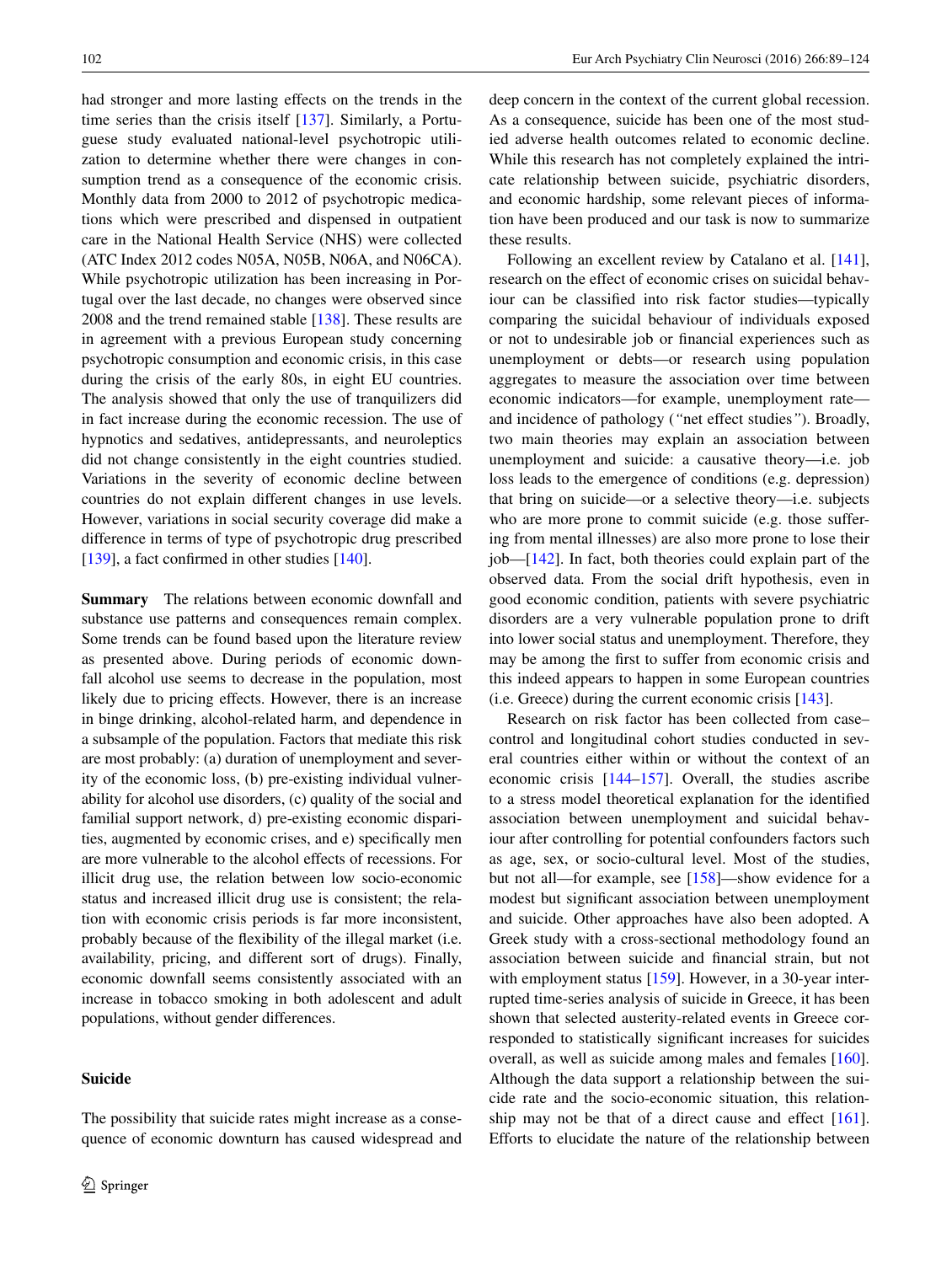had stronger and more lasting effects on the trends in the time series than the crisis itself [\[137](#page-30-1)]. Similarly, a Portuguese study evaluated national-level psychotropic utilization to determine whether there were changes in consumption trend as a consequence of the economic crisis. Monthly data from 2000 to 2012 of psychotropic medications which were prescribed and dispensed in outpatient care in the National Health Service (NHS) were collected (ATC Index 2012 codes N05A, N05B, N06A, and N06CA). While psychotropic utilization has been increasing in Portugal over the last decade, no changes were observed since 2008 and the trend remained stable [\[138](#page-30-2)]. These results are in agreement with a previous European study concerning psychotropic consumption and economic crisis, in this case during the crisis of the early 80s, in eight EU countries. The analysis showed that only the use of tranquilizers did in fact increase during the economic recession. The use of hypnotics and sedatives, antidepressants, and neuroleptics did not change consistently in the eight countries studied. Variations in the severity of economic decline between countries do not explain different changes in use levels. However, variations in social security coverage did make a difference in terms of type of psychotropic drug prescribed [\[139](#page-30-15)], a fact confirmed in other studies [\[140](#page-30-16)].

**Summary** The relations between economic downfall and substance use patterns and consequences remain complex. Some trends can be found based upon the literature review as presented above. During periods of economic downfall alcohol use seems to decrease in the population, most likely due to pricing effects. However, there is an increase in binge drinking, alcohol-related harm, and dependence in a subsample of the population. Factors that mediate this risk are most probably: (a) duration of unemployment and severity of the economic loss, (b) pre-existing individual vulnerability for alcohol use disorders, (c) quality of the social and familial support network, d) pre-existing economic disparities, augmented by economic crises, and e) specifically men are more vulnerable to the alcohol effects of recessions. For illicit drug use, the relation between low socio-economic status and increased illicit drug use is consistent; the relation with economic crisis periods is far more inconsistent, probably because of the flexibility of the illegal market (i.e. availability, pricing, and different sort of drugs). Finally, economic downfall seems consistently associated with an increase in tobacco smoking in both adolescent and adult populations, without gender differences.

The possibility that suicide rates might increase as a consequence of economic downturn has caused widespread and

# **Suicide**

deep concern in the context of the current global recession. As a consequence, suicide has been one of the most studied adverse health outcomes related to economic decline. While this research has not completely explained the intricate relationship between suicide, psychiatric disorders, and economic hardship, some relevant pieces of information have been produced and our task is now to summarize these results.

Following an excellent review by Catalano et al. [\[141](#page-30-17)], research on the effect of economic crises on suicidal behaviour can be classified into risk factor studies—typically comparing the suicidal behaviour of individuals exposed or not to undesirable job or financial experiences such as unemployment or debts—or research using population aggregates to measure the association over time between economic indicators—for example, unemployment rate and incidence of pathology (*"*net effect studies*"*). Broadly, two main theories may explain an association between unemployment and suicide: a causative theory—i.e. job loss leads to the emergence of conditions (e.g. depression) that bring on suicide—or a selective theory—i.e. subjects who are more prone to commit suicide (e.g. those suffering from mental illnesses) are also more prone to lose their job—[\[142](#page-30-18)]. In fact, both theories could explain part of the observed data. From the social drift hypothesis, even in good economic condition, patients with severe psychiatric disorders are a very vulnerable population prone to drift into lower social status and unemployment. Therefore, they may be among the first to suffer from economic crisis and this indeed appears to happen in some European countries (i.e. Greece) during the current economic crisis [[143\]](#page-30-19).

Research on risk factor has been collected from case– control and longitudinal cohort studies conducted in several countries either within or without the context of an economic crisis [[144–](#page-30-20)[157\]](#page-30-21). Overall, the studies ascribe to a stress model theoretical explanation for the identified association between unemployment and suicidal behaviour after controlling for potential confounders factors such as age, sex, or socio-cultural level. Most of the studies, but not all—for example, see [\[158](#page-30-22)]—show evidence for a modest but significant association between unemployment and suicide. Other approaches have also been adopted. A Greek study with a cross-sectional methodology found an association between suicide and financial strain, but not with employment status [[159\]](#page-30-4). However, in a 30-year interrupted time-series analysis of suicide in Greece, it has been shown that selected austerity-related events in Greece corresponded to statistically significant increases for suicides overall, as well as suicide among males and females [\[160](#page-30-6)]. Although the data support a relationship between the suicide rate and the socio-economic situation, this relation-ship may not be that of a direct cause and effect [\[161](#page-30-23)]. Efforts to elucidate the nature of the relationship between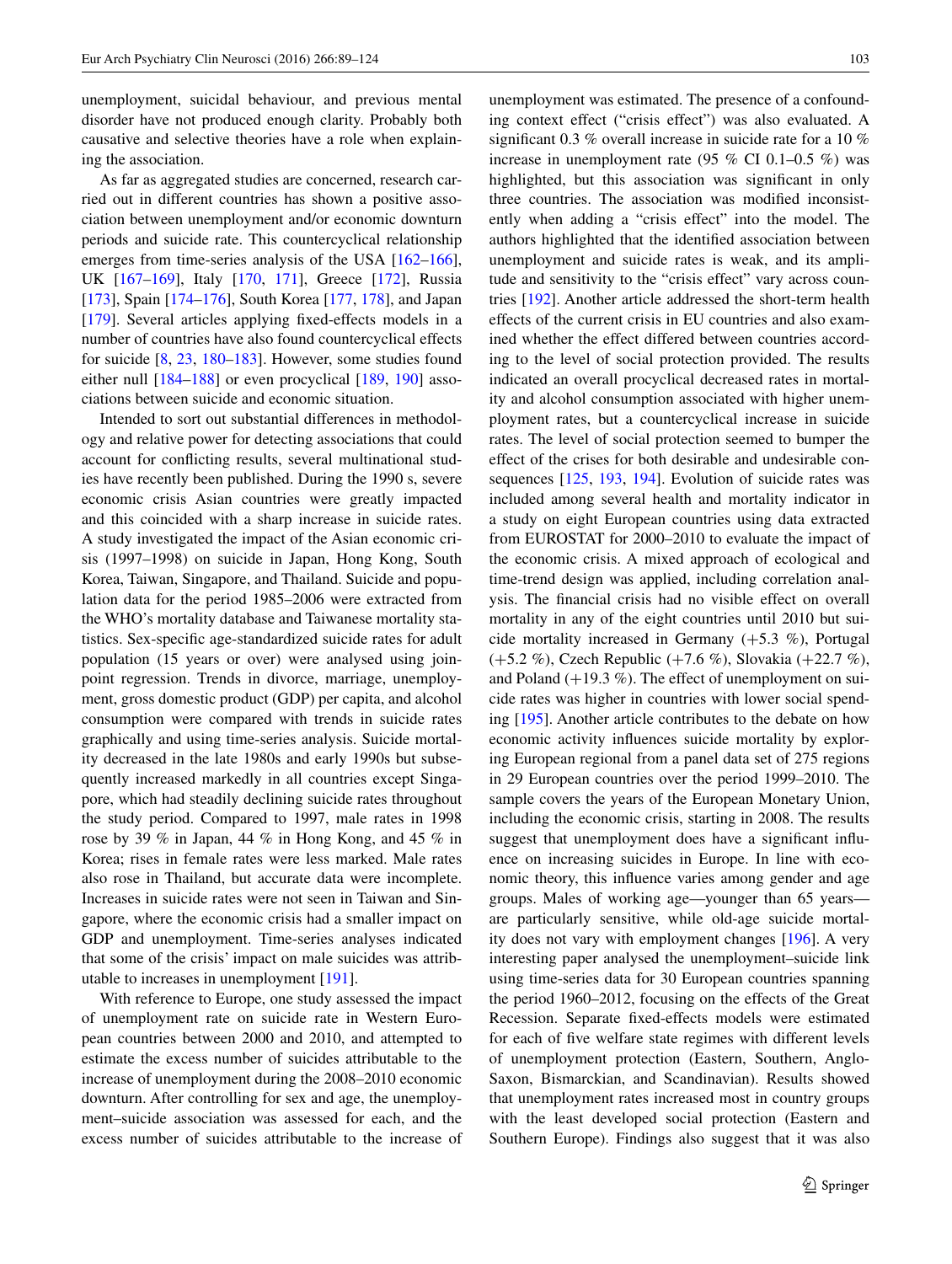unemployment, suicidal behaviour, and previous mental disorder have not produced enough clarity. Probably both causative and selective theories have a role when explaining the association.

As far as aggregated studies are concerned, research carried out in different countries has shown a positive association between unemployment and/or economic downturn periods and suicide rate. This countercyclical relationship emerges from time-series analysis of the USA [\[162](#page-30-24)[–166](#page-30-25)], UK [[167–](#page-31-2)[169\]](#page-31-1), Italy [[170,](#page-31-12) [171\]](#page-31-11), Greece [[172\]](#page-31-4), Russia [\[173](#page-31-16)], Spain [\[174](#page-31-3)[–176](#page-31-17)], South Korea [[177,](#page-31-18) [178\]](#page-31-19), and Japan [\[179](#page-31-20)]. Several articles applying fixed-effects models in a number of countries have also found countercyclical effects for suicide [\[8](#page-26-6), [23,](#page-27-5) [180](#page-31-21)[–183](#page-31-22)]. However, some studies found either null [[184–](#page-31-10)[188\]](#page-31-6) or even procyclical [[189,](#page-31-23) [190\]](#page-31-24) associations between suicide and economic situation.

Intended to sort out substantial differences in methodology and relative power for detecting associations that could account for conflicting results, several multinational studies have recently been published. During the 1990 s, severe economic crisis Asian countries were greatly impacted and this coincided with a sharp increase in suicide rates. A study investigated the impact of the Asian economic crisis (1997–1998) on suicide in Japan, Hong Kong, South Korea, Taiwan, Singapore, and Thailand. Suicide and population data for the period 1985–2006 were extracted from the WHO's mortality database and Taiwanese mortality statistics. Sex-specific age-standardized suicide rates for adult population (15 years or over) were analysed using joinpoint regression. Trends in divorce, marriage, unemployment, gross domestic product (GDP) per capita, and alcohol consumption were compared with trends in suicide rates graphically and using time-series analysis. Suicide mortality decreased in the late 1980s and early 1990s but subsequently increased markedly in all countries except Singapore, which had steadily declining suicide rates throughout the study period. Compared to 1997, male rates in 1998 rose by 39 % in Japan, 44 % in Hong Kong, and 45 % in Korea; rises in female rates were less marked. Male rates also rose in Thailand, but accurate data were incomplete. Increases in suicide rates were not seen in Taiwan and Singapore, where the economic crisis had a smaller impact on GDP and unemployment. Time-series analyses indicated that some of the crisis' impact on male suicides was attributable to increases in unemployment [\[191](#page-31-25)].

With reference to Europe, one study assessed the impact of unemployment rate on suicide rate in Western European countries between 2000 and 2010, and attempted to estimate the excess number of suicides attributable to the increase of unemployment during the 2008–2010 economic downturn. After controlling for sex and age, the unemployment–suicide association was assessed for each, and the excess number of suicides attributable to the increase of

unemployment was estimated. The presence of a confounding context effect ("crisis effect") was also evaluated. A significant 0.3 % overall increase in suicide rate for a 10 % increase in unemployment rate  $(95\% \text{ CI } 0.1{\text{-}}0.5\% )$  was highlighted, but this association was significant in only three countries. The association was modified inconsistently when adding a "crisis effect" into the model. The authors highlighted that the identified association between unemployment and suicide rates is weak, and its amplitude and sensitivity to the "crisis effect" vary across countries [[192\]](#page-31-9). Another article addressed the short-term health effects of the current crisis in EU countries and also examined whether the effect differed between countries according to the level of social protection provided. The results indicated an overall procyclical decreased rates in mortality and alcohol consumption associated with higher unemployment rates, but a countercyclical increase in suicide rates. The level of social protection seemed to bumper the effect of the crises for both desirable and undesirable consequences [[125,](#page-29-4) [193,](#page-31-26) [194\]](#page-31-15). Evolution of suicide rates was included among several health and mortality indicator in a study on eight European countries using data extracted from EUROSTAT for 2000–2010 to evaluate the impact of the economic crisis. A mixed approach of ecological and time-trend design was applied, including correlation analysis. The financial crisis had no visible effect on overall mortality in any of the eight countries until 2010 but suicide mortality increased in Germany  $(+5.3\%)$ , Portugal (+5.2 %), Czech Republic (+7.6 %), Slovakia (+22.7 %), and Poland  $(+19.3\%)$ . The effect of unemployment on suicide rates was higher in countries with lower social spending [\[195](#page-31-7)]. Another article contributes to the debate on how economic activity influences suicide mortality by exploring European regional from a panel data set of 275 regions in 29 European countries over the period 1999–2010. The sample covers the years of the European Monetary Union, including the economic crisis, starting in 2008. The results suggest that unemployment does have a significant influence on increasing suicides in Europe. In line with economic theory, this influence varies among gender and age groups. Males of working age—younger than 65 years are particularly sensitive, while old-age suicide mortality does not vary with employment changes [\[196](#page-31-13)]. A very interesting paper analysed the unemployment–suicide link using time-series data for 30 European countries spanning the period 1960–2012, focusing on the effects of the Great Recession. Separate fixed-effects models were estimated for each of five welfare state regimes with different levels of unemployment protection (Eastern, Southern, Anglo-Saxon, Bismarckian, and Scandinavian). Results showed that unemployment rates increased most in country groups with the least developed social protection (Eastern and Southern Europe). Findings also suggest that it was also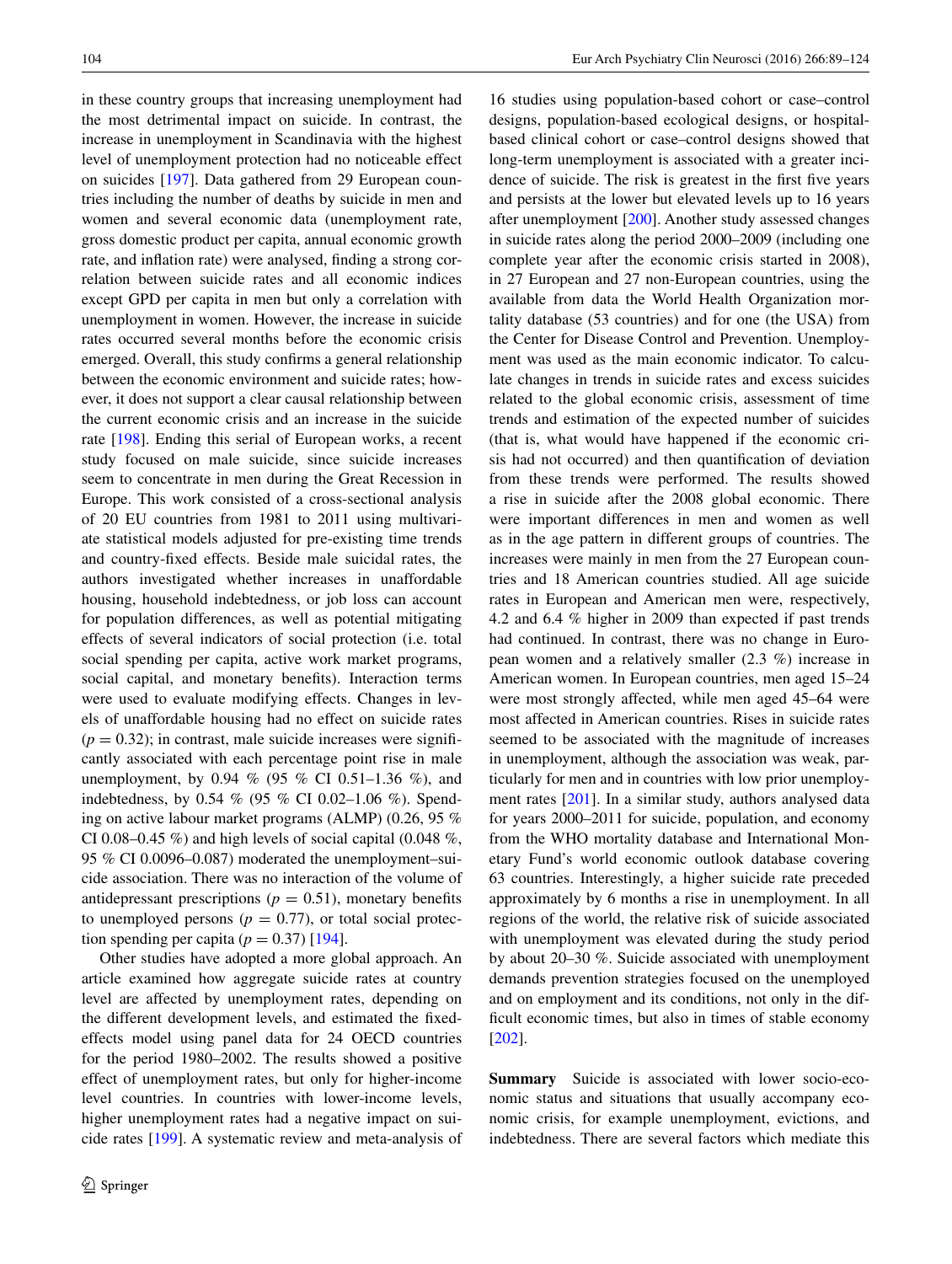in these country groups that increasing unemployment had the most detrimental impact on suicide. In contrast, the increase in unemployment in Scandinavia with the highest level of unemployment protection had no noticeable effect on suicides [[197\]](#page-31-14). Data gathered from 29 European countries including the number of deaths by suicide in men and women and several economic data (unemployment rate, gross domestic product per capita, annual economic growth rate, and inflation rate) were analysed, finding a strong correlation between suicide rates and all economic indices except GPD per capita in men but only a correlation with unemployment in women. However, the increase in suicide rates occurred several months before the economic crisis emerged. Overall, this study confirms a general relationship between the economic environment and suicide rates; however, it does not support a clear causal relationship between the current economic crisis and an increase in the suicide rate [[198\]](#page-31-8). Ending this serial of European works, a recent study focused on male suicide, since suicide increases seem to concentrate in men during the Great Recession in Europe. This work consisted of a cross-sectional analysis of 20 EU countries from 1981 to 2011 using multivariate statistical models adjusted for pre-existing time trends and country-fixed effects. Beside male suicidal rates, the authors investigated whether increases in unaffordable housing, household indebtedness, or job loss can account for population differences, as well as potential mitigating effects of several indicators of social protection (i.e. total social spending per capita, active work market programs, social capital, and monetary benefits). Interaction terms were used to evaluate modifying effects. Changes in levels of unaffordable housing had no effect on suicide rates  $(p = 0.32)$ ; in contrast, male suicide increases were significantly associated with each percentage point rise in male unemployment, by 0.94 % (95 % CI 0.51–1.36 %), and indebtedness, by 0.54 % (95 % CI 0.02–1.06 %). Spending on active labour market programs (ALMP) (0.26, 95 % CI 0.08–0.45  $\%$ ) and high levels of social capital (0.048  $\%$ , 95 % CI 0.0096–0.087) moderated the unemployment–suicide association. There was no interaction of the volume of antidepressant prescriptions ( $p = 0.51$ ), monetary benefits to unemployed persons ( $p = 0.77$ ), or total social protection spending per capita ( $p = 0.37$ ) [\[194](#page-31-15)].

Other studies have adopted a more global approach. An article examined how aggregate suicide rates at country level are affected by unemployment rates, depending on the different development levels, and estimated the fixedeffects model using panel data for 24 OECD countries for the period 1980–2002. The results showed a positive effect of unemployment rates, but only for higher-income level countries. In countries with lower-income levels, higher unemployment rates had a negative impact on suicide rates [\[199](#page-31-27)]. A systematic review and meta-analysis of

16 studies using population-based cohort or case–control designs, population-based ecological designs, or hospitalbased clinical cohort or case–control designs showed that long-term unemployment is associated with a greater incidence of suicide. The risk is greatest in the first five years and persists at the lower but elevated levels up to 16 years after unemployment [[200\]](#page-31-28). Another study assessed changes in suicide rates along the period 2000–2009 (including one complete year after the economic crisis started in 2008), in 27 European and 27 non-European countries, using the available from data the World Health Organization mortality database (53 countries) and for one (the USA) from the Center for Disease Control and Prevention. Unemployment was used as the main economic indicator. To calculate changes in trends in suicide rates and excess suicides related to the global economic crisis, assessment of time trends and estimation of the expected number of suicides (that is, what would have happened if the economic crisis had not occurred) and then quantification of deviation from these trends were performed. The results showed a rise in suicide after the 2008 global economic. There were important differences in men and women as well as in the age pattern in different groups of countries. The increases were mainly in men from the 27 European countries and 18 American countries studied. All age suicide rates in European and American men were, respectively, 4.2 and 6.4 % higher in 2009 than expected if past trends had continued. In contrast, there was no change in European women and a relatively smaller (2.3 %) increase in American women. In European countries, men aged 15–24 were most strongly affected, while men aged 45–64 were most affected in American countries. Rises in suicide rates seemed to be associated with the magnitude of increases in unemployment, although the association was weak, particularly for men and in countries with low prior unemployment rates [[201\]](#page-31-29). In a similar study, authors analysed data for years 2000–2011 for suicide, population, and economy from the WHO mortality database and International Monetary Fund's world economic outlook database covering 63 countries. Interestingly, a higher suicide rate preceded approximately by 6 months a rise in unemployment. In all regions of the world, the relative risk of suicide associated with unemployment was elevated during the study period by about 20–30 %. Suicide associated with unemployment demands prevention strategies focused on the unemployed and on employment and its conditions, not only in the difficult economic times, but also in times of stable economy [\[202](#page-31-30)].

**Summary** Suicide is associated with lower socio-economic status and situations that usually accompany economic crisis, for example unemployment, evictions, and indebtedness. There are several factors which mediate this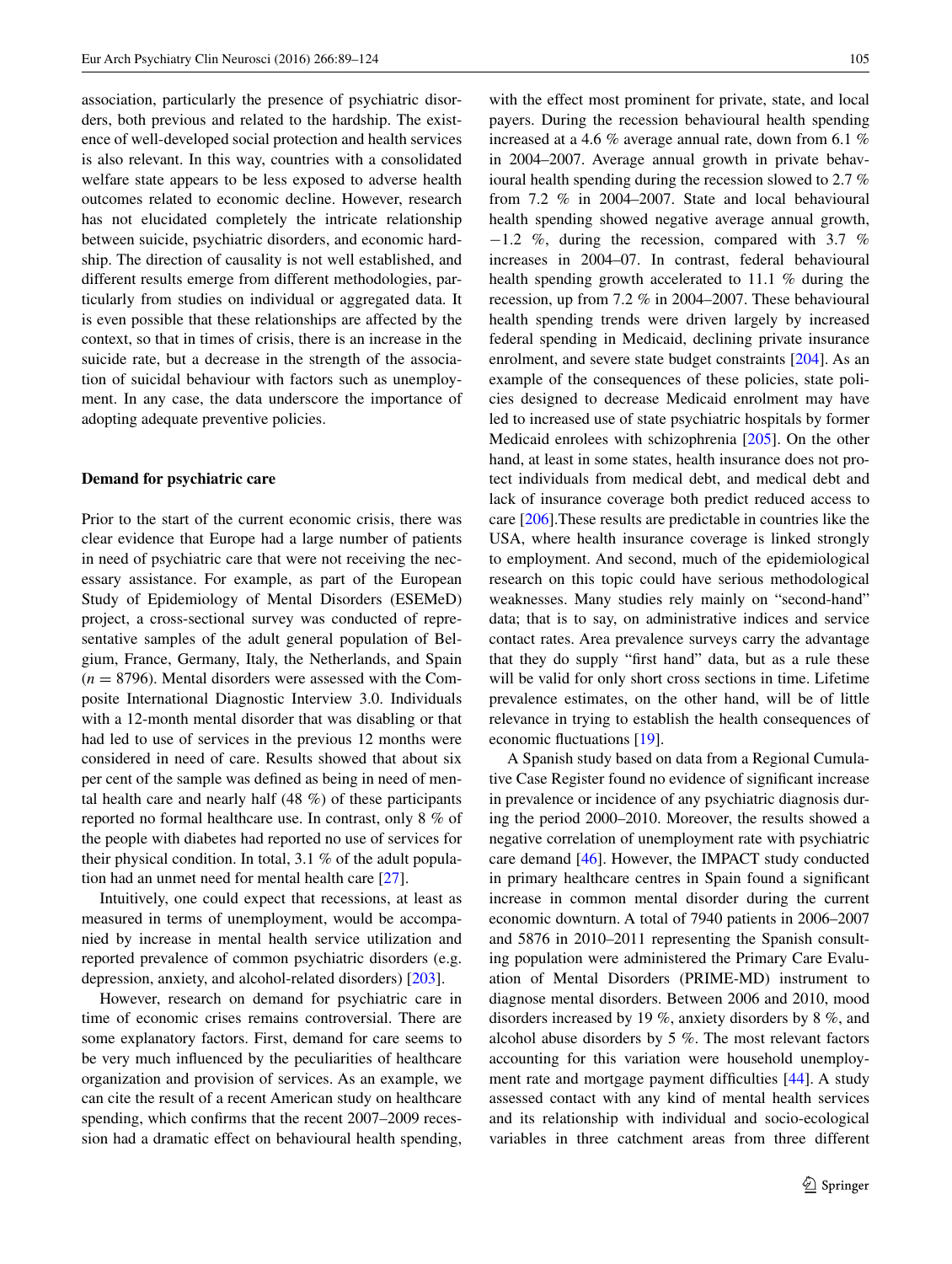association, particularly the presence of psychiatric disorders, both previous and related to the hardship. The existence of well-developed social protection and health services is also relevant. In this way, countries with a consolidated welfare state appears to be less exposed to adverse health outcomes related to economic decline. However, research has not elucidated completely the intricate relationship between suicide, psychiatric disorders, and economic hardship. The direction of causality is not well established, and different results emerge from different methodologies, particularly from studies on individual or aggregated data. It is even possible that these relationships are affected by the context, so that in times of crisis, there is an increase in the suicide rate, but a decrease in the strength of the association of suicidal behaviour with factors such as unemployment. In any case, the data underscore the importance of adopting adequate preventive policies.

## **Demand for psychiatric care**

Prior to the start of the current economic crisis, there was clear evidence that Europe had a large number of patients in need of psychiatric care that were not receiving the necessary assistance. For example, as part of the European Study of Epidemiology of Mental Disorders (ESEMeD) project, a cross-sectional survey was conducted of representative samples of the adult general population of Belgium, France, Germany, Italy, the Netherlands, and Spain  $(n = 8796)$ . Mental disorders were assessed with the Composite International Diagnostic Interview 3.0. Individuals with a 12-month mental disorder that was disabling or that had led to use of services in the previous 12 months were considered in need of care. Results showed that about six per cent of the sample was defined as being in need of mental health care and nearly half (48 %) of these participants reported no formal healthcare use. In contrast, only 8 % of the people with diabetes had reported no use of services for their physical condition. In total, 3.1 % of the adult population had an unmet need for mental health care [\[27](#page-27-8)].

Intuitively, one could expect that recessions, at least as measured in terms of unemployment, would be accompanied by increase in mental health service utilization and reported prevalence of common psychiatric disorders (e.g. depression, anxiety, and alcohol-related disorders) [[203\]](#page-31-31).

However, research on demand for psychiatric care in time of economic crises remains controversial. There are some explanatory factors. First, demand for care seems to be very much influenced by the peculiarities of healthcare organization and provision of services. As an example, we can cite the result of a recent American study on healthcare spending, which confirms that the recent 2007–2009 recession had a dramatic effect on behavioural health spending,

with the effect most prominent for private, state, and local payers. During the recession behavioural health spending increased at a 4.6 % average annual rate, down from 6.1 % in 2004–2007. Average annual growth in private behavioural health spending during the recession slowed to 2.7 % from 7.2 % in 2004–2007. State and local behavioural health spending showed negative average annual growth,  $-1.2$  %, during the recession, compared with 3.7 % increases in 2004–07. In contrast, federal behavioural health spending growth accelerated to 11.1 % during the recession, up from 7.2 % in 2004–2007. These behavioural health spending trends were driven largely by increased federal spending in Medicaid, declining private insurance enrolment, and severe state budget constraints [[204\]](#page-31-32). As an example of the consequences of these policies, state policies designed to decrease Medicaid enrolment may have led to increased use of state psychiatric hospitals by former Medicaid enrolees with schizophrenia [[205\]](#page-31-33). On the other hand, at least in some states, health insurance does not protect individuals from medical debt, and medical debt and lack of insurance coverage both predict reduced access to care [[206\]](#page-31-34).These results are predictable in countries like the USA, where health insurance coverage is linked strongly to employment. And second, much of the epidemiological research on this topic could have serious methodological weaknesses. Many studies rely mainly on "second-hand" data; that is to say, on administrative indices and service contact rates. Area prevalence surveys carry the advantage that they do supply "first hand" data, but as a rule these will be valid for only short cross sections in time. Lifetime prevalence estimates, on the other hand, will be of little relevance in trying to establish the health consequences of economic fluctuations [\[19](#page-27-2)].

A Spanish study based on data from a Regional Cumulative Case Register found no evidence of significant increase in prevalence or incidence of any psychiatric diagnosis during the period 2000–2010. Moreover, the results showed a negative correlation of unemployment rate with psychiatric care demand [[46\]](#page-27-24). However, the IMPACT study conducted in primary healthcare centres in Spain found a significant increase in common mental disorder during the current economic downturn. A total of 7940 patients in 2006–2007 and 5876 in 2010–2011 representing the Spanish consulting population were administered the Primary Care Evaluation of Mental Disorders (PRIME-MD) instrument to diagnose mental disorders. Between 2006 and 2010, mood disorders increased by 19 %, anxiety disorders by 8 %, and alcohol abuse disorders by 5 %. The most relevant factors accounting for this variation were household unemployment rate and mortgage payment difficulties [[44\]](#page-27-22). A study assessed contact with any kind of mental health services and its relationship with individual and socio-ecological variables in three catchment areas from three different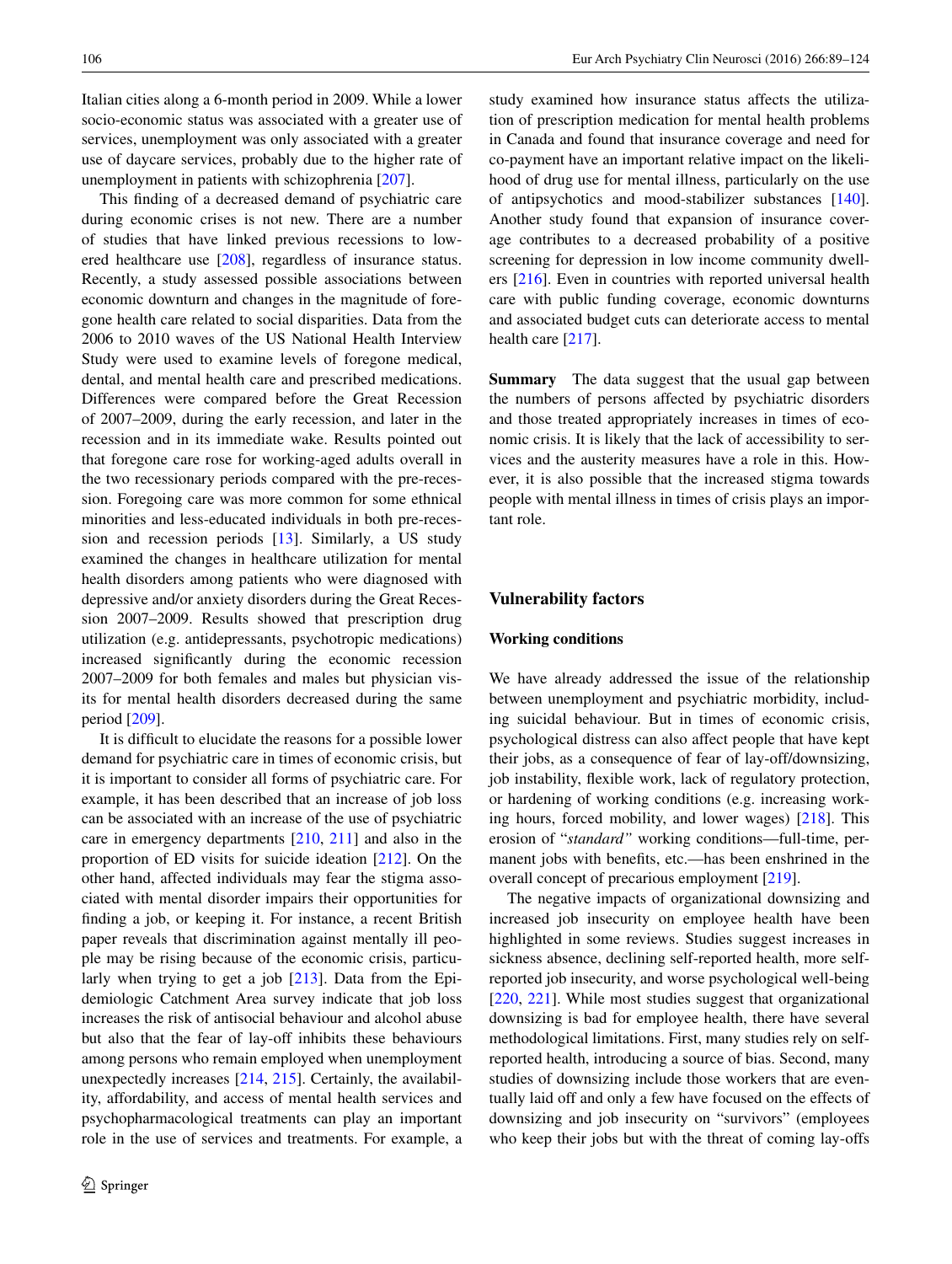Italian cities along a 6-month period in 2009. While a lower socio-economic status was associated with a greater use of services, unemployment was only associated with a greater use of daycare services, probably due to the higher rate of unemployment in patients with schizophrenia [[207\]](#page-31-0).

This finding of a decreased demand of psychiatric care during economic crises is not new. There are a number of studies that have linked previous recessions to lowered healthcare use [[208\]](#page-31-35), regardless of insurance status. Recently, a study assessed possible associations between economic downturn and changes in the magnitude of foregone health care related to social disparities. Data from the 2006 to 2010 waves of the US National Health Interview Study were used to examine levels of foregone medical, dental, and mental health care and prescribed medications. Differences were compared before the Great Recession of 2007–2009, during the early recession, and later in the recession and in its immediate wake. Results pointed out that foregone care rose for working-aged adults overall in the two recessionary periods compared with the pre-recession. Foregoing care was more common for some ethnical minorities and less-educated individuals in both pre-recession and recession periods [[13\]](#page-27-0). Similarly, a US study examined the changes in healthcare utilization for mental health disorders among patients who were diagnosed with depressive and/or anxiety disorders during the Great Recession 2007–2009. Results showed that prescription drug utilization (e.g. antidepressants, psychotropic medications) increased significantly during the economic recession 2007–2009 for both females and males but physician visits for mental health disorders decreased during the same period [\[209](#page-32-10)].

It is difficult to elucidate the reasons for a possible lower demand for psychiatric care in times of economic crisis, but it is important to consider all forms of psychiatric care. For example, it has been described that an increase of job loss can be associated with an increase of the use of psychiatric care in emergency departments [\[210](#page-32-11), [211](#page-32-12)] and also in the proportion of ED visits for suicide ideation [[212\]](#page-32-13). On the other hand, affected individuals may fear the stigma associated with mental disorder impairs their opportunities for finding a job, or keeping it. For instance, a recent British paper reveals that discrimination against mentally ill people may be rising because of the economic crisis, particularly when trying to get a job [\[213](#page-32-14)]. Data from the Epidemiologic Catchment Area survey indicate that job loss increases the risk of antisocial behaviour and alcohol abuse but also that the fear of lay-off inhibits these behaviours among persons who remain employed when unemployment unexpectedly increases [\[214](#page-32-15), [215\]](#page-32-16). Certainly, the availability, affordability, and access of mental health services and psychopharmacological treatments can play an important role in the use of services and treatments. For example, a study examined how insurance status affects the utilization of prescription medication for mental health problems in Canada and found that insurance coverage and need for co-payment have an important relative impact on the likelihood of drug use for mental illness, particularly on the use of antipsychotics and mood-stabilizer substances [\[140](#page-30-16)]. Another study found that expansion of insurance coverage contributes to a decreased probability of a positive screening for depression in low income community dwellers [\[216](#page-32-17)]. Even in countries with reported universal health care with public funding coverage, economic downturns and associated budget cuts can deteriorate access to mental health care [[217\]](#page-32-18).

**Summary** The data suggest that the usual gap between the numbers of persons affected by psychiatric disorders and those treated appropriately increases in times of economic crisis. It is likely that the lack of accessibility to services and the austerity measures have a role in this. However, it is also possible that the increased stigma towards people with mental illness in times of crisis plays an important role.

## **Vulnerability factors**

#### **Working conditions**

We have already addressed the issue of the relationship between unemployment and psychiatric morbidity, including suicidal behaviour. But in times of economic crisis, psychological distress can also affect people that have kept their jobs, as a consequence of fear of lay-off/downsizing, job instability, flexible work, lack of regulatory protection, or hardening of working conditions (e.g. increasing working hours, forced mobility, and lower wages) [[218\]](#page-32-19). This erosion of "*standard"* working conditions—full-time, permanent jobs with benefits, etc.—has been enshrined in the overall concept of precarious employment [\[219](#page-32-20)].

The negative impacts of organizational downsizing and increased job insecurity on employee health have been highlighted in some reviews. Studies suggest increases in sickness absence, declining self-reported health, more selfreported job insecurity, and worse psychological well-being [\[220](#page-32-21), [221](#page-32-22)]. While most studies suggest that organizational downsizing is bad for employee health, there have several methodological limitations. First, many studies rely on selfreported health, introducing a source of bias. Second, many studies of downsizing include those workers that are eventually laid off and only a few have focused on the effects of downsizing and job insecurity on "survivors" (employees who keep their jobs but with the threat of coming lay-offs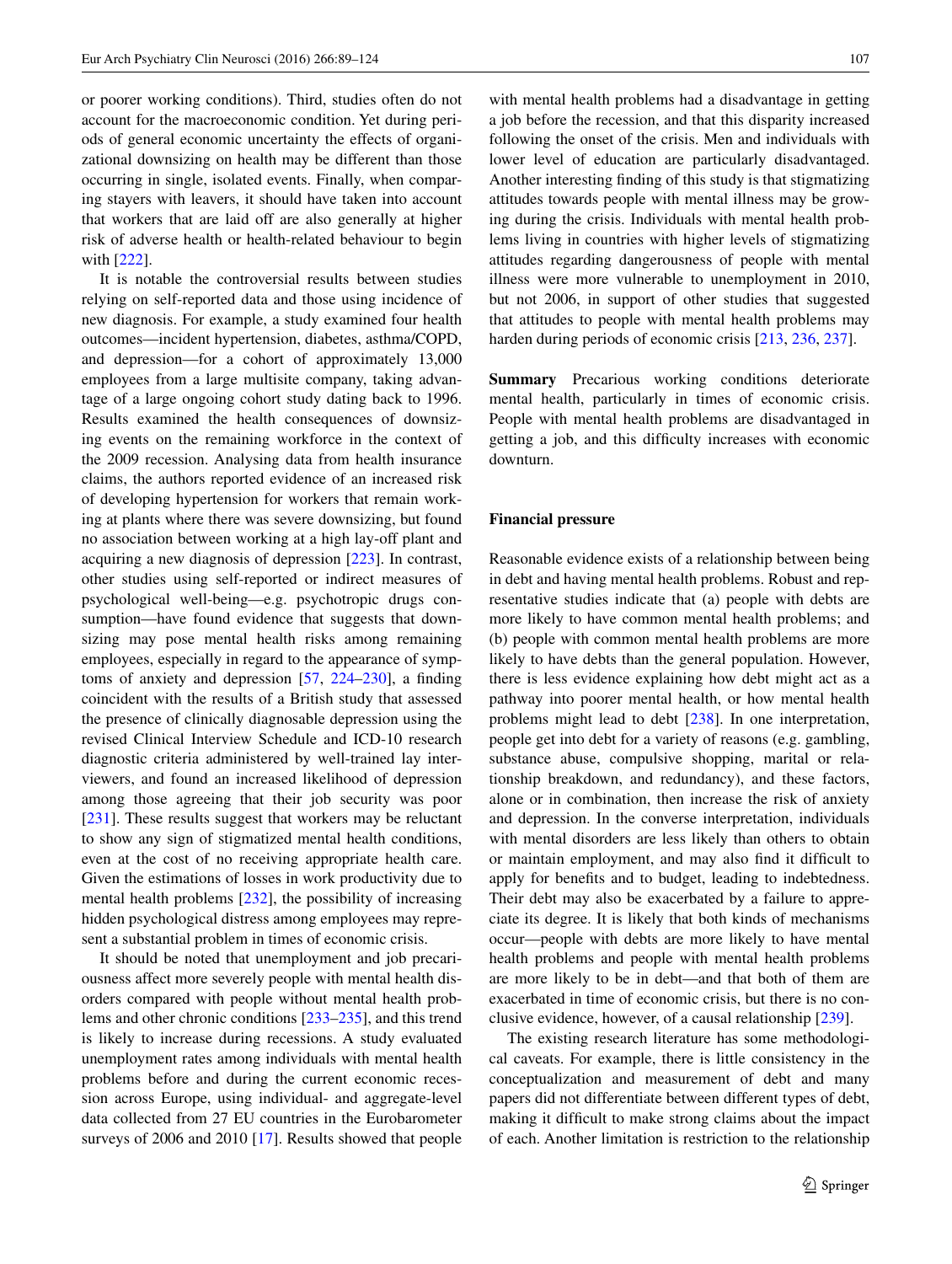or poorer working conditions). Third, studies often do not account for the macroeconomic condition. Yet during periods of general economic uncertainty the effects of organizational downsizing on health may be different than those occurring in single, isolated events. Finally, when comparing stayers with leavers, it should have taken into account that workers that are laid off are also generally at higher risk of adverse health or health-related behaviour to begin with [[222\]](#page-32-3).

It is notable the controversial results between studies relying on self-reported data and those using incidence of new diagnosis. For example, a study examined four health outcomes—incident hypertension, diabetes, asthma/COPD, and depression—for a cohort of approximately 13,000 employees from a large multisite company, taking advantage of a large ongoing cohort study dating back to 1996. Results examined the health consequences of downsizing events on the remaining workforce in the context of the 2009 recession. Analysing data from health insurance claims, the authors reported evidence of an increased risk of developing hypertension for workers that remain working at plants where there was severe downsizing, but found no association between working at a high lay-off plant and acquiring a new diagnosis of depression [[223\]](#page-32-23). In contrast, other studies using self-reported or indirect measures of psychological well-being—e.g. psychotropic drugs consumption—have found evidence that suggests that downsizing may pose mental health risks among remaining employees, especially in regard to the appearance of symptoms of anxiety and depression [\[57](#page-28-6), [224–](#page-32-6)[230\]](#page-32-9), a finding coincident with the results of a British study that assessed the presence of clinically diagnosable depression using the revised Clinical Interview Schedule and ICD-10 research diagnostic criteria administered by well-trained lay interviewers, and found an increased likelihood of depression among those agreeing that their job security was poor [\[231](#page-32-5)]. These results suggest that workers may be reluctant to show any sign of stigmatized mental health conditions, even at the cost of no receiving appropriate health care. Given the estimations of losses in work productivity due to mental health problems [[232\]](#page-32-24), the possibility of increasing hidden psychological distress among employees may represent a substantial problem in times of economic crisis.

It should be noted that unemployment and job precariousness affect more severely people with mental health disorders compared with people without mental health problems and other chronic conditions [[233–](#page-32-25)[235\]](#page-32-26), and this trend is likely to increase during recessions. A study evaluated unemployment rates among individuals with mental health problems before and during the current economic recession across Europe, using individual- and aggregate-level data collected from 27 EU countries in the Eurobarometer surveys of 2006 and 2010 [[17\]](#page-27-29). Results showed that people

with mental health problems had a disadvantage in getting a job before the recession, and that this disparity increased following the onset of the crisis. Men and individuals with lower level of education are particularly disadvantaged. Another interesting finding of this study is that stigmatizing attitudes towards people with mental illness may be growing during the crisis. Individuals with mental health problems living in countries with higher levels of stigmatizing attitudes regarding dangerousness of people with mental illness were more vulnerable to unemployment in 2010, but not 2006, in support of other studies that suggested that attitudes to people with mental health problems may harden during periods of economic crisis [[213,](#page-32-14) [236,](#page-32-7) [237\]](#page-32-27).

**Summary** Precarious working conditions deteriorate mental health, particularly in times of economic crisis. People with mental health problems are disadvantaged in getting a job, and this difficulty increases with economic downturn.

#### **Financial pressure**

Reasonable evidence exists of a relationship between being in debt and having mental health problems. Robust and representative studies indicate that (a) people with debts are more likely to have common mental health problems; and (b) people with common mental health problems are more likely to have debts than the general population. However, there is less evidence explaining how debt might act as a pathway into poorer mental health, or how mental health problems might lead to debt [\[238](#page-32-8)]. In one interpretation, people get into debt for a variety of reasons (e.g. gambling, substance abuse, compulsive shopping, marital or relationship breakdown, and redundancy), and these factors, alone or in combination, then increase the risk of anxiety and depression. In the converse interpretation, individuals with mental disorders are less likely than others to obtain or maintain employment, and may also find it difficult to apply for benefits and to budget, leading to indebtedness. Their debt may also be exacerbated by a failure to appreciate its degree. It is likely that both kinds of mechanisms occur—people with debts are more likely to have mental health problems and people with mental health problems are more likely to be in debt—and that both of them are exacerbated in time of economic crisis, but there is no conclusive evidence, however, of a causal relationship [[239\]](#page-32-28).

The existing research literature has some methodological caveats. For example, there is little consistency in the conceptualization and measurement of debt and many papers did not differentiate between different types of debt, making it difficult to make strong claims about the impact of each. Another limitation is restriction to the relationship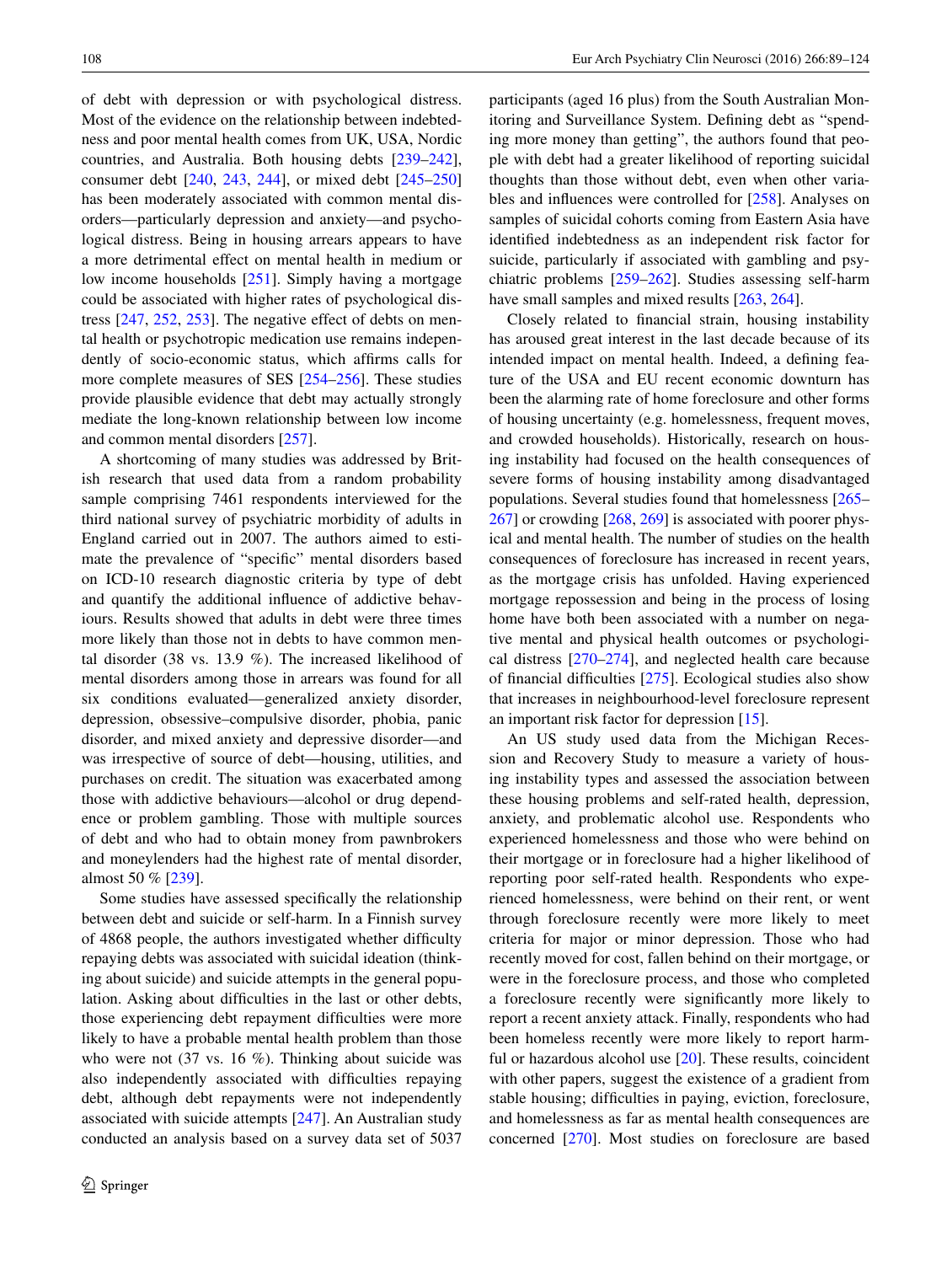of debt with depression or with psychological distress. Most of the evidence on the relationship between indebtedness and poor mental health comes from UK, USA, Nordic countries, and Australia. Both housing debts [\[239](#page-32-28)[–242](#page-32-1)], consumer debt [\[240](#page-32-29), [243](#page-32-30), [244\]](#page-32-31), or mixed debt [[245–](#page-32-4)[250\]](#page-33-8) has been moderately associated with common mental disorders—particularly depression and anxiety—and psychological distress. Being in housing arrears appears to have a more detrimental effect on mental health in medium or low income households [[251\]](#page-33-9). Simply having a mortgage could be associated with higher rates of psychological distress [[247,](#page-32-32) [252](#page-33-10), [253\]](#page-33-11). The negative effect of debts on mental health or psychotropic medication use remains independently of socio-economic status, which affirms calls for more complete measures of SES [\[254](#page-33-12)[–256](#page-33-13)]. These studies provide plausible evidence that debt may actually strongly mediate the long-known relationship between low income and common mental disorders [[257\]](#page-33-14).

A shortcoming of many studies was addressed by British research that used data from a random probability sample comprising 7461 respondents interviewed for the third national survey of psychiatric morbidity of adults in England carried out in 2007. The authors aimed to estimate the prevalence of "specific" mental disorders based on ICD-10 research diagnostic criteria by type of debt and quantify the additional influence of addictive behaviours. Results showed that adults in debt were three times more likely than those not in debts to have common mental disorder (38 vs. 13.9 %). The increased likelihood of mental disorders among those in arrears was found for all six conditions evaluated—generalized anxiety disorder, depression, obsessive–compulsive disorder, phobia, panic disorder, and mixed anxiety and depressive disorder—and was irrespective of source of debt—housing, utilities, and purchases on credit. The situation was exacerbated among those with addictive behaviours—alcohol or drug dependence or problem gambling. Those with multiple sources of debt and who had to obtain money from pawnbrokers and moneylenders had the highest rate of mental disorder, almost 50 % [[239\]](#page-32-28).

Some studies have assessed specifically the relationship between debt and suicide or self-harm. In a Finnish survey of 4868 people, the authors investigated whether difficulty repaying debts was associated with suicidal ideation (thinking about suicide) and suicide attempts in the general population. Asking about difficulties in the last or other debts, those experiencing debt repayment difficulties were more likely to have a probable mental health problem than those who were not (37 vs. 16 %). Thinking about suicide was also independently associated with difficulties repaying debt, although debt repayments were not independently associated with suicide attempts [[247\]](#page-32-32). An Australian study conducted an analysis based on a survey data set of 5037

participants (aged 16 plus) from the South Australian Monitoring and Surveillance System. Defining debt as "spending more money than getting", the authors found that people with debt had a greater likelihood of reporting suicidal thoughts than those without debt, even when other variables and influences were controlled for [\[258](#page-33-15)]. Analyses on samples of suicidal cohorts coming from Eastern Asia have identified indebtedness as an independent risk factor for suicide, particularly if associated with gambling and psychiatric problems [\[259](#page-33-16)[–262](#page-33-17)]. Studies assessing self-harm have small samples and mixed results [\[263](#page-33-18), [264](#page-33-19)].

Closely related to financial strain, housing instability has aroused great interest in the last decade because of its intended impact on mental health. Indeed, a defining feature of the USA and EU recent economic downturn has been the alarming rate of home foreclosure and other forms of housing uncertainty (e.g. homelessness, frequent moves, and crowded households). Historically, research on housing instability had focused on the health consequences of severe forms of housing instability among disadvantaged populations. Several studies found that homelessness [\[265](#page-33-20)– [267](#page-33-2)] or crowding [[268,](#page-33-21) [269](#page-33-22)] is associated with poorer physical and mental health. The number of studies on the health consequences of foreclosure has increased in recent years, as the mortgage crisis has unfolded. Having experienced mortgage repossession and being in the process of losing home have both been associated with a number on negative mental and physical health outcomes or psychological distress [[270–](#page-33-23)[274\]](#page-33-24), and neglected health care because of financial difficulties [[275\]](#page-33-25). Ecological studies also show that increases in neighbourhood-level foreclosure represent an important risk factor for depression [\[15](#page-27-30)].

An US study used data from the Michigan Recession and Recovery Study to measure a variety of housing instability types and assessed the association between these housing problems and self-rated health, depression, anxiety, and problematic alcohol use. Respondents who experienced homelessness and those who were behind on their mortgage or in foreclosure had a higher likelihood of reporting poor self-rated health. Respondents who experienced homelessness, were behind on their rent, or went through foreclosure recently were more likely to meet criteria for major or minor depression. Those who had recently moved for cost, fallen behind on their mortgage, or were in the foreclosure process, and those who completed a foreclosure recently were significantly more likely to report a recent anxiety attack. Finally, respondents who had been homeless recently were more likely to report harmful or hazardous alcohol use [\[20](#page-27-3)]. These results, coincident with other papers, suggest the existence of a gradient from stable housing; difficulties in paying, eviction, foreclosure, and homelessness as far as mental health consequences are concerned [\[270](#page-33-23)]. Most studies on foreclosure are based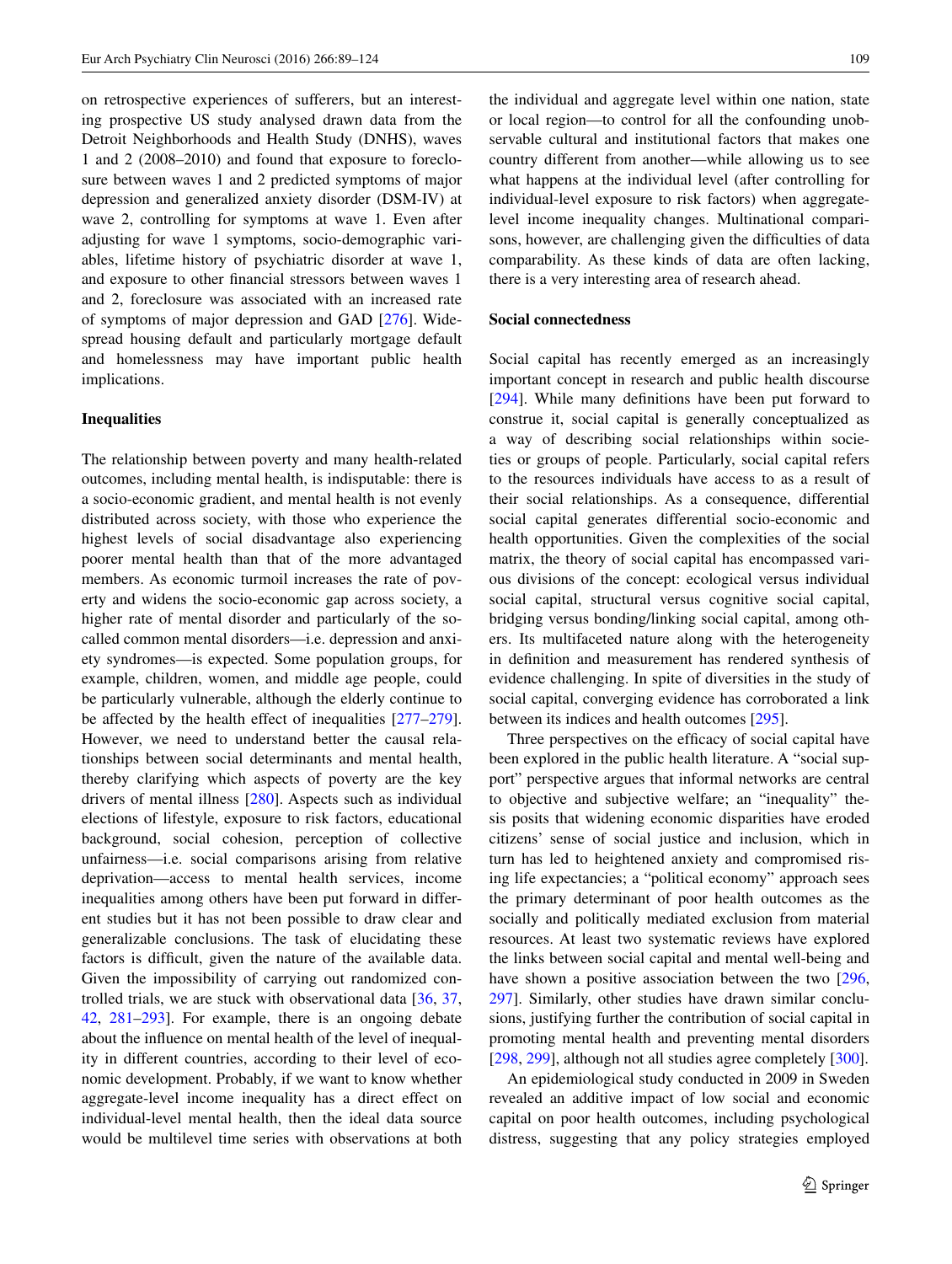on retrospective experiences of sufferers, but an interesting prospective US study analysed drawn data from the Detroit Neighborhoods and Health Study (DNHS), waves 1 and 2 (2008–2010) and found that exposure to foreclosure between waves 1 and 2 predicted symptoms of major depression and generalized anxiety disorder (DSM-IV) at wave 2, controlling for symptoms at wave 1. Even after adjusting for wave 1 symptoms, socio-demographic variables, lifetime history of psychiatric disorder at wave 1, and exposure to other financial stressors between waves 1 and 2, foreclosure was associated with an increased rate of symptoms of major depression and GAD [\[276](#page-33-26)]. Widespread housing default and particularly mortgage default and homelessness may have important public health implications.

## **Inequalities**

The relationship between poverty and many health-related outcomes, including mental health, is indisputable: there is a socio-economic gradient, and mental health is not evenly distributed across society, with those who experience the highest levels of social disadvantage also experiencing poorer mental health than that of the more advantaged members. As economic turmoil increases the rate of poverty and widens the socio-economic gap across society, a higher rate of mental disorder and particularly of the socalled common mental disorders—i.e. depression and anxiety syndromes—is expected. Some population groups, for example, children, women, and middle age people, could be particularly vulnerable, although the elderly continue to be affected by the health effect of inequalities [\[277](#page-33-4)[–279](#page-33-0)]. However, we need to understand better the causal relationships between social determinants and mental health, thereby clarifying which aspects of poverty are the key drivers of mental illness [[280\]](#page-33-27). Aspects such as individual elections of lifestyle, exposure to risk factors, educational background, social cohesion, perception of collective unfairness—i.e. social comparisons arising from relative deprivation—access to mental health services, income inequalities among others have been put forward in different studies but it has not been possible to draw clear and generalizable conclusions. The task of elucidating these factors is difficult, given the nature of the available data. Given the impossibility of carrying out randomized controlled trials, we are stuck with observational data [\[36](#page-27-14), [37,](#page-27-15) [42](#page-27-20), [281–](#page-33-28)[293\]](#page-34-3). For example, there is an ongoing debate about the influence on mental health of the level of inequality in different countries, according to their level of economic development. Probably, if we want to know whether aggregate-level income inequality has a direct effect on individual-level mental health, then the ideal data source would be multilevel time series with observations at both the individual and aggregate level within one nation, state or local region—to control for all the confounding unobservable cultural and institutional factors that makes one country different from another—while allowing us to see what happens at the individual level (after controlling for individual-level exposure to risk factors) when aggregatelevel income inequality changes. Multinational comparisons, however, are challenging given the difficulties of data comparability. As these kinds of data are often lacking, there is a very interesting area of research ahead.

## **Social connectedness**

Social capital has recently emerged as an increasingly important concept in research and public health discourse [\[294](#page-34-4)]. While many definitions have been put forward to construe it, social capital is generally conceptualized as a way of describing social relationships within societies or groups of people. Particularly, social capital refers to the resources individuals have access to as a result of their social relationships. As a consequence, differential social capital generates differential socio-economic and health opportunities. Given the complexities of the social matrix, the theory of social capital has encompassed various divisions of the concept: ecological versus individual social capital, structural versus cognitive social capital, bridging versus bonding/linking social capital, among others. Its multifaceted nature along with the heterogeneity in definition and measurement has rendered synthesis of evidence challenging. In spite of diversities in the study of social capital, converging evidence has corroborated a link between its indices and health outcomes [[295\]](#page-34-5).

Three perspectives on the efficacy of social capital have been explored in the public health literature. A "social support" perspective argues that informal networks are central to objective and subjective welfare; an "inequality" thesis posits that widening economic disparities have eroded citizens' sense of social justice and inclusion, which in turn has led to heightened anxiety and compromised rising life expectancies; a "political economy" approach sees the primary determinant of poor health outcomes as the socially and politically mediated exclusion from material resources. At least two systematic reviews have explored the links between social capital and mental well-being and have shown a positive association between the two [[296,](#page-34-6) [297](#page-34-7)]. Similarly, other studies have drawn similar conclusions, justifying further the contribution of social capital in promoting mental health and preventing mental disorders [\[298](#page-34-0), [299](#page-34-8)], although not all studies agree completely [[300\]](#page-34-9).

An epidemiological study conducted in 2009 in Sweden revealed an additive impact of low social and economic capital on poor health outcomes, including psychological distress, suggesting that any policy strategies employed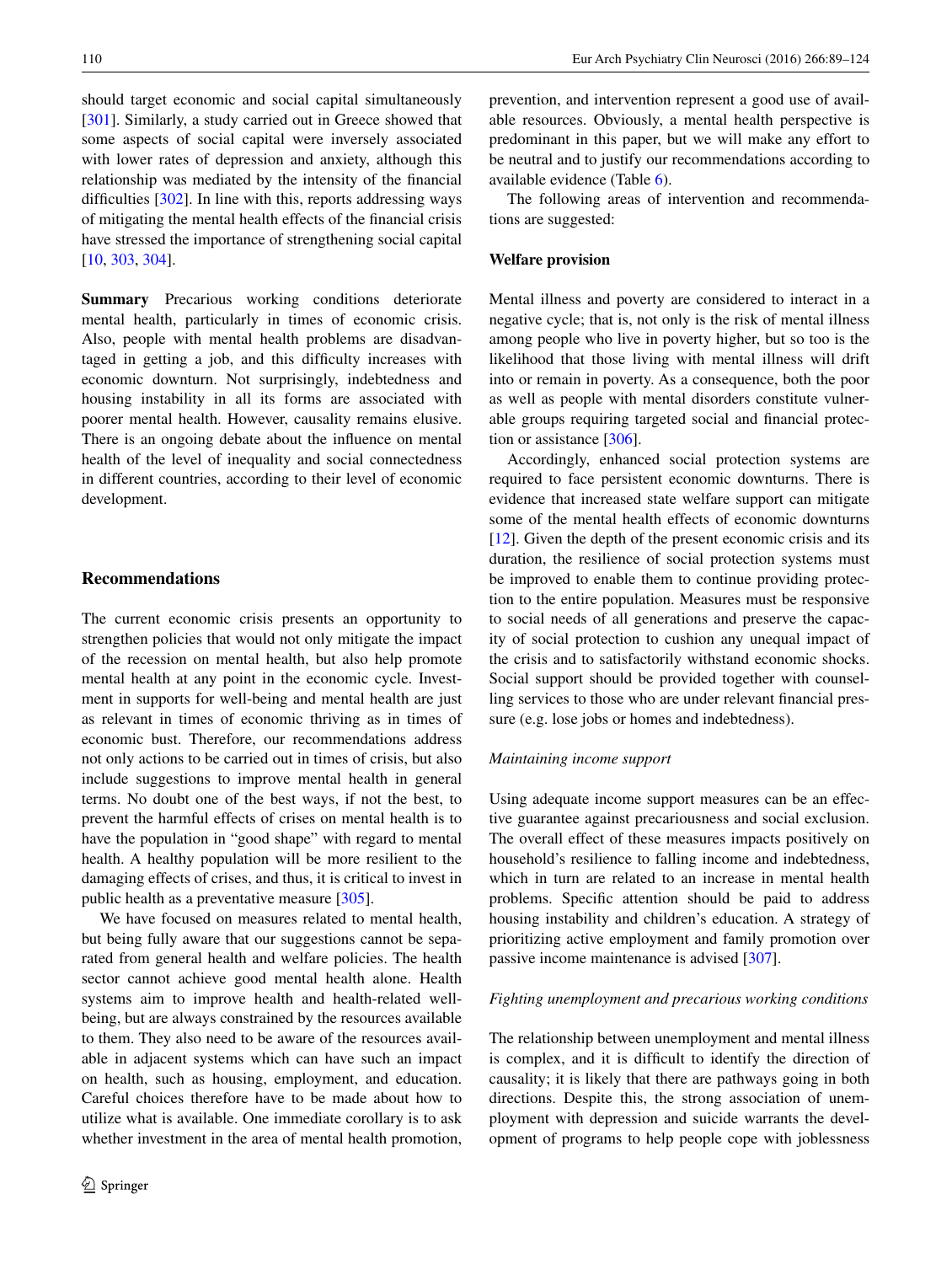should target economic and social capital simultaneously [\[301](#page-34-1)]. Similarly, a study carried out in Greece showed that some aspects of social capital were inversely associated with lower rates of depression and anxiety, although this relationship was mediated by the intensity of the financial difficulties [[302\]](#page-34-2). In line with this, reports addressing ways of mitigating the mental health effects of the financial crisis have stressed the importance of strengthening social capital [\[10](#page-26-8), [303](#page-34-10), [304](#page-34-11)].

**Summary** Precarious working conditions deteriorate mental health, particularly in times of economic crisis. Also, people with mental health problems are disadvantaged in getting a job, and this difficulty increases with economic downturn. Not surprisingly, indebtedness and housing instability in all its forms are associated with poorer mental health. However, causality remains elusive. There is an ongoing debate about the influence on mental health of the level of inequality and social connectedness in different countries, according to their level of economic development.

## **Recommendations**

The current economic crisis presents an opportunity to strengthen policies that would not only mitigate the impact of the recession on mental health, but also help promote mental health at any point in the economic cycle. Investment in supports for well-being and mental health are just as relevant in times of economic thriving as in times of economic bust. Therefore, our recommendations address not only actions to be carried out in times of crisis, but also include suggestions to improve mental health in general terms. No doubt one of the best ways, if not the best, to prevent the harmful effects of crises on mental health is to have the population in "good shape" with regard to mental health. A healthy population will be more resilient to the damaging effects of crises, and thus, it is critical to invest in public health as a preventative measure [[305\]](#page-34-12).

We have focused on measures related to mental health, but being fully aware that our suggestions cannot be separated from general health and welfare policies. The health sector cannot achieve good mental health alone. Health systems aim to improve health and health-related wellbeing, but are always constrained by the resources available to them. They also need to be aware of the resources available in adjacent systems which can have such an impact on health, such as housing, employment, and education. Careful choices therefore have to be made about how to utilize what is available. One immediate corollary is to ask whether investment in the area of mental health promotion,

prevention, and intervention represent a good use of available resources. Obviously, a mental health perspective is predominant in this paper, but we will make any effort to be neutral and to justify our recommendations according to available evidence (Table [6\)](#page-23-0).

The following areas of intervention and recommendations are suggested:

## **Welfare provision**

Mental illness and poverty are considered to interact in a negative cycle; that is, not only is the risk of mental illness among people who live in poverty higher, but so too is the likelihood that those living with mental illness will drift into or remain in poverty. As a consequence, both the poor as well as people with mental disorders constitute vulnerable groups requiring targeted social and financial protection or assistance [[306\]](#page-34-13).

Accordingly, enhanced social protection systems are required to face persistent economic downturns. There is evidence that increased state welfare support can mitigate some of the mental health effects of economic downturns [\[12](#page-26-10)]. Given the depth of the present economic crisis and its duration, the resilience of social protection systems must be improved to enable them to continue providing protection to the entire population. Measures must be responsive to social needs of all generations and preserve the capacity of social protection to cushion any unequal impact of the crisis and to satisfactorily withstand economic shocks. Social support should be provided together with counselling services to those who are under relevant financial pressure (e.g. lose jobs or homes and indebtedness).

## *Maintaining income support*

Using adequate income support measures can be an effective guarantee against precariousness and social exclusion. The overall effect of these measures impacts positively on household's resilience to falling income and indebtedness, which in turn are related to an increase in mental health problems. Specific attention should be paid to address housing instability and children's education. A strategy of prioritizing active employment and family promotion over passive income maintenance is advised [\[307](#page-34-14)].

#### *Fighting unemployment and precarious working conditions*

The relationship between unemployment and mental illness is complex, and it is difficult to identify the direction of causality; it is likely that there are pathways going in both directions. Despite this, the strong association of unemployment with depression and suicide warrants the development of programs to help people cope with joblessness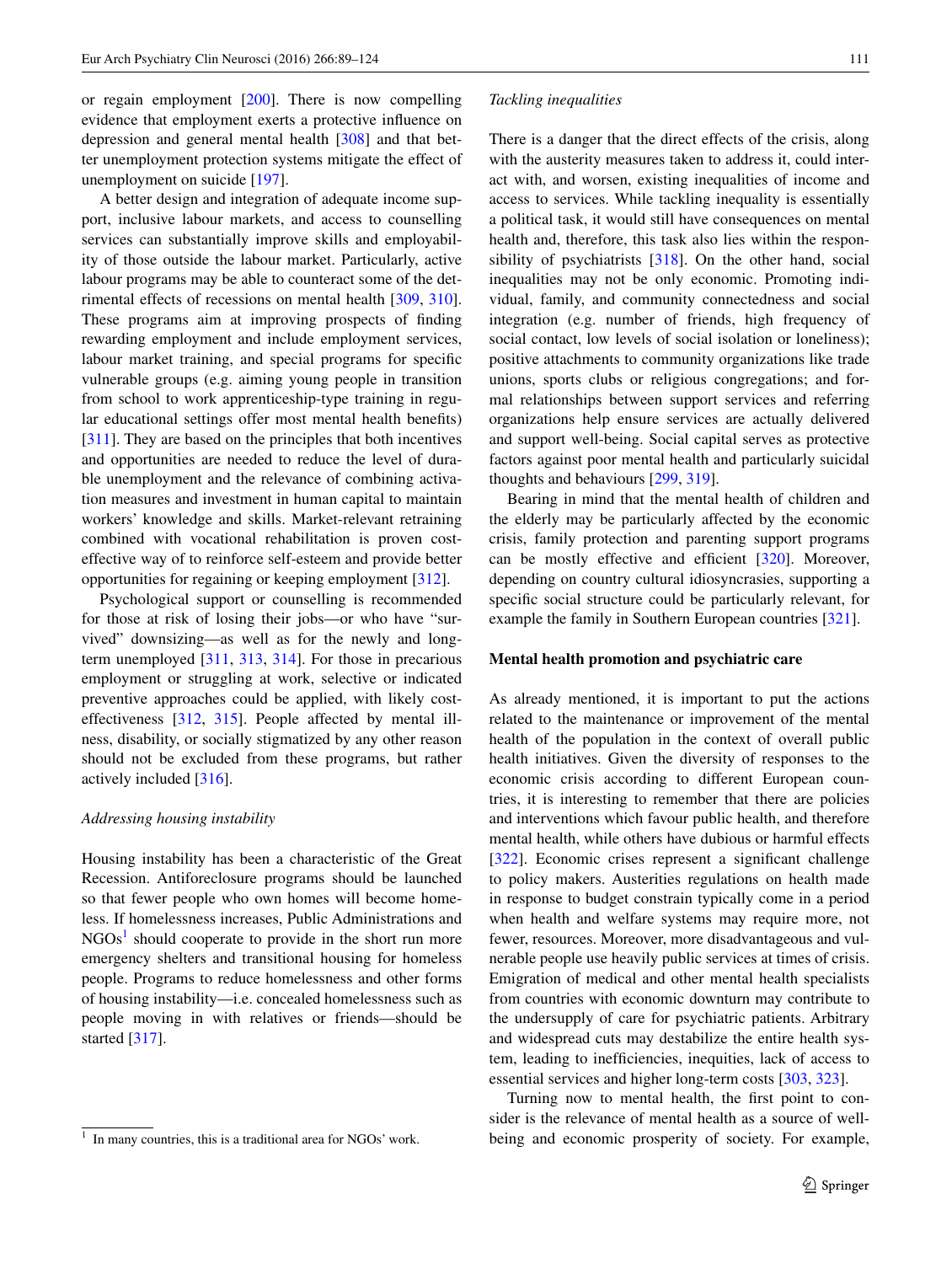or regain employment [\[200](#page-31-28)]. There is now compelling evidence that employment exerts a protective influence on depression and general mental health [\[308](#page-34-15)] and that better unemployment protection systems mitigate the effect of unemployment on suicide [\[197](#page-31-14)].

A better design and integration of adequate income support, inclusive labour markets, and access to counselling services can substantially improve skills and employability of those outside the labour market. Particularly, active labour programs may be able to counteract some of the detrimental effects of recessions on mental health [[309,](#page-34-16) [310](#page-34-17)]. These programs aim at improving prospects of finding rewarding employment and include employment services, labour market training, and special programs for specific vulnerable groups (e.g. aiming young people in transition from school to work apprenticeship-type training in regular educational settings offer most mental health benefits) [\[311](#page-34-18)]. They are based on the principles that both incentives and opportunities are needed to reduce the level of durable unemployment and the relevance of combining activation measures and investment in human capital to maintain workers' knowledge and skills. Market-relevant retraining combined with vocational rehabilitation is proven costeffective way of to reinforce self-esteem and provide better opportunities for regaining or keeping employment [\[312](#page-34-19)].

Psychological support or counselling is recommended for those at risk of losing their jobs—or who have "survived" downsizing—as well as for the newly and longterm unemployed [[311,](#page-34-18) [313,](#page-34-20) [314\]](#page-34-21). For those in precarious employment or struggling at work, selective or indicated preventive approaches could be applied, with likely costeffectiveness [\[312](#page-34-19), [315\]](#page-34-22). People affected by mental illness, disability, or socially stigmatized by any other reason should not be excluded from these programs, but rather actively included [\[316](#page-34-23)].

#### *Addressing housing instability*

Housing instability has been a characteristic of the Great Recession. Antiforeclosure programs should be launched so that fewer people who own homes will become homeless. If homelessness increases, Public Administrations and  $NGOs<sup>1</sup>$  $NGOs<sup>1</sup>$  $NGOs<sup>1</sup>$  should cooperate to provide in the short run more emergency shelters and transitional housing for homeless people. Programs to reduce homelessness and other forms of housing instability—i.e. concealed homelessness such as people moving in with relatives or friends—should be started [[317\]](#page-34-24).

#### *Tackling inequalities*

There is a danger that the direct effects of the crisis, along with the austerity measures taken to address it, could interact with, and worsen, existing inequalities of income and access to services. While tackling inequality is essentially a political task, it would still have consequences on mental health and, therefore, this task also lies within the responsibility of psychiatrists [[318\]](#page-34-25). On the other hand, social inequalities may not be only economic. Promoting individual, family, and community connectedness and social integration (e.g. number of friends, high frequency of social contact, low levels of social isolation or loneliness); positive attachments to community organizations like trade unions, sports clubs or religious congregations; and formal relationships between support services and referring organizations help ensure services are actually delivered and support well-being. Social capital serves as protective factors against poor mental health and particularly suicidal thoughts and behaviours [[299,](#page-34-8) [319\]](#page-34-26).

Bearing in mind that the mental health of children and the elderly may be particularly affected by the economic crisis, family protection and parenting support programs can be mostly effective and efficient [\[320](#page-34-27)]. Moreover, depending on country cultural idiosyncrasies, supporting a specific social structure could be particularly relevant, for example the family in Southern European countries [[321\]](#page-34-28).

#### **Mental health promotion and psychiatric care**

As already mentioned, it is important to put the actions related to the maintenance or improvement of the mental health of the population in the context of overall public health initiatives. Given the diversity of responses to the economic crisis according to different European countries, it is interesting to remember that there are policies and interventions which favour public health, and therefore mental health, while others have dubious or harmful effects [\[322](#page-34-29)]. Economic crises represent a significant challenge to policy makers. Austerities regulations on health made in response to budget constrain typically come in a period when health and welfare systems may require more, not fewer, resources. Moreover, more disadvantageous and vulnerable people use heavily public services at times of crisis. Emigration of medical and other mental health specialists from countries with economic downturn may contribute to the undersupply of care for psychiatric patients. Arbitrary and widespread cuts may destabilize the entire health system, leading to inefficiencies, inequities, lack of access to essential services and higher long-term costs [[303,](#page-34-10) [323\]](#page-34-30).

Turning now to mental health, the first point to consider is the relevance of mental health as a source of wellbeing and economic prosperity of society. For example,

<span id="page-22-0"></span> $1$  In many countries, this is a traditional area for NGOs' work.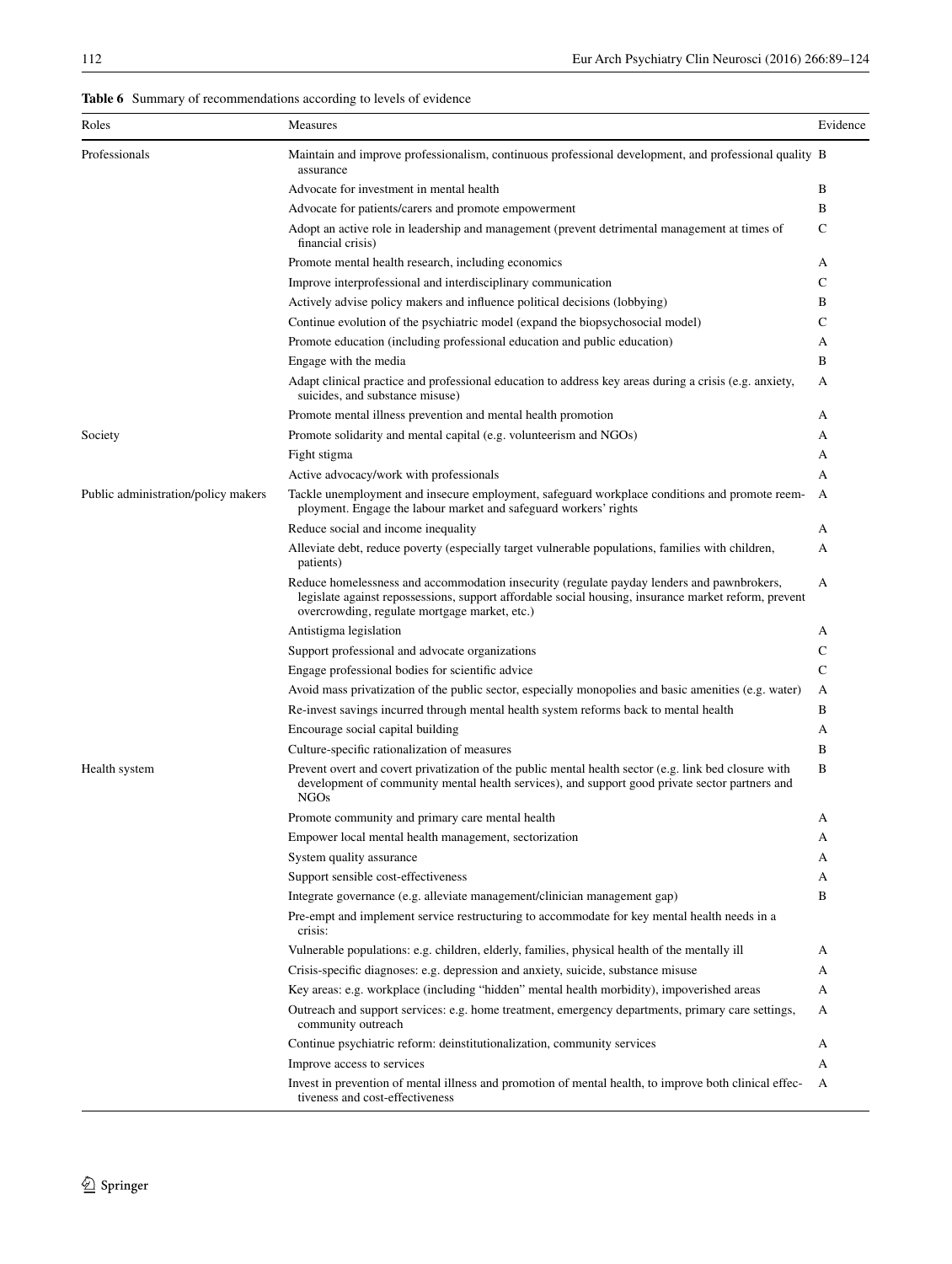<span id="page-23-0"></span>

|  |  | Table 6 Summary of recommendations according to levels of evidence |  |  |  |  |
|--|--|--------------------------------------------------------------------|--|--|--|--|
|--|--|--------------------------------------------------------------------|--|--|--|--|

| Roles                               | Measures                                                                                                                                                                                                                                            | Evidence |
|-------------------------------------|-----------------------------------------------------------------------------------------------------------------------------------------------------------------------------------------------------------------------------------------------------|----------|
| Professionals                       | Maintain and improve professionalism, continuous professional development, and professional quality B<br>assurance                                                                                                                                  |          |
|                                     | Advocate for investment in mental health                                                                                                                                                                                                            | В        |
|                                     | Advocate for patients/carers and promote empowerment                                                                                                                                                                                                | B        |
|                                     | Adopt an active role in leadership and management (prevent detrimental management at times of<br>financial crisis)                                                                                                                                  | C        |
|                                     | Promote mental health research, including economics                                                                                                                                                                                                 | А        |
|                                     | Improve interprofessional and interdisciplinary communication                                                                                                                                                                                       | C        |
|                                     | Actively advise policy makers and influence political decisions (lobbying)                                                                                                                                                                          | В        |
|                                     | Continue evolution of the psychiatric model (expand the biopsychosocial model)                                                                                                                                                                      | С        |
|                                     | Promote education (including professional education and public education)                                                                                                                                                                           | А        |
|                                     | Engage with the media                                                                                                                                                                                                                               | В        |
|                                     | Adapt clinical practice and professional education to address key areas during a crisis (e.g. anxiety,<br>suicides, and substance misuse)                                                                                                           | А        |
|                                     | Promote mental illness prevention and mental health promotion                                                                                                                                                                                       | А        |
| Society                             | Promote solidarity and mental capital (e.g. volunteerism and NGOs)                                                                                                                                                                                  | А        |
|                                     | Fight stigma                                                                                                                                                                                                                                        | А        |
|                                     | Active advocacy/work with professionals                                                                                                                                                                                                             | А        |
| Public administration/policy makers | Tackle unemployment and insecure employment, safeguard workplace conditions and promote reem-<br>ployment. Engage the labour market and safeguard workers' rights                                                                                   | А        |
|                                     | Reduce social and income inequality                                                                                                                                                                                                                 | А        |
|                                     | Alleviate debt, reduce poverty (especially target vulnerable populations, families with children,<br>patients)                                                                                                                                      | А        |
|                                     | Reduce homelessness and accommodation insecurity (regulate payday lenders and pawnbrokers,<br>legislate against repossessions, support affordable social housing, insurance market reform, prevent<br>overcrowding, regulate mortgage market, etc.) | А        |
|                                     | Antistigma legislation                                                                                                                                                                                                                              | А        |
|                                     | Support professional and advocate organizations                                                                                                                                                                                                     | C        |
|                                     | Engage professional bodies for scientific advice                                                                                                                                                                                                    | C        |
|                                     | Avoid mass privatization of the public sector, especially monopolies and basic amenities (e.g. water)                                                                                                                                               | А        |
|                                     | Re-invest savings incurred through mental health system reforms back to mental health                                                                                                                                                               | B        |
|                                     | Encourage social capital building                                                                                                                                                                                                                   | А        |
|                                     | Culture-specific rationalization of measures                                                                                                                                                                                                        | B        |
| Health system                       | Prevent overt and covert privatization of the public mental health sector (e.g. link bed closure with<br>development of community mental health services), and support good private sector partners and<br><b>NGOs</b>                              | B        |
|                                     | Promote community and primary care mental health                                                                                                                                                                                                    | А        |
|                                     | Empower local mental health management, sectorization                                                                                                                                                                                               | А        |
|                                     | System quality assurance                                                                                                                                                                                                                            | А        |
|                                     | Support sensible cost-effectiveness                                                                                                                                                                                                                 | А        |
|                                     | Integrate governance (e.g. alleviate management/clinician management gap)                                                                                                                                                                           | B        |
|                                     | Pre-empt and implement service restructuring to accommodate for key mental health needs in a<br>crisis:                                                                                                                                             |          |
|                                     | Vulnerable populations: e.g. children, elderly, families, physical health of the mentally ill                                                                                                                                                       | A        |
|                                     | Crisis-specific diagnoses: e.g. depression and anxiety, suicide, substance misuse                                                                                                                                                                   | А        |
|                                     | Key areas: e.g. workplace (including "hidden" mental health morbidity), impoverished areas                                                                                                                                                          | А        |
|                                     | Outreach and support services: e.g. home treatment, emergency departments, primary care settings,<br>community outreach                                                                                                                             | А        |
|                                     | Continue psychiatric reform: deinstitutionalization, community services                                                                                                                                                                             | A        |
|                                     | Improve access to services                                                                                                                                                                                                                          | A        |
|                                     | Invest in prevention of mental illness and promotion of mental health, to improve both clinical effec-<br>tiveness and cost-effectiveness                                                                                                           | А        |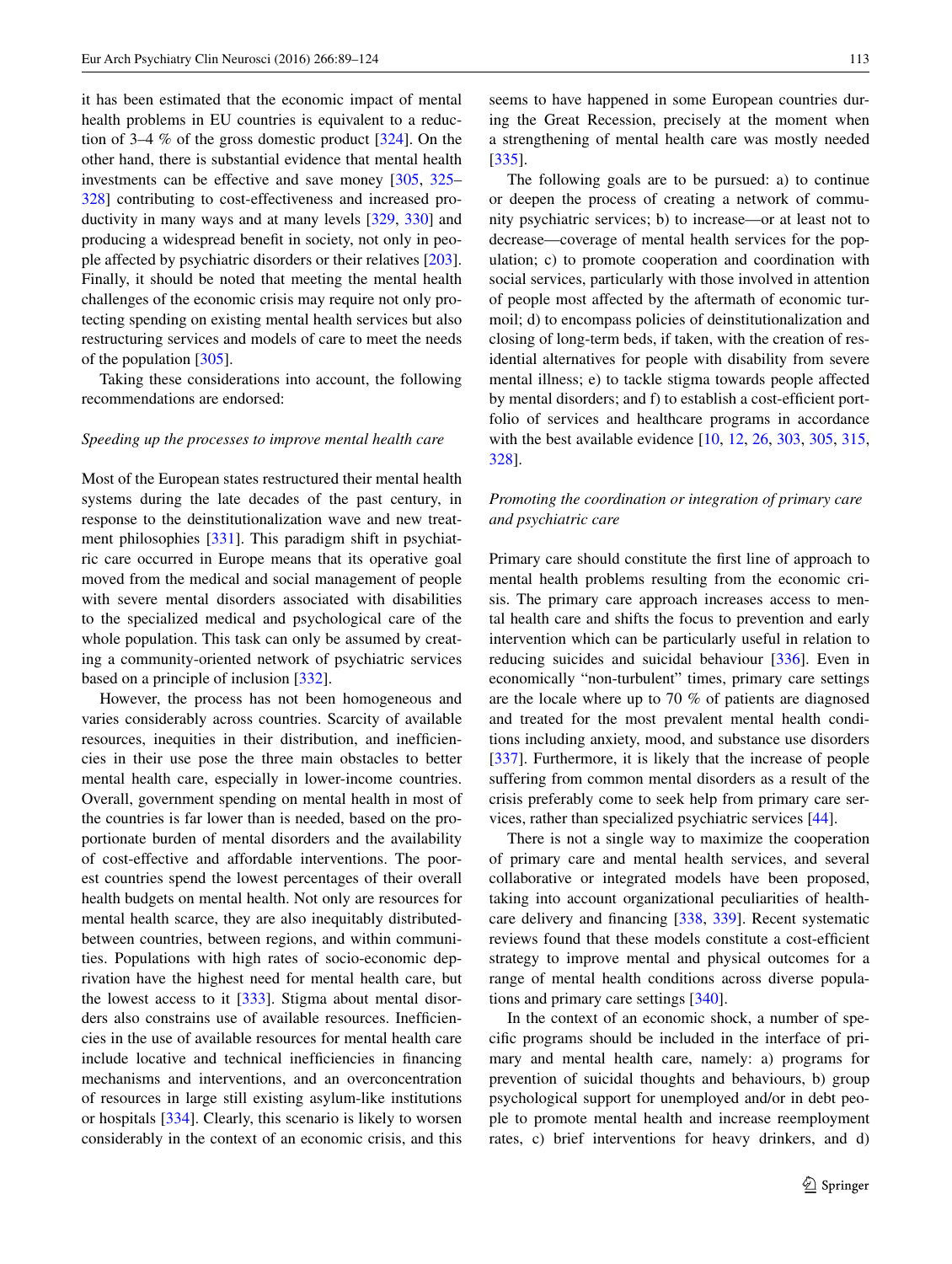it has been estimated that the economic impact of mental health problems in EU countries is equivalent to a reduction of 3–4 % of the gross domestic product [[324\]](#page-34-31). On the other hand, there is substantial evidence that mental health investments can be effective and save money [\[305](#page-34-12), [325](#page-34-32)– [328](#page-34-33)] contributing to cost-effectiveness and increased productivity in many ways and at many levels [\[329](#page-34-34), [330](#page-34-35)] and producing a widespread benefit in society, not only in people affected by psychiatric disorders or their relatives [\[203](#page-31-31)]. Finally, it should be noted that meeting the mental health challenges of the economic crisis may require not only protecting spending on existing mental health services but also restructuring services and models of care to meet the needs of the population [\[305](#page-34-12)].

Taking these considerations into account, the following recommendations are endorsed:

#### *Speeding up the processes to improve mental health care*

Most of the European states restructured their mental health systems during the late decades of the past century, in response to the deinstitutionalization wave and new treatment philosophies [\[331](#page-34-36)]. This paradigm shift in psychiatric care occurred in Europe means that its operative goal moved from the medical and social management of people with severe mental disorders associated with disabilities to the specialized medical and psychological care of the whole population. This task can only be assumed by creating a community-oriented network of psychiatric services based on a principle of inclusion [\[332](#page-34-37)].

However, the process has not been homogeneous and varies considerably across countries. Scarcity of available resources, inequities in their distribution, and inefficiencies in their use pose the three main obstacles to better mental health care, especially in lower-income countries. Overall, government spending on mental health in most of the countries is far lower than is needed, based on the proportionate burden of mental disorders and the availability of cost-effective and affordable interventions. The poorest countries spend the lowest percentages of their overall health budgets on mental health. Not only are resources for mental health scarce, they are also inequitably distributedbetween countries, between regions, and within communities. Populations with high rates of socio-economic deprivation have the highest need for mental health care, but the lowest access to it [\[333](#page-34-38)]. Stigma about mental disorders also constrains use of available resources. Inefficiencies in the use of available resources for mental health care include locative and technical inefficiencies in financing mechanisms and interventions, and an overconcentration of resources in large still existing asylum-like institutions or hospitals [[334\]](#page-35-0). Clearly, this scenario is likely to worsen considerably in the context of an economic crisis, and this

seems to have happened in some European countries during the Great Recession, precisely at the moment when a strengthening of mental health care was mostly needed [\[335](#page-35-1)].

The following goals are to be pursued: a) to continue or deepen the process of creating a network of community psychiatric services; b) to increase—or at least not to decrease—coverage of mental health services for the population; c) to promote cooperation and coordination with social services, particularly with those involved in attention of people most affected by the aftermath of economic turmoil; d) to encompass policies of deinstitutionalization and closing of long-term beds, if taken, with the creation of residential alternatives for people with disability from severe mental illness; e) to tackle stigma towards people affected by mental disorders; and f) to establish a cost-efficient portfolio of services and healthcare programs in accordance with the best available evidence [\[10](#page-26-8), [12,](#page-26-10) [26,](#page-27-7) [303](#page-34-10), [305](#page-34-12), [315,](#page-34-22) [328](#page-34-33)].

# *Promoting the coordination or integration of primary care and psychiatric care*

Primary care should constitute the first line of approach to mental health problems resulting from the economic crisis. The primary care approach increases access to mental health care and shifts the focus to prevention and early intervention which can be particularly useful in relation to reducing suicides and suicidal behaviour [[336\]](#page-35-2). Even in economically "non-turbulent" times, primary care settings are the locale where up to 70 % of patients are diagnosed and treated for the most prevalent mental health conditions including anxiety, mood, and substance use disorders [\[337](#page-35-3)]. Furthermore, it is likely that the increase of people suffering from common mental disorders as a result of the crisis preferably come to seek help from primary care services, rather than specialized psychiatric services [[44\]](#page-27-22).

There is not a single way to maximize the cooperation of primary care and mental health services, and several collaborative or integrated models have been proposed, taking into account organizational peculiarities of healthcare delivery and financing [[338,](#page-35-4) [339](#page-35-5)]. Recent systematic reviews found that these models constitute a cost-efficient strategy to improve mental and physical outcomes for a range of mental health conditions across diverse populations and primary care settings [[340\]](#page-35-6).

In the context of an economic shock, a number of specific programs should be included in the interface of primary and mental health care, namely: a) programs for prevention of suicidal thoughts and behaviours, b) group psychological support for unemployed and/or in debt people to promote mental health and increase reemployment rates, c) brief interventions for heavy drinkers, and d)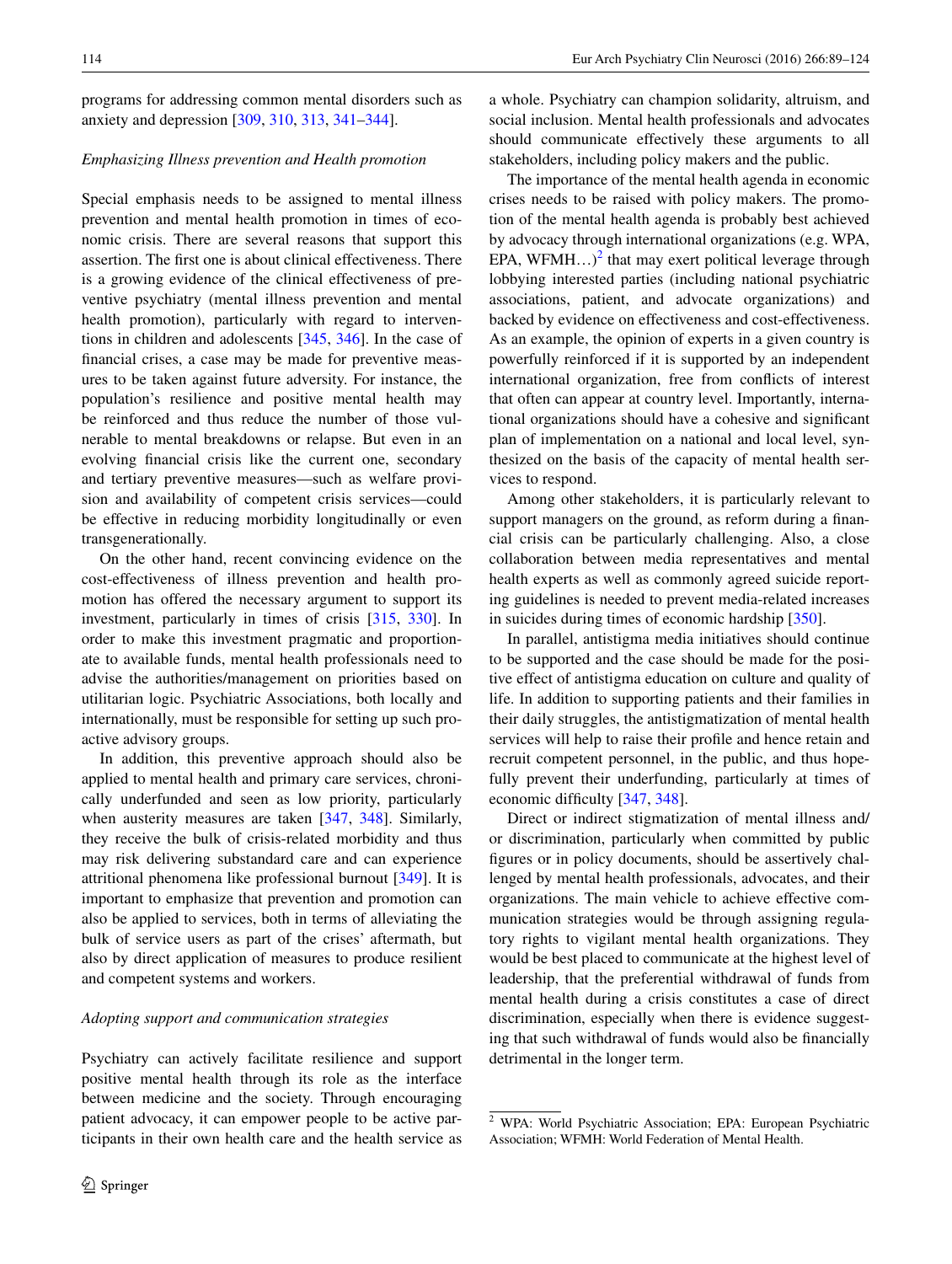## *Emphasizing Illness prevention and Health promotion*

Special emphasis needs to be assigned to mental illness prevention and mental health promotion in times of economic crisis. There are several reasons that support this assertion. The first one is about clinical effectiveness. There is a growing evidence of the clinical effectiveness of preventive psychiatry (mental illness prevention and mental health promotion), particularly with regard to interventions in children and adolescents [[345,](#page-35-9) [346](#page-35-10)]. In the case of financial crises, a case may be made for preventive measures to be taken against future adversity. For instance, the population's resilience and positive mental health may be reinforced and thus reduce the number of those vulnerable to mental breakdowns or relapse. But even in an evolving financial crisis like the current one, secondary and tertiary preventive measures—such as welfare provision and availability of competent crisis services—could be effective in reducing morbidity longitudinally or even transgenerationally.

On the other hand, recent convincing evidence on the cost-effectiveness of illness prevention and health promotion has offered the necessary argument to support its investment, particularly in times of crisis [\[315](#page-34-22), [330](#page-34-35)]. In order to make this investment pragmatic and proportionate to available funds, mental health professionals need to advise the authorities/management on priorities based on utilitarian logic. Psychiatric Associations, both locally and internationally, must be responsible for setting up such proactive advisory groups.

In addition, this preventive approach should also be applied to mental health and primary care services, chronically underfunded and seen as low priority, particularly when austerity measures are taken [\[347](#page-35-11), [348\]](#page-35-12). Similarly, they receive the bulk of crisis-related morbidity and thus may risk delivering substandard care and can experience attritional phenomena like professional burnout [\[349](#page-35-13)]. It is important to emphasize that prevention and promotion can also be applied to services, both in terms of alleviating the bulk of service users as part of the crises' aftermath, but also by direct application of measures to produce resilient and competent systems and workers.

## *Adopting support and communication strategies*

Psychiatry can actively facilitate resilience and support positive mental health through its role as the interface between medicine and the society. Through encouraging patient advocacy, it can empower people to be active participants in their own health care and the health service as a whole. Psychiatry can champion solidarity, altruism, and social inclusion. Mental health professionals and advocates should communicate effectively these arguments to all stakeholders, including policy makers and the public.

The importance of the mental health agenda in economic crises needs to be raised with policy makers. The promotion of the mental health agenda is probably best achieved by advocacy through international organizations (e.g. WPA, EPA, WFMH...)<sup>[2](#page-25-0)</sup> that may exert political leverage through lobbying interested parties (including national psychiatric associations, patient, and advocate organizations) and backed by evidence on effectiveness and cost-effectiveness. As an example, the opinion of experts in a given country is powerfully reinforced if it is supported by an independent international organization, free from conflicts of interest that often can appear at country level. Importantly, international organizations should have a cohesive and significant plan of implementation on a national and local level, synthesized on the basis of the capacity of mental health services to respond.

Among other stakeholders, it is particularly relevant to support managers on the ground, as reform during a financial crisis can be particularly challenging. Also, a close collaboration between media representatives and mental health experts as well as commonly agreed suicide reporting guidelines is needed to prevent media-related increases in suicides during times of economic hardship [\[350](#page-35-14)].

In parallel, antistigma media initiatives should continue to be supported and the case should be made for the positive effect of antistigma education on culture and quality of life. In addition to supporting patients and their families in their daily struggles, the antistigmatization of mental health services will help to raise their profile and hence retain and recruit competent personnel, in the public, and thus hopefully prevent their underfunding, particularly at times of economic difficulty [\[347](#page-35-11), [348](#page-35-12)].

Direct or indirect stigmatization of mental illness and/ or discrimination, particularly when committed by public figures or in policy documents, should be assertively challenged by mental health professionals, advocates, and their organizations. The main vehicle to achieve effective communication strategies would be through assigning regulatory rights to vigilant mental health organizations. They would be best placed to communicate at the highest level of leadership, that the preferential withdrawal of funds from mental health during a crisis constitutes a case of direct discrimination, especially when there is evidence suggesting that such withdrawal of funds would also be financially detrimental in the longer term.

<span id="page-25-0"></span><sup>2</sup> WPA: World Psychiatric Association; EPA: European Psychiatric Association; WFMH: World Federation of Mental Health.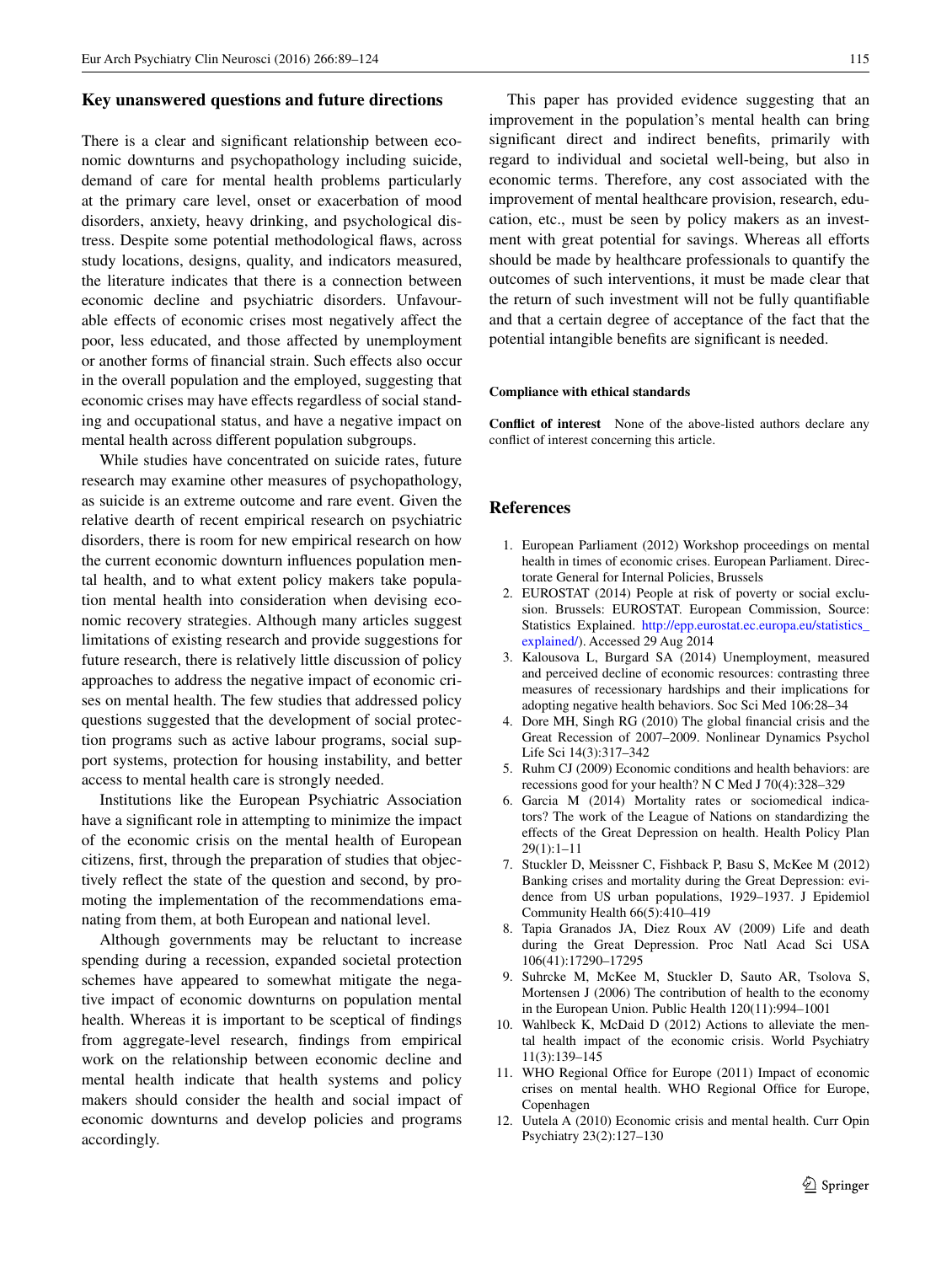## **Key unanswered questions and future directions**

There is a clear and significant relationship between economic downturns and psychopathology including suicide, demand of care for mental health problems particularly at the primary care level, onset or exacerbation of mood disorders, anxiety, heavy drinking, and psychological distress. Despite some potential methodological flaws, across study locations, designs, quality, and indicators measured, the literature indicates that there is a connection between economic decline and psychiatric disorders. Unfavourable effects of economic crises most negatively affect the poor, less educated, and those affected by unemployment or another forms of financial strain. Such effects also occur in the overall population and the employed, suggesting that economic crises may have effects regardless of social standing and occupational status, and have a negative impact on mental health across different population subgroups.

While studies have concentrated on suicide rates, future research may examine other measures of psychopathology, as suicide is an extreme outcome and rare event. Given the relative dearth of recent empirical research on psychiatric disorders, there is room for new empirical research on how the current economic downturn influences population mental health, and to what extent policy makers take population mental health into consideration when devising economic recovery strategies. Although many articles suggest limitations of existing research and provide suggestions for future research, there is relatively little discussion of policy approaches to address the negative impact of economic crises on mental health. The few studies that addressed policy questions suggested that the development of social protection programs such as active labour programs, social support systems, protection for housing instability, and better access to mental health care is strongly needed.

Institutions like the European Psychiatric Association have a significant role in attempting to minimize the impact of the economic crisis on the mental health of European citizens, first, through the preparation of studies that objectively reflect the state of the question and second, by promoting the implementation of the recommendations emanating from them, at both European and national level.

Although governments may be reluctant to increase spending during a recession, expanded societal protection schemes have appeared to somewhat mitigate the negative impact of economic downturns on population mental health. Whereas it is important to be sceptical of findings from aggregate-level research, findings from empirical work on the relationship between economic decline and mental health indicate that health systems and policy makers should consider the health and social impact of economic downturns and develop policies and programs accordingly.

This paper has provided evidence suggesting that an improvement in the population's mental health can bring significant direct and indirect benefits, primarily with regard to individual and societal well-being, but also in economic terms. Therefore, any cost associated with the improvement of mental healthcare provision, research, education, etc., must be seen by policy makers as an investment with great potential for savings. Whereas all efforts should be made by healthcare professionals to quantify the outcomes of such interventions, it must be made clear that the return of such investment will not be fully quantifiable and that a certain degree of acceptance of the fact that the potential intangible benefits are significant is needed.

#### **Compliance with ethical standards**

**Conflict of interest** None of the above-listed authors declare any conflict of interest concerning this article.

## **References**

- <span id="page-26-0"></span>1. European Parliament (2012) Workshop proceedings on mental health in times of economic crises. European Parliament. Directorate General for Internal Policies, Brussels
- <span id="page-26-1"></span>2. EUROSTAT (2014) People at risk of poverty or social exclusion. Brussels: EUROSTAT. European Commission, Source: Statistics Explained. [http://epp.eurostat.ec.europa.eu/statistics\\_](http://epp.eurostat.ec.europa.eu/statistics_explained/) [explained/\)](http://epp.eurostat.ec.europa.eu/statistics_explained/). Accessed 29 Aug 2014
- <span id="page-26-2"></span>3. Kalousova L, Burgard SA (2014) Unemployment, measured and perceived decline of economic resources: contrasting three measures of recessionary hardships and their implications for adopting negative health behaviors. Soc Sci Med 106:28–34
- <span id="page-26-3"></span>4. Dore MH, Singh RG (2010) The global financial crisis and the Great Recession of 2007–2009. Nonlinear Dynamics Psychol Life Sci 14(3):317–342
- <span id="page-26-4"></span>5. Ruhm CJ (2009) Economic conditions and health behaviors: are recessions good for your health? N C Med J 70(4):328–329
- <span id="page-26-5"></span>6. Garcia M (2014) Mortality rates or sociomedical indicators? The work of the League of Nations on standardizing the effects of the Great Depression on health. Health Policy Plan 29(1):1–11
- 7. Stuckler D, Meissner C, Fishback P, Basu S, McKee M (2012) Banking crises and mortality during the Great Depression: evidence from US urban populations, 1929–1937. J Epidemiol Community Health 66(5):410–419
- <span id="page-26-6"></span>8. Tapia Granados JA, Diez Roux AV (2009) Life and death during the Great Depression. Proc Natl Acad Sci USA 106(41):17290–17295
- <span id="page-26-7"></span>9. Suhrcke M, McKee M, Stuckler D, Sauto AR, Tsolova S, Mortensen J (2006) The contribution of health to the economy in the European Union. Public Health 120(11):994–1001
- <span id="page-26-8"></span>10. Wahlbeck K, McDaid D (2012) Actions to alleviate the mental health impact of the economic crisis. World Psychiatry 11(3):139–145
- <span id="page-26-9"></span>11. WHO Regional Office for Europe (2011) Impact of economic crises on mental health. WHO Regional Office for Europe, Copenhagen
- <span id="page-26-10"></span>12. Uutela A (2010) Economic crisis and mental health. Curr Opin Psychiatry 23(2):127–130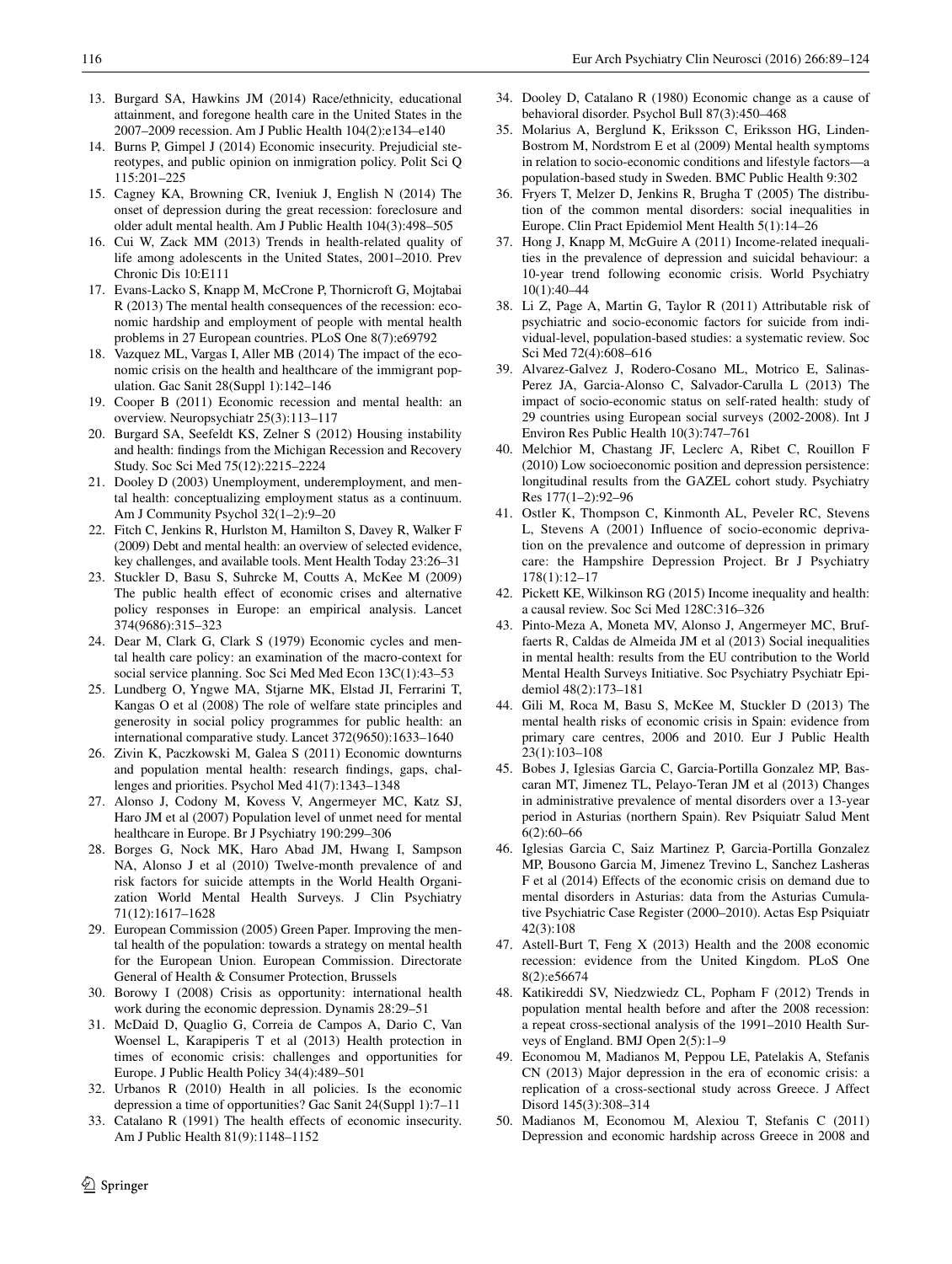- <span id="page-27-0"></span>13. Burgard SA, Hawkins JM (2014) Race/ethnicity, educational attainment, and foregone health care in the United States in the 2007–2009 recession. Am J Public Health 104(2):e134–e140
- 14. Burns P, Gimpel J (2014) Economic insecurity. Prejudicial stereotypes, and public opinion on inmigration policy. Polit Sci Q 115:201–225
- <span id="page-27-30"></span>15. Cagney KA, Browning CR, Iveniuk J, English N (2014) The onset of depression during the great recession: foreclosure and older adult mental health. Am J Public Health 104(3):498–505
- 16. Cui W, Zack MM (2013) Trends in health-related quality of life among adolescents in the United States, 2001–2010. Prev Chronic Dis 10:E111
- <span id="page-27-29"></span>17. Evans-Lacko S, Knapp M, McCrone P, Thornicroft G, Mojtabai R (2013) The mental health consequences of the recession: economic hardship and employment of people with mental health problems in 27 European countries. PLoS One 8(7):e69792
- <span id="page-27-1"></span>18. Vazquez ML, Vargas I, Aller MB (2014) The impact of the economic crisis on the health and healthcare of the immigrant population. Gac Sanit 28(Suppl 1):142–146
- <span id="page-27-2"></span>19. Cooper B (2011) Economic recession and mental health: an overview. Neuropsychiatr 25(3):113–117
- <span id="page-27-3"></span>20. Burgard SA, Seefeldt KS, Zelner S (2012) Housing instability and health: findings from the Michigan Recession and Recovery Study. Soc Sci Med 75(12):2215–2224
- 21. Dooley D (2003) Unemployment, underemployment, and mental health: conceptualizing employment status as a continuum. Am J Community Psychol 32(1–2):9–20
- <span id="page-27-4"></span>22. Fitch C, Jenkins R, Hurlston M, Hamilton S, Davey R, Walker F (2009) Debt and mental health: an overview of selected evidence, key challenges, and available tools. Ment Health Today 23:26–31
- <span id="page-27-5"></span>23. Stuckler D, Basu S, Suhrcke M, Coutts A, McKee M (2009) The public health effect of economic crises and alternative policy responses in Europe: an empirical analysis. Lancet 374(9686):315–323
- 24. Dear M, Clark G, Clark S (1979) Economic cycles and mental health care policy: an examination of the macro-context for social service planning. Soc Sci Med Med Econ 13C(1):43–53
- <span id="page-27-6"></span>25. Lundberg O, Yngwe MA, Stjarne MK, Elstad JI, Ferrarini T, Kangas O et al (2008) The role of welfare state principles and generosity in social policy programmes for public health: an international comparative study. Lancet 372(9650):1633–1640
- <span id="page-27-7"></span>26. Zivin K, Paczkowski M, Galea S (2011) Economic downturns and population mental health: research findings, gaps, challenges and priorities. Psychol Med 41(7):1343–1348
- <span id="page-27-8"></span>27. Alonso J, Codony M, Kovess V, Angermeyer MC, Katz SJ, Haro JM et al (2007) Population level of unmet need for mental healthcare in Europe. Br J Psychiatry 190:299–306
- 28. Borges G, Nock MK, Haro Abad JM, Hwang I, Sampson NA, Alonso J et al (2010) Twelve-month prevalence of and risk factors for suicide attempts in the World Health Organization World Mental Health Surveys. J Clin Psychiatry 71(12):1617–1628
- <span id="page-27-9"></span>29. European Commission (2005) Green Paper. Improving the mental health of the population: towards a strategy on mental health for the European Union. European Commission. Directorate General of Health & Consumer Protection, Brussels
- <span id="page-27-10"></span>30. Borowy I (2008) Crisis as opportunity: international health work during the economic depression. Dynamis 28:29–51
- 31. McDaid D, Quaglio G, Correia de Campos A, Dario C, Van Woensel L, Karapiperis T et al (2013) Health protection in times of economic crisis: challenges and opportunities for Europe. J Public Health Policy 34(4):489–501
- <span id="page-27-11"></span>32. Urbanos R (2010) Health in all policies. Is the economic depression a time of opportunities? Gac Sanit 24(Suppl 1):7–11
- <span id="page-27-12"></span>33. Catalano R (1991) The health effects of economic insecurity. Am J Public Health 81(9):1148–1152
- 34. Dooley D, Catalano R (1980) Economic change as a cause of behavioral disorder. Psychol Bull 87(3):450–468
- <span id="page-27-13"></span>35. Molarius A, Berglund K, Eriksson C, Eriksson HG, Linden-Bostrom M, Nordstrom E et al (2009) Mental health symptoms in relation to socio-economic conditions and lifestyle factors—a population-based study in Sweden. BMC Public Health 9:302
- <span id="page-27-14"></span>36. Fryers T, Melzer D, Jenkins R, Brugha T (2005) The distribution of the common mental disorders: social inequalities in Europe. Clin Pract Epidemiol Ment Health 5(1):14–26
- <span id="page-27-15"></span>37. Hong J, Knapp M, McGuire A (2011) Income-related inequalities in the prevalence of depression and suicidal behaviour: a 10-year trend following economic crisis. World Psychiatry 10(1):40–44
- <span id="page-27-16"></span>38. Li Z, Page A, Martin G, Taylor R (2011) Attributable risk of psychiatric and socio-economic factors for suicide from individual-level, population-based studies: a systematic review. Soc Sci Med 72(4):608–616
- <span id="page-27-17"></span>39. Alvarez-Galvez J, Rodero-Cosano ML, Motrico E, Salinas-Perez JA, Garcia-Alonso C, Salvador-Carulla L (2013) The impact of socio-economic status on self-rated health: study of 29 countries using European social surveys (2002-2008). Int J Environ Res Public Health 10(3):747–761
- <span id="page-27-18"></span>40. Melchior M, Chastang JF, Leclerc A, Ribet C, Rouillon F (2010) Low socioeconomic position and depression persistence: longitudinal results from the GAZEL cohort study. Psychiatry Res 177(1–2):92–96
- <span id="page-27-19"></span>41. Ostler K, Thompson C, Kinmonth AL, Peveler RC, Stevens L, Stevens A (2001) Influence of socio-economic deprivation on the prevalence and outcome of depression in primary care: the Hampshire Depression Project. Br J Psychiatry 178(1):12–17
- <span id="page-27-20"></span>42. Pickett KE, Wilkinson RG (2015) Income inequality and health: a causal review. Soc Sci Med 128C:316–326
- <span id="page-27-21"></span>43. Pinto-Meza A, Moneta MV, Alonso J, Angermeyer MC, Bruffaerts R, Caldas de Almeida JM et al (2013) Social inequalities in mental health: results from the EU contribution to the World Mental Health Surveys Initiative. Soc Psychiatry Psychiatr Epidemiol 48(2):173–181
- <span id="page-27-22"></span>44. Gili M, Roca M, Basu S, McKee M, Stuckler D (2013) The mental health risks of economic crisis in Spain: evidence from primary care centres, 2006 and 2010. Eur J Public Health 23(1):103–108
- <span id="page-27-23"></span>45. Bobes J, Iglesias Garcia C, Garcia-Portilla Gonzalez MP, Bascaran MT, Jimenez TL, Pelayo-Teran JM et al (2013) Changes in administrative prevalence of mental disorders over a 13-year period in Asturias (northern Spain). Rev Psiquiatr Salud Ment 6(2):60–66
- <span id="page-27-24"></span>46. Iglesias Garcia C, Saiz Martinez P, Garcia-Portilla Gonzalez MP, Bousono Garcia M, Jimenez Trevino L, Sanchez Lasheras F et al (2014) Effects of the economic crisis on demand due to mental disorders in Asturias: data from the Asturias Cumulative Psychiatric Case Register (2000–2010). Actas Esp Psiquiatr 42(3):108
- <span id="page-27-25"></span>47. Astell-Burt T, Feng X (2013) Health and the 2008 economic recession: evidence from the United Kingdom. PLoS One 8(2):e56674
- <span id="page-27-26"></span>48. Katikireddi SV, Niedzwiedz CL, Popham F (2012) Trends in population mental health before and after the 2008 recession: a repeat cross-sectional analysis of the 1991–2010 Health Surveys of England. BMJ Open 2(5):1–9
- <span id="page-27-27"></span>49. Economou M, Madianos M, Peppou LE, Patelakis A, Stefanis CN (2013) Major depression in the era of economic crisis: a replication of a cross-sectional study across Greece. J Affect Disord 145(3):308–314
- <span id="page-27-28"></span>50. Madianos M, Economou M, Alexiou T, Stefanis C (2011) Depression and economic hardship across Greece in 2008 and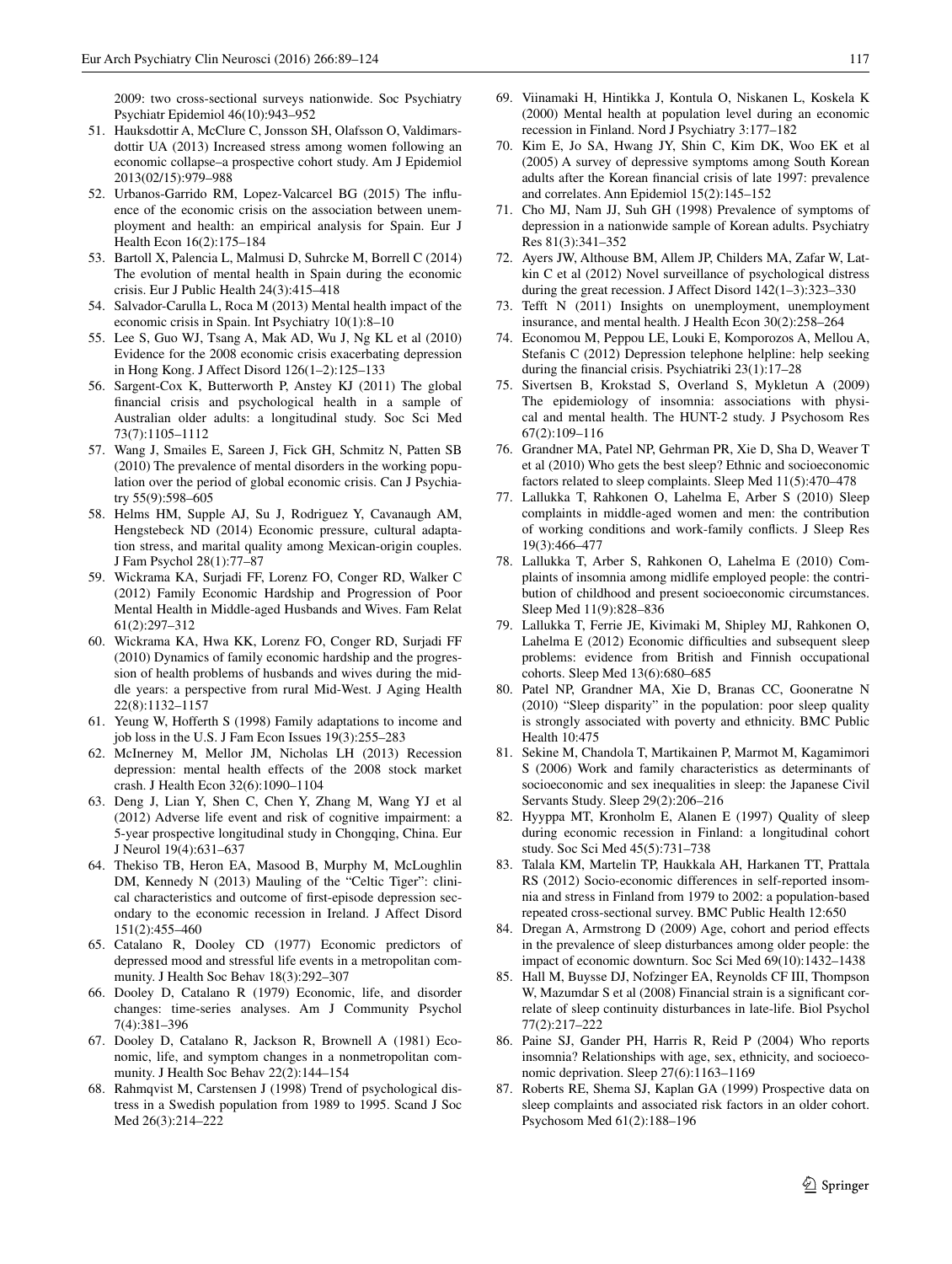2009: two cross-sectional surveys nationwide. Soc Psychiatry Psychiatr Epidemiol 46(10):943–952

- <span id="page-28-0"></span>51. Hauksdottir A, McClure C, Jonsson SH, Olafsson O, Valdimarsdottir UA (2013) Increased stress among women following an economic collapse–a prospective cohort study. Am J Epidemiol 2013(02/15):979–988
- <span id="page-28-1"></span>52. Urbanos-Garrido RM, Lopez-Valcarcel BG (2015) The influence of the economic crisis on the association between unemployment and health: an empirical analysis for Spain. Eur J Health Econ 16(2):175–184
- <span id="page-28-2"></span>53. Bartoll X, Palencia L, Malmusi D, Suhrcke M, Borrell C (2014) The evolution of mental health in Spain during the economic crisis. Eur J Public Health 24(3):415–418
- <span id="page-28-3"></span>54. Salvador-Carulla L, Roca M (2013) Mental health impact of the economic crisis in Spain. Int Psychiatry 10(1):8–10
- <span id="page-28-4"></span>55. Lee S, Guo WJ, Tsang A, Mak AD, Wu J, Ng KL et al (2010) Evidence for the 2008 economic crisis exacerbating depression in Hong Kong. J Affect Disord 126(1–2):125–133
- <span id="page-28-5"></span>56. Sargent-Cox K, Butterworth P, Anstey KJ (2011) The global financial crisis and psychological health in a sample of Australian older adults: a longitudinal study. Soc Sci Med 73(7):1105–1112
- <span id="page-28-6"></span>57. Wang J, Smailes E, Sareen J, Fick GH, Schmitz N, Patten SB (2010) The prevalence of mental disorders in the working population over the period of global economic crisis. Can J Psychiatry 55(9):598–605
- <span id="page-28-7"></span>58. Helms HM, Supple AJ, Su J, Rodriguez Y, Cavanaugh AM, Hengstebeck ND (2014) Economic pressure, cultural adaptation stress, and marital quality among Mexican-origin couples. J Fam Psychol 28(1):77–87
- <span id="page-28-8"></span>59. Wickrama KA, Surjadi FF, Lorenz FO, Conger RD, Walker C (2012) Family Economic Hardship and Progression of Poor Mental Health in Middle-aged Husbands and Wives. Fam Relat 61(2):297–312
- <span id="page-28-9"></span>60. Wickrama KA, Hwa KK, Lorenz FO, Conger RD, Surjadi FF (2010) Dynamics of family economic hardship and the progression of health problems of husbands and wives during the middle years: a perspective from rural Mid-West. J Aging Health 22(8):1132–1157
- <span id="page-28-10"></span>61. Yeung W, Hofferth S (1998) Family adaptations to income and job loss in the U.S. J Fam Econ Issues 19(3):255–283
- <span id="page-28-11"></span>62. McInerney M, Mellor JM, Nicholas LH (2013) Recession depression: mental health effects of the 2008 stock market crash. J Health Econ 32(6):1090–1104
- <span id="page-28-12"></span>63. Deng J, Lian Y, Shen C, Chen Y, Zhang M, Wang YJ et al (2012) Adverse life event and risk of cognitive impairment: a 5-year prospective longitudinal study in Chongqing, China. Eur J Neurol 19(4):631–637
- <span id="page-28-13"></span>64. Thekiso TB, Heron EA, Masood B, Murphy M, McLoughlin DM, Kennedy N (2013) Mauling of the "Celtic Tiger": clinical characteristics and outcome of first-episode depression secondary to the economic recession in Ireland. J Affect Disord 151(2):455–460
- <span id="page-28-14"></span>65. Catalano R, Dooley CD (1977) Economic predictors of depressed mood and stressful life events in a metropolitan community. J Health Soc Behav 18(3):292–307
- 66. Dooley D, Catalano R (1979) Economic, life, and disorder changes: time-series analyses. Am J Community Psychol 7(4):381–396
- <span id="page-28-15"></span>67. Dooley D, Catalano R, Jackson R, Brownell A (1981) Economic, life, and symptom changes in a nonmetropolitan community. J Health Soc Behav 22(2):144–154
- <span id="page-28-20"></span>68. Rahmqvist M, Carstensen J (1998) Trend of psychological distress in a Swedish population from 1989 to 1995. Scand J Soc Med 26(3):214–222
- <span id="page-28-21"></span>69. Viinamaki H, Hintikka J, Kontula O, Niskanen L, Koskela K (2000) Mental health at population level during an economic recession in Finland. Nord J Psychiatry 3:177–182
- <span id="page-28-22"></span>70. Kim E, Jo SA, Hwang JY, Shin C, Kim DK, Woo EK et al (2005) A survey of depressive symptoms among South Korean adults after the Korean financial crisis of late 1997: prevalence and correlates. Ann Epidemiol 15(2):145–152
- <span id="page-28-23"></span>71. Cho MJ, Nam JJ, Suh GH (1998) Prevalence of symptoms of depression in a nationwide sample of Korean adults. Psychiatry Res 81(3):341–352
- <span id="page-28-24"></span>72. Ayers JW, Althouse BM, Allem JP, Childers MA, Zafar W, Latkin C et al (2012) Novel surveillance of psychological distress during the great recession. J Affect Disord 142(1–3):323–330
- <span id="page-28-25"></span>73. Tefft N (2011) Insights on unemployment, unemployment insurance, and mental health. J Health Econ 30(2):258–264
- <span id="page-28-18"></span>74. Economou M, Peppou LE, Louki E, Komporozos A, Mellou A, Stefanis C (2012) Depression telephone helpline: help seeking during the financial crisis. Psychiatriki 23(1):17–28
- <span id="page-28-26"></span>75. Sivertsen B, Krokstad S, Overland S, Mykletun A (2009) The epidemiology of insomnia: associations with physical and mental health. The HUNT-2 study. J Psychosom Res 67(2):109–116
- <span id="page-28-27"></span>76. Grandner MA, Patel NP, Gehrman PR, Xie D, Sha D, Weaver T et al (2010) Who gets the best sleep? Ethnic and socioeconomic factors related to sleep complaints. Sleep Med 11(5):470–478
- <span id="page-28-17"></span>77. Lallukka T, Rahkonen O, Lahelma E, Arber S (2010) Sleep complaints in middle-aged women and men: the contribution of working conditions and work-family conflicts. J Sleep Res 19(3):466–477
- 78. Lallukka T, Arber S, Rahkonen O, Lahelma E (2010) Complaints of insomnia among midlife employed people: the contribution of childhood and present socioeconomic circumstances. Sleep Med 11(9):828–836
- 79. Lallukka T, Ferrie JE, Kivimaki M, Shipley MJ, Rahkonen O, Lahelma E (2012) Economic difficulties and subsequent sleep problems: evidence from British and Finnish occupational cohorts. Sleep Med 13(6):680–685
- 80. Patel NP, Grandner MA, Xie D, Branas CC, Gooneratne N (2010) "Sleep disparity" in the population: poor sleep quality is strongly associated with poverty and ethnicity. BMC Public Health 10:475
- <span id="page-28-28"></span>81. Sekine M, Chandola T, Martikainen P, Marmot M, Kagamimori S (2006) Work and family characteristics as determinants of socioeconomic and sex inequalities in sleep: the Japanese Civil Servants Study. Sleep 29(2):206–216
- <span id="page-28-29"></span>82. Hyyppa MT, Kronholm E, Alanen E (1997) Quality of sleep during economic recession in Finland: a longitudinal cohort study. Soc Sci Med 45(5):731–738
- <span id="page-28-19"></span>83. Talala KM, Martelin TP, Haukkala AH, Harkanen TT, Prattala RS (2012) Socio-economic differences in self-reported insomnia and stress in Finland from 1979 to 2002: a population-based repeated cross-sectional survey. BMC Public Health 12:650
- <span id="page-28-16"></span>84. Dregan A, Armstrong D (2009) Age, cohort and period effects in the prevalence of sleep disturbances among older people: the impact of economic downturn. Soc Sci Med 69(10):1432–1438
- <span id="page-28-30"></span>85. Hall M, Buysse DJ, Nofzinger EA, Reynolds CF III, Thompson W, Mazumdar S et al (2008) Financial strain is a significant correlate of sleep continuity disturbances in late-life. Biol Psychol 77(2):217–222
- 86. Paine SJ, Gander PH, Harris R, Reid P (2004) Who reports insomnia? Relationships with age, sex, ethnicity, and socioeconomic deprivation. Sleep 27(6):1163–1169
- <span id="page-28-31"></span>87. Roberts RE, Shema SJ, Kaplan GA (1999) Prospective data on sleep complaints and associated risk factors in an older cohort. Psychosom Med 61(2):188–196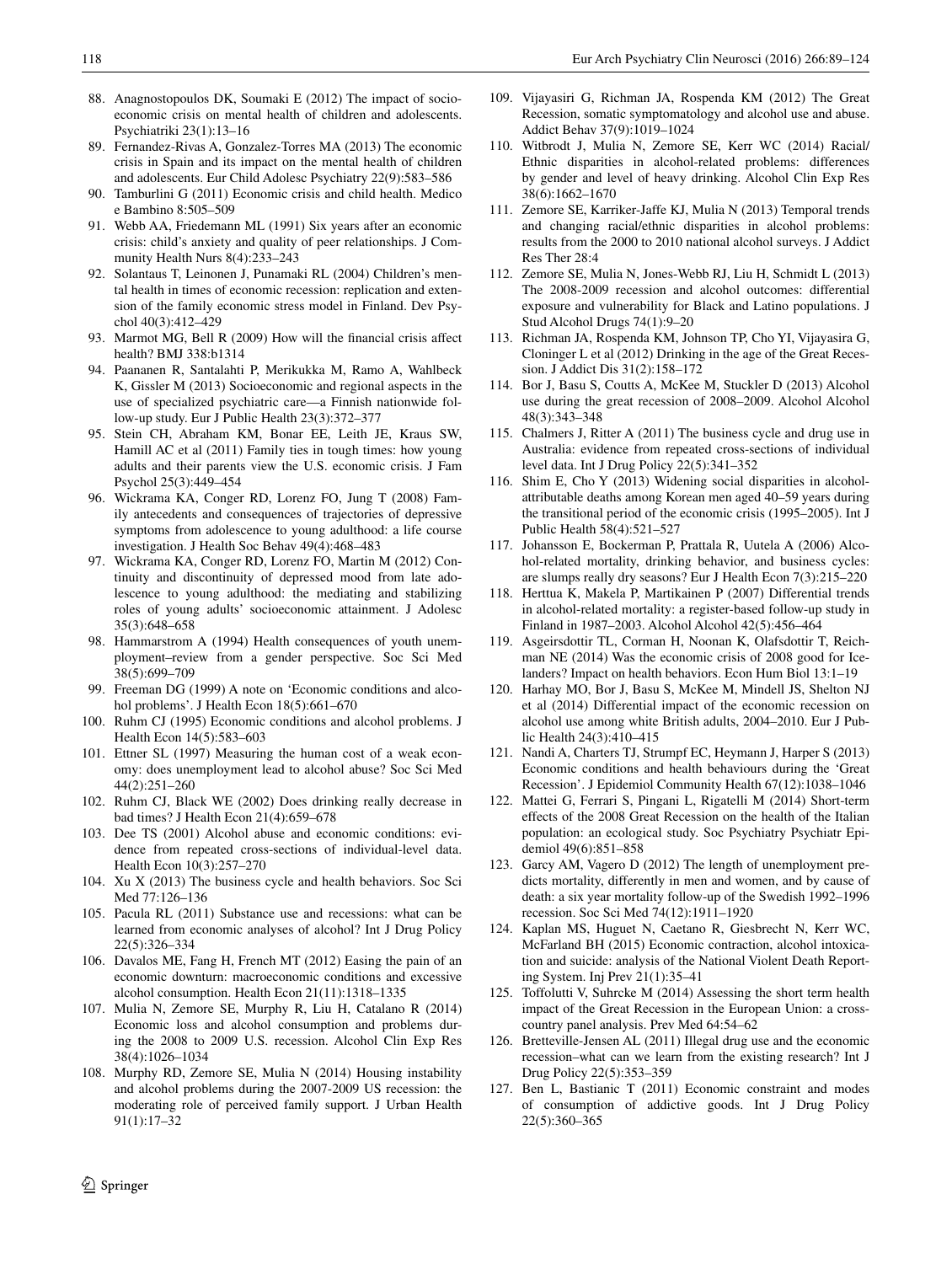- <span id="page-29-5"></span>88. Anagnostopoulos DK, Soumaki E (2012) The impact of socioeconomic crisis on mental health of children and adolescents. Psychiatriki 23(1):13–16
- 89. Fernandez-Rivas A, Gonzalez-Torres MA (2013) The economic crisis in Spain and its impact on the mental health of children and adolescents. Eur Child Adolesc Psychiatry 22(9):583–586
- 90. Tamburlini G (2011) Economic crisis and child health. Medico e Bambino 8:505–509
- <span id="page-29-6"></span>91. Webb AA, Friedemann ML (1991) Six years after an economic crisis: child's anxiety and quality of peer relationships. J Community Health Nurs 8(4):233–243
- <span id="page-29-7"></span>92. Solantaus T, Leinonen J, Punamaki RL (2004) Children's mental health in times of economic recession: replication and extension of the family economic stress model in Finland. Dev Psychol 40(3):412–429
- <span id="page-29-8"></span>93. Marmot MG, Bell R (2009) How will the financial crisis affect health? BMJ 338:b1314
- <span id="page-29-9"></span>94. Paananen R, Santalahti P, Merikukka M, Ramo A, Wahlbeck K, Gissler M (2013) Socioeconomic and regional aspects in the use of specialized psychiatric care—a Finnish nationwide follow-up study. Eur J Public Health 23(3):372–377
- <span id="page-29-10"></span>95. Stein CH, Abraham KM, Bonar EE, Leith JE, Kraus SW, Hamill AC et al (2011) Family ties in tough times: how young adults and their parents view the U.S. economic crisis. J Fam Psychol 25(3):449–454
- <span id="page-29-11"></span>96. Wickrama KA, Conger RD, Lorenz FO, Jung T (2008) Family antecedents and consequences of trajectories of depressive symptoms from adolescence to young adulthood: a life course investigation. J Health Soc Behav 49(4):468–483
- <span id="page-29-12"></span>97. Wickrama KA, Conger RD, Lorenz FO, Martin M (2012) Continuity and discontinuity of depressed mood from late adolescence to young adulthood: the mediating and stabilizing roles of young adults' socioeconomic attainment. J Adolesc 35(3):648–658
- <span id="page-29-13"></span>98. Hammarstrom A (1994) Health consequences of youth unemployment–review from a gender perspective. Soc Sci Med 38(5):699–709
- <span id="page-29-14"></span>99. Freeman DG (1999) A note on 'Economic conditions and alcohol problems'. J Health Econ 18(5):661-670
- <span id="page-29-15"></span>100. Ruhm CJ (1995) Economic conditions and alcohol problems. J Health Econ 14(5):583–603
- <span id="page-29-16"></span>101. Ettner SL (1997) Measuring the human cost of a weak economy: does unemployment lead to alcohol abuse? Soc Sci Med 44(2):251–260
- <span id="page-29-17"></span>102. Ruhm CJ, Black WE (2002) Does drinking really decrease in bad times? J Health Econ 21(4):659–678
- <span id="page-29-18"></span>103. Dee TS (2001) Alcohol abuse and economic conditions: evidence from repeated cross-sections of individual-level data. Health Econ 10(3):257–270
- <span id="page-29-19"></span>104. Xu X (2013) The business cycle and health behaviors. Soc Sci Med 77:126–136
- <span id="page-29-20"></span>105. Pacula RL (2011) Substance use and recessions: what can be learned from economic analyses of alcohol? Int J Drug Policy 22(5):326–334
- <span id="page-29-21"></span>106. Davalos ME, Fang H, French MT (2012) Easing the pain of an economic downturn: macroeconomic conditions and excessive alcohol consumption. Health Econ 21(11):1318–1335
- <span id="page-29-22"></span>107. Mulia N, Zemore SE, Murphy R, Liu H, Catalano R (2014) Economic loss and alcohol consumption and problems during the 2008 to 2009 U.S. recession. Alcohol Clin Exp Res 38(4):1026–1034
- <span id="page-29-23"></span>108. Murphy RD, Zemore SE, Mulia N (2014) Housing instability and alcohol problems during the 2007-2009 US recession: the moderating role of perceived family support. J Urban Health 91(1):17–32
- <span id="page-29-24"></span>109. Vijayasiri G, Richman JA, Rospenda KM (2012) The Great Recession, somatic symptomatology and alcohol use and abuse. Addict Behav 37(9):1019–1024
- <span id="page-29-25"></span>110. Witbrodt J, Mulia N, Zemore SE, Kerr WC (2014) Racial/ Ethnic disparities in alcohol-related problems: differences by gender and level of heavy drinking. Alcohol Clin Exp Res 38(6):1662–1670
- 111. Zemore SE, Karriker-Jaffe KJ, Mulia N (2013) Temporal trends and changing racial/ethnic disparities in alcohol problems: results from the 2000 to 2010 national alcohol surveys. J Addict Res Ther 28:4
- <span id="page-29-26"></span>112. Zemore SE, Mulia N, Jones-Webb RJ, Liu H, Schmidt L (2013) The 2008-2009 recession and alcohol outcomes: differential exposure and vulnerability for Black and Latino populations. J Stud Alcohol Drugs 74(1):9–20
- <span id="page-29-27"></span>113. Richman JA, Rospenda KM, Johnson TP, Cho YI, Vijayasira G, Cloninger L et al (2012) Drinking in the age of the Great Recession. J Addict Dis 31(2):158–172
- <span id="page-29-28"></span>114. Bor J, Basu S, Coutts A, McKee M, Stuckler D (2013) Alcohol use during the great recession of 2008–2009. Alcohol Alcohol 48(3):343–348
- <span id="page-29-29"></span>115. Chalmers J, Ritter A (2011) The business cycle and drug use in Australia: evidence from repeated cross-sections of individual level data. Int J Drug Policy 22(5):341–352
- <span id="page-29-30"></span>116. Shim E, Cho Y (2013) Widening social disparities in alcoholattributable deaths among Korean men aged 40–59 years during the transitional period of the economic crisis (1995–2005). Int J Public Health 58(4):521–527
- <span id="page-29-31"></span>117. Johansson E, Bockerman P, Prattala R, Uutela A (2006) Alcohol-related mortality, drinking behavior, and business cycles: are slumps really dry seasons? Eur J Health Econ 7(3):215–220
- <span id="page-29-32"></span>118. Herttua K, Makela P, Martikainen P (2007) Differential trends in alcohol-related mortality: a register-based follow-up study in Finland in 1987–2003. Alcohol Alcohol 42(5):456–464
- <span id="page-29-1"></span>119. Asgeirsdottir TL, Corman H, Noonan K, Olafsdottir T, Reichman NE (2014) Was the economic crisis of 2008 good for Icelanders? Impact on health behaviors. Econ Hum Biol 13:1–19
- <span id="page-29-2"></span>120. Harhay MO, Bor J, Basu S, McKee M, Mindell JS, Shelton NJ et al (2014) Differential impact of the economic recession on alcohol use among white British adults, 2004–2010. Eur J Public Health 24(3):410–415
- <span id="page-29-33"></span>121. Nandi A, Charters TJ, Strumpf EC, Heymann J, Harper S (2013) Economic conditions and health behaviours during the 'Great Recession'. J Epidemiol Community Health 67(12):1038–1046
- <span id="page-29-3"></span>122. Mattei G, Ferrari S, Pingani L, Rigatelli M (2014) Short-term effects of the 2008 Great Recession on the health of the Italian population: an ecological study. Soc Psychiatry Psychiatr Epidemiol 49(6):851–858
- <span id="page-29-0"></span>123. Garcy AM, Vagero D (2012) The length of unemployment predicts mortality, differently in men and women, and by cause of death: a six year mortality follow-up of the Swedish 1992–1996 recession. Soc Sci Med 74(12):1911–1920
- <span id="page-29-34"></span>124. Kaplan MS, Huguet N, Caetano R, Giesbrecht N, Kerr WC, McFarland BH (2015) Economic contraction, alcohol intoxication and suicide: analysis of the National Violent Death Reporting System. Inj Prev 21(1):35–41
- <span id="page-29-4"></span>125. Toffolutti V, Suhrcke M (2014) Assessing the short term health impact of the Great Recession in the European Union: a crosscountry panel analysis. Prev Med 64:54–62
- <span id="page-29-35"></span>126. Bretteville-Jensen AL (2011) Illegal drug use and the economic recession–what can we learn from the existing research? Int J Drug Policy 22(5):353–359
- <span id="page-29-36"></span>127. Ben L, Bastianic T (2011) Economic constraint and modes of consumption of addictive goods. Int J Drug Policy 22(5):360–365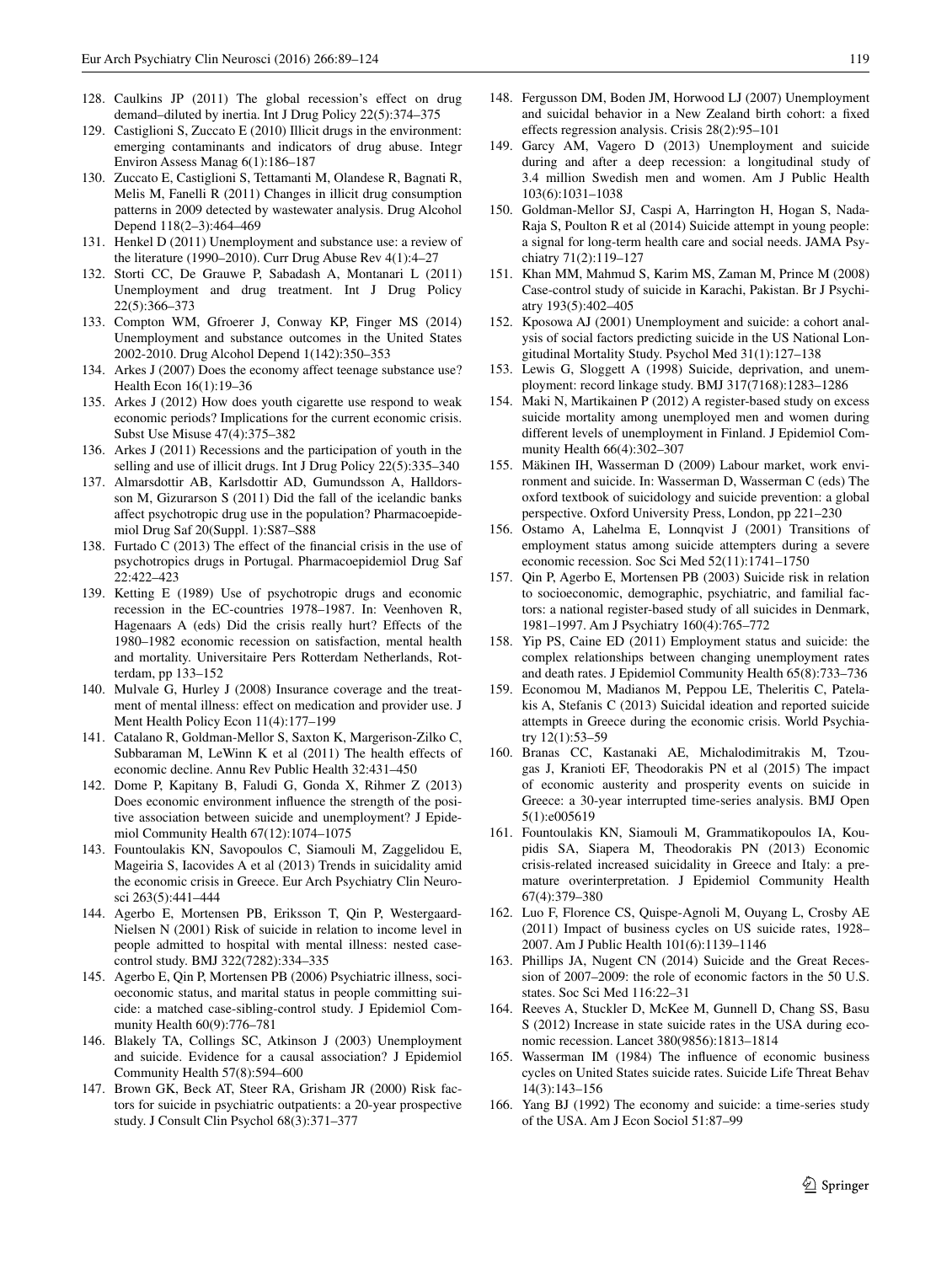- <span id="page-30-7"></span>128. Caulkins JP (2011) The global recession's effect on drug demand–diluted by inertia. Int J Drug Policy 22(5):374–375
- <span id="page-30-8"></span>129. Castiglioni S, Zuccato E (2010) Illicit drugs in the environment: emerging contaminants and indicators of drug abuse. Integr Environ Assess Manag 6(1):186–187
- <span id="page-30-0"></span>130. Zuccato E, Castiglioni S, Tettamanti M, Olandese R, Bagnati R, Melis M, Fanelli R (2011) Changes in illicit drug consumption patterns in 2009 detected by wastewater analysis. Drug Alcohol Depend 118(2–3):464–469
- <span id="page-30-9"></span>131. Henkel D (2011) Unemployment and substance use: a review of the literature (1990–2010). Curr Drug Abuse Rev 4(1):4–27
- <span id="page-30-10"></span>132. Storti CC, De Grauwe P, Sabadash A, Montanari L (2011) Unemployment and drug treatment. Int J Drug Policy 22(5):366–373
- <span id="page-30-11"></span>133. Compton WM, Gfroerer J, Conway KP, Finger MS (2014) Unemployment and substance outcomes in the United States 2002-2010. Drug Alcohol Depend 1(142):350–353
- <span id="page-30-12"></span>134. Arkes J (2007) Does the economy affect teenage substance use? Health Econ 16(1):19–36
- <span id="page-30-13"></span>135. Arkes J (2012) How does youth cigarette use respond to weak economic periods? Implications for the current economic crisis. Subst Use Misuse 47(4):375–382
- <span id="page-30-14"></span>136. Arkes J (2011) Recessions and the participation of youth in the selling and use of illicit drugs. Int J Drug Policy 22(5):335–340
- <span id="page-30-1"></span>137. Almarsdottir AB, Karlsdottir AD, Gumundsson A, Halldorsson M, Gizurarson S (2011) Did the fall of the icelandic banks affect psychotropic drug use in the population? Pharmacoepidemiol Drug Saf 20(Suppl. 1):S87–S88
- <span id="page-30-2"></span>138. Furtado C (2013) The effect of the financial crisis in the use of psychotropics drugs in Portugal. Pharmacoepidemiol Drug Saf 22:422–423
- <span id="page-30-15"></span>139. Ketting E (1989) Use of psychotropic drugs and economic recession in the EC-countries 1978–1987. In: Veenhoven R, Hagenaars A (eds) Did the crisis really hurt? Effects of the 1980–1982 economic recession on satisfaction, mental health and mortality. Universitaire Pers Rotterdam Netherlands, Rotterdam, pp 133–152
- <span id="page-30-16"></span>140. Mulvale G, Hurley J (2008) Insurance coverage and the treatment of mental illness: effect on medication and provider use. J Ment Health Policy Econ 11(4):177–199
- <span id="page-30-17"></span>141. Catalano R, Goldman-Mellor S, Saxton K, Margerison-Zilko C, Subbaraman M, LeWinn K et al (2011) The health effects of economic decline. Annu Rev Public Health 32:431–450
- <span id="page-30-18"></span>142. Dome P, Kapitany B, Faludi G, Gonda X, Rihmer Z (2013) Does economic environment influence the strength of the positive association between suicide and unemployment? J Epidemiol Community Health 67(12):1074–1075
- <span id="page-30-19"></span>143. Fountoulakis KN, Savopoulos C, Siamouli M, Zaggelidou E, Mageiria S, Iacovides A et al (2013) Trends in suicidality amid the economic crisis in Greece. Eur Arch Psychiatry Clin Neurosci 263(5):441–444
- <span id="page-30-20"></span>144. Agerbo E, Mortensen PB, Eriksson T, Qin P, Westergaard-Nielsen N (2001) Risk of suicide in relation to income level in people admitted to hospital with mental illness: nested casecontrol study. BMJ 322(7282):334–335
- 145. Agerbo E, Qin P, Mortensen PB (2006) Psychiatric illness, socioeconomic status, and marital status in people committing suicide: a matched case-sibling-control study. J Epidemiol Community Health 60(9):776–781
- 146. Blakely TA, Collings SC, Atkinson J (2003) Unemployment and suicide. Evidence for a causal association? J Epidemiol Community Health 57(8):594–600
- 147. Brown GK, Beck AT, Steer RA, Grisham JR (2000) Risk factors for suicide in psychiatric outpatients: a 20-year prospective study. J Consult Clin Psychol 68(3):371–377
- 148. Fergusson DM, Boden JM, Horwood LJ (2007) Unemployment and suicidal behavior in a New Zealand birth cohort: a fixed effects regression analysis. Crisis 28(2):95–101
- <span id="page-30-5"></span>149. Garcy AM, Vagero D (2013) Unemployment and suicide during and after a deep recession: a longitudinal study of 3.4 million Swedish men and women. Am J Public Health 103(6):1031–1038
- 150. Goldman-Mellor SJ, Caspi A, Harrington H, Hogan S, Nada-Raja S, Poulton R et al (2014) Suicide attempt in young people: a signal for long-term health care and social needs. JAMA Psychiatry 71(2):119–127
- 151. Khan MM, Mahmud S, Karim MS, Zaman M, Prince M (2008) Case-control study of suicide in Karachi, Pakistan. Br J Psychiatry 193(5):402–405
- 152. Kposowa AJ (2001) Unemployment and suicide: a cohort analysis of social factors predicting suicide in the US National Longitudinal Mortality Study. Psychol Med 31(1):127–138
- 153. Lewis G, Sloggett A (1998) Suicide, deprivation, and unemployment: record linkage study. BMJ 317(7168):1283–1286
- <span id="page-30-3"></span>154. Maki N, Martikainen P (2012) A register-based study on excess suicide mortality among unemployed men and women during different levels of unemployment in Finland. J Epidemiol Community Health 66(4):302–307
- 155. Mäkinen IH, Wasserman D (2009) Labour market, work environment and suicide. In: Wasserman D, Wasserman C (eds) The oxford textbook of suicidology and suicide prevention: a global perspective. Oxford University Press, London, pp 221–230
- 156. Ostamo A, Lahelma E, Lonnqvist J (2001) Transitions of employment status among suicide attempters during a severe economic recession. Soc Sci Med 52(11):1741–1750
- <span id="page-30-21"></span>157. Qin P, Agerbo E, Mortensen PB (2003) Suicide risk in relation to socioeconomic, demographic, psychiatric, and familial factors: a national register-based study of all suicides in Denmark, 1981–1997. Am J Psychiatry 160(4):765–772
- <span id="page-30-22"></span>158. Yip PS, Caine ED (2011) Employment status and suicide: the complex relationships between changing unemployment rates and death rates. J Epidemiol Community Health 65(8):733–736
- <span id="page-30-4"></span>159. Economou M, Madianos M, Peppou LE, Theleritis C, Patelakis A, Stefanis C (2013) Suicidal ideation and reported suicide attempts in Greece during the economic crisis. World Psychiatry 12(1):53–59
- <span id="page-30-6"></span>160. Branas CC, Kastanaki AE, Michalodimitrakis M, Tzougas J, Kranioti EF, Theodorakis PN et al (2015) The impact of economic austerity and prosperity events on suicide in Greece: a 30-year interrupted time-series analysis. BMJ Open 5(1):e005619
- <span id="page-30-23"></span>161. Fountoulakis KN, Siamouli M, Grammatikopoulos IA, Koupidis SA, Siapera M, Theodorakis PN (2013) Economic crisis-related increased suicidality in Greece and Italy: a premature overinterpretation. J Epidemiol Community Health 67(4):379–380
- <span id="page-30-24"></span>162. Luo F, Florence CS, Quispe-Agnoli M, Ouyang L, Crosby AE (2011) Impact of business cycles on US suicide rates, 1928– 2007. Am J Public Health 101(6):1139–1146
- 163. Phillips JA, Nugent CN (2014) Suicide and the Great Recession of 2007–2009: the role of economic factors in the 50 U.S. states. Soc Sci Med 116:22–31
- 164. Reeves A, Stuckler D, McKee M, Gunnell D, Chang SS, Basu S (2012) Increase in state suicide rates in the USA during economic recession. Lancet 380(9856):1813–1814
- 165. Wasserman IM (1984) The influence of economic business cycles on United States suicide rates. Suicide Life Threat Behav 14(3):143–156
- <span id="page-30-25"></span>166. Yang BJ (1992) The economy and suicide: a time-series study of the USA. Am J Econ Sociol 51:87–99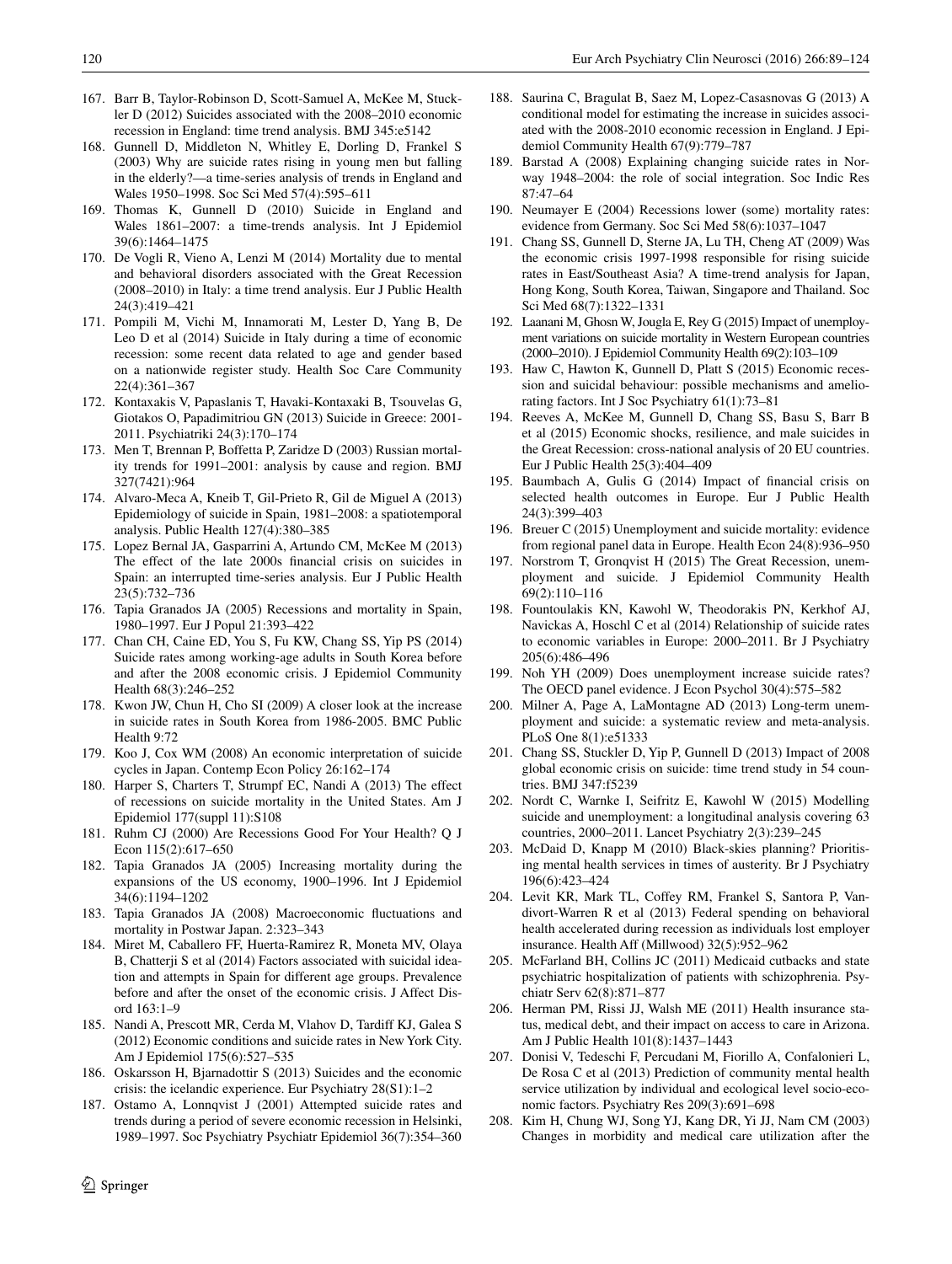- <span id="page-31-2"></span>167. Barr B, Taylor-Robinson D, Scott-Samuel A, McKee M, Stuckler D (2012) Suicides associated with the 2008–2010 economic recession in England: time trend analysis. BMJ 345:e5142
- 168. Gunnell D, Middleton N, Whitley E, Dorling D, Frankel S (2003) Why are suicide rates rising in young men but falling in the elderly?—a time-series analysis of trends in England and Wales 1950–1998. Soc Sci Med 57(4):595–611
- <span id="page-31-1"></span>169. Thomas K, Gunnell D (2010) Suicide in England and Wales 1861–2007: a time-trends analysis. Int J Epidemiol 39(6):1464–1475
- <span id="page-31-12"></span>170. De Vogli R, Vieno A, Lenzi M (2014) Mortality due to mental and behavioral disorders associated with the Great Recession (2008–2010) in Italy: a time trend analysis. Eur J Public Health 24(3):419–421
- <span id="page-31-11"></span>171. Pompili M, Vichi M, Innamorati M, Lester D, Yang B, De Leo D et al (2014) Suicide in Italy during a time of economic recession: some recent data related to age and gender based on a nationwide register study. Health Soc Care Community 22(4):361–367
- <span id="page-31-4"></span>172. Kontaxakis V, Papaslanis T, Havaki-Kontaxaki B, Tsouvelas G, Giotakos O, Papadimitriou GN (2013) Suicide in Greece: 2001- 2011. Psychiatriki 24(3):170–174
- <span id="page-31-16"></span>173. Men T, Brennan P, Boffetta P, Zaridze D (2003) Russian mortality trends for 1991–2001: analysis by cause and region. BMJ 327(7421):964
- <span id="page-31-3"></span>174. Alvaro-Meca A, Kneib T, Gil-Prieto R, Gil de Miguel A (2013) Epidemiology of suicide in Spain, 1981–2008: a spatiotemporal analysis. Public Health 127(4):380–385
- 175. Lopez Bernal JA, Gasparrini A, Artundo CM, McKee M (2013) The effect of the late 2000s financial crisis on suicides in Spain: an interrupted time-series analysis. Eur J Public Health 23(5):732–736
- <span id="page-31-17"></span>176. Tapia Granados JA (2005) Recessions and mortality in Spain, 1980–1997. Eur J Popul 21:393–422
- <span id="page-31-18"></span>177. Chan CH, Caine ED, You S, Fu KW, Chang SS, Yip PS (2014) Suicide rates among working-age adults in South Korea before and after the 2008 economic crisis. J Epidemiol Community Health 68(3):246–252
- <span id="page-31-19"></span>178. Kwon JW, Chun H, Cho SI (2009) A closer look at the increase in suicide rates in South Korea from 1986-2005. BMC Public Health 9:72
- <span id="page-31-20"></span>179. Koo J, Cox WM (2008) An economic interpretation of suicide cycles in Japan. Contemp Econ Policy 26:162–174
- <span id="page-31-21"></span>180. Harper S, Charters T, Strumpf EC, Nandi A (2013) The effect of recessions on suicide mortality in the United States. Am J Epidemiol 177(suppl 11):S108
- 181. Ruhm CJ (2000) Are Recessions Good For Your Health? Q J Econ 115(2):617–650
- 182. Tapia Granados JA (2005) Increasing mortality during the expansions of the US economy, 1900–1996. Int J Epidemiol 34(6):1194–1202
- <span id="page-31-22"></span>183. Tapia Granados JA (2008) Macroeconomic fluctuations and mortality in Postwar Japan. 2:323–343
- <span id="page-31-10"></span>184. Miret M, Caballero FF, Huerta-Ramirez R, Moneta MV, Olaya B, Chatterji S et al (2014) Factors associated with suicidal ideation and attempts in Spain for different age groups. Prevalence before and after the onset of the economic crisis. J Affect Disord 163:1–9
- 185. Nandi A, Prescott MR, Cerda M, Vlahov D, Tardiff KJ, Galea S (2012) Economic conditions and suicide rates in New York City. Am J Epidemiol 175(6):527–535
- <span id="page-31-5"></span>186. Oskarsson H, Bjarnadottir S (2013) Suicides and the economic crisis: the icelandic experience. Eur Psychiatry 28(S1):1–2
- 187. Ostamo A, Lonnqvist J (2001) Attempted suicide rates and trends during a period of severe economic recession in Helsinki, 1989–1997. Soc Psychiatry Psychiatr Epidemiol 36(7):354–360
- <span id="page-31-6"></span>188. Saurina C, Bragulat B, Saez M, Lopez-Casasnovas G (2013) A conditional model for estimating the increase in suicides associated with the 2008-2010 economic recession in England. J Epidemiol Community Health 67(9):779–787
- <span id="page-31-23"></span>189. Barstad A (2008) Explaining changing suicide rates in Norway 1948–2004: the role of social integration. Soc Indic Res 87:47–64
- <span id="page-31-24"></span>190. Neumayer E (2004) Recessions lower (some) mortality rates: evidence from Germany. Soc Sci Med 58(6):1037–1047
- <span id="page-31-25"></span>191. Chang SS, Gunnell D, Sterne JA, Lu TH, Cheng AT (2009) Was the economic crisis 1997-1998 responsible for rising suicide rates in East/Southeast Asia? A time-trend analysis for Japan, Hong Kong, South Korea, Taiwan, Singapore and Thailand. Soc Sci Med 68(7):1322–1331
- <span id="page-31-9"></span>192. Laanani M, Ghosn W, Jougla E, Rey G (2015) Impact of unemployment variations on suicide mortality in Western European countries (2000–2010). J Epidemiol Community Health 69(2):103–109
- <span id="page-31-26"></span>193. Haw C, Hawton K, Gunnell D, Platt S (2015) Economic recession and suicidal behaviour: possible mechanisms and ameliorating factors. Int J Soc Psychiatry 61(1):73–81
- <span id="page-31-15"></span>194. Reeves A, McKee M, Gunnell D, Chang SS, Basu S, Barr B et al (2015) Economic shocks, resilience, and male suicides in the Great Recession: cross-national analysis of 20 EU countries. Eur J Public Health 25(3):404–409
- <span id="page-31-7"></span>195. Baumbach A, Gulis G (2014) Impact of financial crisis on selected health outcomes in Europe. Eur J Public Health 24(3):399–403
- <span id="page-31-13"></span>196. Breuer C (2015) Unemployment and suicide mortality: evidence from regional panel data in Europe. Health Econ 24(8):936–950
- <span id="page-31-14"></span>197. Norstrom T, Gronqvist H (2015) The Great Recession, unemployment and suicide. J Epidemiol Community Health 69(2):110–116
- <span id="page-31-8"></span>198. Fountoulakis KN, Kawohl W, Theodorakis PN, Kerkhof AJ, Navickas A, Hoschl C et al (2014) Relationship of suicide rates to economic variables in Europe: 2000–2011. Br J Psychiatry 205(6):486–496
- <span id="page-31-27"></span>199. Noh YH (2009) Does unemployment increase suicide rates? The OECD panel evidence. J Econ Psychol 30(4):575–582
- <span id="page-31-28"></span>200. Milner A, Page A, LaMontagne AD (2013) Long-term unemployment and suicide: a systematic review and meta-analysis. PLoS One 8(1):e51333
- <span id="page-31-29"></span>201. Chang SS, Stuckler D, Yip P, Gunnell D (2013) Impact of 2008 global economic crisis on suicide: time trend study in 54 countries. BMJ 347:f5239
- <span id="page-31-30"></span>202. Nordt C, Warnke I, Seifritz E, Kawohl W (2015) Modelling suicide and unemployment: a longitudinal analysis covering 63 countries, 2000–2011. Lancet Psychiatry 2(3):239–245
- <span id="page-31-31"></span>203. McDaid D, Knapp M (2010) Black-skies planning? Prioritising mental health services in times of austerity. Br J Psychiatry 196(6):423–424
- <span id="page-31-32"></span>204. Levit KR, Mark TL, Coffey RM, Frankel S, Santora P, Vandivort-Warren R et al (2013) Federal spending on behavioral health accelerated during recession as individuals lost employer insurance. Health Aff (Millwood) 32(5):952–962
- <span id="page-31-33"></span>205. McFarland BH, Collins JC (2011) Medicaid cutbacks and state psychiatric hospitalization of patients with schizophrenia. Psychiatr Serv 62(8):871–877
- <span id="page-31-34"></span>206. Herman PM, Rissi JJ, Walsh ME (2011) Health insurance status, medical debt, and their impact on access to care in Arizona. Am J Public Health 101(8):1437–1443
- <span id="page-31-0"></span>207. Donisi V, Tedeschi F, Percudani M, Fiorillo A, Confalonieri L, De Rosa C et al (2013) Prediction of community mental health service utilization by individual and ecological level socio-economic factors. Psychiatry Res 209(3):691–698
- <span id="page-31-35"></span>208. Kim H, Chung WJ, Song YJ, Kang DR, Yi JJ, Nam CM (2003) Changes in morbidity and medical care utilization after the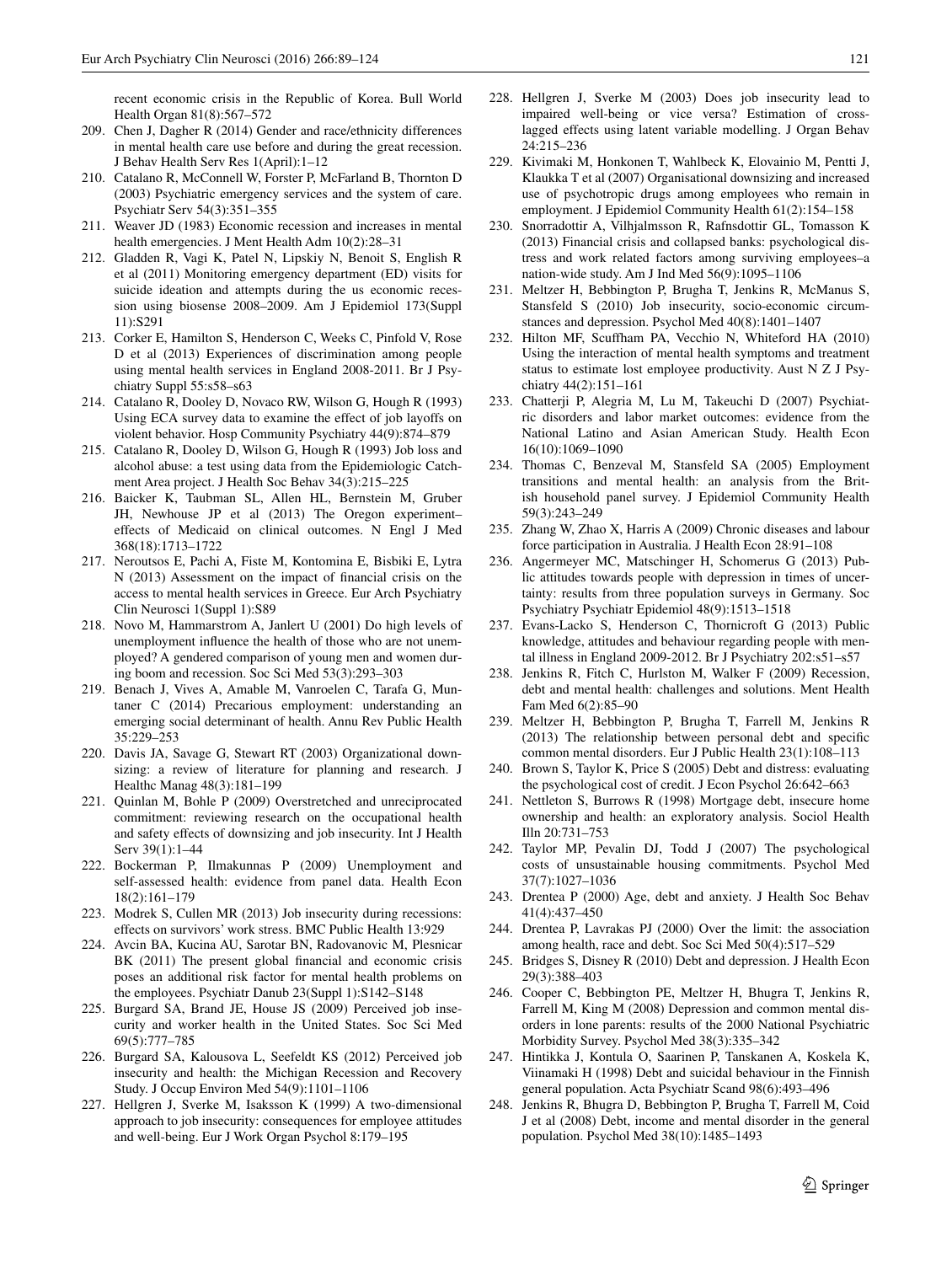recent economic crisis in the Republic of Korea. Bull World Health Organ 81(8):567–572

- <span id="page-32-10"></span>209. Chen J, Dagher R (2014) Gender and race/ethnicity differences in mental health care use before and during the great recession. J Behav Health Serv Res 1(April):1–12
- <span id="page-32-11"></span>210. Catalano R, McConnell W, Forster P, McFarland B, Thornton D (2003) Psychiatric emergency services and the system of care. Psychiatr Serv 54(3):351–355
- <span id="page-32-12"></span>211. Weaver JD (1983) Economic recession and increases in mental health emergencies. J Ment Health Adm 10(2):28–31
- <span id="page-32-13"></span>212. Gladden R, Vagi K, Patel N, Lipskiy N, Benoit S, English R et al (2011) Monitoring emergency department (ED) visits for suicide ideation and attempts during the us economic recession using biosense 2008–2009. Am J Epidemiol 173(Suppl 11):S291
- <span id="page-32-14"></span>213. Corker E, Hamilton S, Henderson C, Weeks C, Pinfold V, Rose D et al (2013) Experiences of discrimination among people using mental health services in England 2008-2011. Br J Psychiatry Suppl 55:s58–s63
- <span id="page-32-15"></span>214. Catalano R, Dooley D, Novaco RW, Wilson G, Hough R (1993) Using ECA survey data to examine the effect of job layoffs on violent behavior. Hosp Community Psychiatry 44(9):874–879
- <span id="page-32-16"></span>215. Catalano R, Dooley D, Wilson G, Hough R (1993) Job loss and alcohol abuse: a test using data from the Epidemiologic Catchment Area project. J Health Soc Behav 34(3):215–225
- <span id="page-32-17"></span>216. Baicker K, Taubman SL, Allen HL, Bernstein M, Gruber JH, Newhouse JP et al (2013) The Oregon experiment– effects of Medicaid on clinical outcomes. N Engl J Med 368(18):1713–1722
- <span id="page-32-18"></span>217. Neroutsos E, Pachi A, Fiste M, Kontomina E, Bisbiki E, Lytra N (2013) Assessment on the impact of financial crisis on the access to mental health services in Greece. Eur Arch Psychiatry Clin Neurosci 1(Suppl 1):S89
- <span id="page-32-19"></span>218. Novo M, Hammarstrom A, Janlert U (2001) Do high levels of unemployment influence the health of those who are not unemployed? A gendered comparison of young men and women during boom and recession. Soc Sci Med 53(3):293–303
- <span id="page-32-20"></span>219. Benach J, Vives A, Amable M, Vanroelen C, Tarafa G, Muntaner C (2014) Precarious employment: understanding an emerging social determinant of health. Annu Rev Public Health  $35:229 - 253$
- <span id="page-32-21"></span>220. Davis JA, Savage G, Stewart RT (2003) Organizational downsizing: a review of literature for planning and research. J Healthc Manag 48(3):181–199
- <span id="page-32-22"></span>221. Quinlan M, Bohle P (2009) Overstretched and unreciprocated commitment: reviewing research on the occupational health and safety effects of downsizing and job insecurity. Int J Health Serv 39(1):1–44
- <span id="page-32-3"></span>222. Bockerman P, Ilmakunnas P (2009) Unemployment and self-assessed health: evidence from panel data. Health Econ 18(2):161–179
- <span id="page-32-23"></span>223. Modrek S, Cullen MR (2013) Job insecurity during recessions: effects on survivors' work stress. BMC Public Health 13:929
- <span id="page-32-6"></span>224. Avcin BA, Kucina AU, Sarotar BN, Radovanovic M, Plesnicar BK (2011) The present global financial and economic crisis poses an additional risk factor for mental health problems on the employees. Psychiatr Danub 23(Suppl 1):S142–S148
- 225. Burgard SA, Brand JE, House JS (2009) Perceived job insecurity and worker health in the United States. Soc Sci Med 69(5):777–785
- 226. Burgard SA, Kalousova L, Seefeldt KS (2012) Perceived job insecurity and health: the Michigan Recession and Recovery Study. J Occup Environ Med 54(9):1101–1106
- 227. Hellgren J, Sverke M, Isaksson K (1999) A two-dimensional approach to job insecurity: consequences for employee attitudes and well-being. Eur J Work Organ Psychol 8:179–195
- 228. Hellgren J, Sverke M (2003) Does job insecurity lead to impaired well-being or vice versa? Estimation of crosslagged effects using latent variable modelling. J Organ Behav 24:215–236
- <span id="page-32-0"></span>229. Kivimaki M, Honkonen T, Wahlbeck K, Elovainio M, Pentti J, Klaukka T et al (2007) Organisational downsizing and increased use of psychotropic drugs among employees who remain in employment. J Epidemiol Community Health 61(2):154–158
- <span id="page-32-9"></span>230. Snorradottir A, Vilhjalmsson R, Rafnsdottir GL, Tomasson K (2013) Financial crisis and collapsed banks: psychological distress and work related factors among surviving employees–a nation-wide study. Am J Ind Med 56(9):1095–1106
- <span id="page-32-5"></span>231. Meltzer H, Bebbington P, Brugha T, Jenkins R, McManus S, Stansfeld S (2010) Job insecurity, socio-economic circumstances and depression. Psychol Med 40(8):1401–1407
- <span id="page-32-24"></span>232. Hilton MF, Scuffham PA, Vecchio N, Whiteford HA (2010) Using the interaction of mental health symptoms and treatment status to estimate lost employee productivity. Aust N Z J Psychiatry 44(2):151–161
- <span id="page-32-25"></span>233. Chatterji P, Alegria M, Lu M, Takeuchi D (2007) Psychiatric disorders and labor market outcomes: evidence from the National Latino and Asian American Study. Health Econ 16(10):1069–1090
- 234. Thomas C, Benzeval M, Stansfeld SA (2005) Employment transitions and mental health: an analysis from the British household panel survey. J Epidemiol Community Health 59(3):243–249
- <span id="page-32-26"></span>235. Zhang W, Zhao X, Harris A (2009) Chronic diseases and labour force participation in Australia. J Health Econ 28:91–108
- <span id="page-32-7"></span>236. Angermeyer MC, Matschinger H, Schomerus G (2013) Public attitudes towards people with depression in times of uncertainty: results from three population surveys in Germany. Soc Psychiatry Psychiatr Epidemiol 48(9):1513–1518
- <span id="page-32-27"></span>237. Evans-Lacko S, Henderson C, Thornicroft G (2013) Public knowledge, attitudes and behaviour regarding people with mental illness in England 2009-2012. Br J Psychiatry 202:s51–s57
- <span id="page-32-8"></span>238. Jenkins R, Fitch C, Hurlston M, Walker F (2009) Recession, debt and mental health: challenges and solutions. Ment Health Fam Med 6(2):85–90
- <span id="page-32-28"></span>239. Meltzer H, Bebbington P, Brugha T, Farrell M, Jenkins R (2013) The relationship between personal debt and specific common mental disorders. Eur J Public Health 23(1):108–113
- <span id="page-32-29"></span>240. Brown S, Taylor K, Price S (2005) Debt and distress: evaluating the psychological cost of credit. J Econ Psychol 26:642–663
- 241. Nettleton S, Burrows R (1998) Mortgage debt, insecure home ownership and health: an exploratory analysis. Sociol Health Illn 20:731–753
- <span id="page-32-1"></span>242. Taylor MP, Pevalin DJ, Todd J (2007) The psychological costs of unsustainable housing commitments. Psychol Med 37(7):1027–1036
- <span id="page-32-30"></span>243. Drentea P (2000) Age, debt and anxiety. J Health Soc Behav 41(4):437–450
- <span id="page-32-31"></span>244. Drentea P, Lavrakas PJ (2000) Over the limit: the association among health, race and debt. Soc Sci Med 50(4):517–529
- <span id="page-32-4"></span>245. Bridges S, Disney R (2010) Debt and depression. J Health Econ 29(3):388–403
- 246. Cooper C, Bebbington PE, Meltzer H, Bhugra T, Jenkins R, Farrell M, King M (2008) Depression and common mental disorders in lone parents: results of the 2000 National Psychiatric Morbidity Survey. Psychol Med 38(3):335–342
- <span id="page-32-32"></span>247. Hintikka J, Kontula O, Saarinen P, Tanskanen A, Koskela K, Viinamaki H (1998) Debt and suicidal behaviour in the Finnish general population. Acta Psychiatr Scand 98(6):493–496
- <span id="page-32-2"></span>248. Jenkins R, Bhugra D, Bebbington P, Brugha T, Farrell M, Coid J et al (2008) Debt, income and mental disorder in the general population. Psychol Med 38(10):1485–1493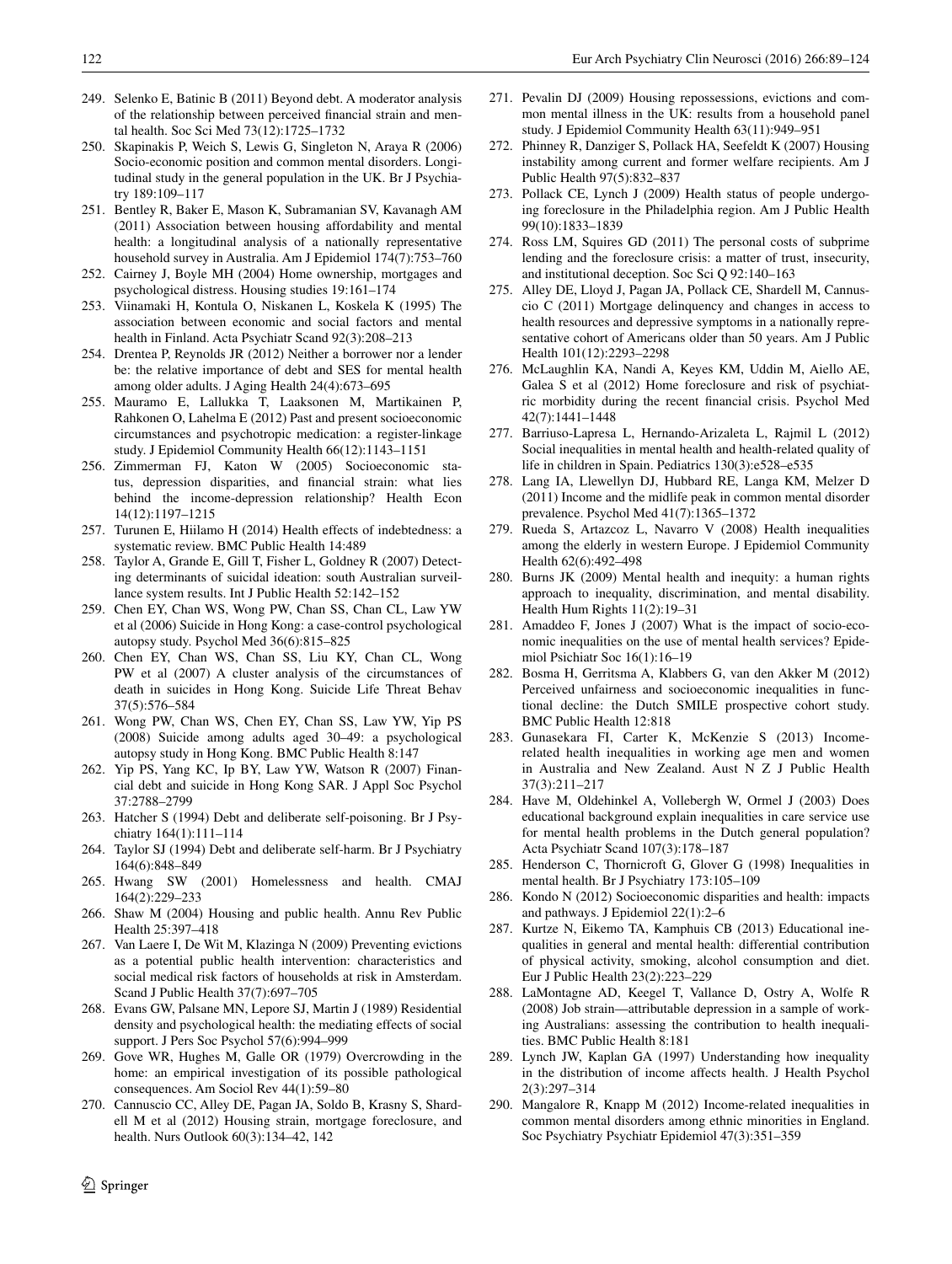- 249. Selenko E, Batinic B (2011) Beyond debt. A moderator analysis of the relationship between perceived financial strain and mental health. Soc Sci Med 73(12):1725–1732
- <span id="page-33-8"></span>250. Skapinakis P, Weich S, Lewis G, Singleton N, Araya R (2006) Socio-economic position and common mental disorders. Longitudinal study in the general population in the UK. Br J Psychiatry 189:109–117
- <span id="page-33-9"></span>251. Bentley R, Baker E, Mason K, Subramanian SV, Kavanagh AM (2011) Association between housing affordability and mental health: a longitudinal analysis of a nationally representative household survey in Australia. Am J Epidemiol 174(7):753–760
- <span id="page-33-10"></span>252. Cairney J, Boyle MH (2004) Home ownership, mortgages and psychological distress. Housing studies 19:161–174
- <span id="page-33-11"></span>253. Viinamaki H, Kontula O, Niskanen L, Koskela K (1995) The association between economic and social factors and mental health in Finland. Acta Psychiatr Scand 92(3):208–213
- <span id="page-33-12"></span>254. Drentea P, Reynolds JR (2012) Neither a borrower nor a lender be: the relative importance of debt and SES for mental health among older adults. J Aging Health 24(4):673–695
- <span id="page-33-6"></span>255. Mauramo E, Lallukka T, Laaksonen M, Martikainen P, Rahkonen O, Lahelma E (2012) Past and present socioeconomic circumstances and psychotropic medication: a register-linkage study. J Epidemiol Community Health 66(12):1143–1151
- <span id="page-33-13"></span>256. Zimmerman FJ, Katon W (2005) Socioeconomic status, depression disparities, and financial strain: what lies behind the income-depression relationship? Health Econ 14(12):1197–1215
- <span id="page-33-14"></span>257. Turunen E, Hiilamo H (2014) Health effects of indebtedness: a systematic review. BMC Public Health 14:489
- <span id="page-33-15"></span>258. Taylor A, Grande E, Gill T, Fisher L, Goldney R (2007) Detecting determinants of suicidal ideation: south Australian surveillance system results. Int J Public Health 52:142–152
- <span id="page-33-16"></span>259. Chen EY, Chan WS, Wong PW, Chan SS, Chan CL, Law YW et al (2006) Suicide in Hong Kong: a case-control psychological autopsy study. Psychol Med 36(6):815–825
- 260. Chen EY, Chan WS, Chan SS, Liu KY, Chan CL, Wong PW et al (2007) A cluster analysis of the circumstances of death in suicides in Hong Kong. Suicide Life Threat Behav 37(5):576–584
- 261. Wong PW, Chan WS, Chen EY, Chan SS, Law YW, Yip PS (2008) Suicide among adults aged 30–49: a psychological autopsy study in Hong Kong. BMC Public Health 8:147
- <span id="page-33-17"></span>262. Yip PS, Yang KC, Ip BY, Law YW, Watson R (2007) Financial debt and suicide in Hong Kong SAR. J Appl Soc Psychol 37:2788–2799
- <span id="page-33-18"></span>263. Hatcher S (1994) Debt and deliberate self-poisoning. Br J Psychiatry 164(1):111–114
- <span id="page-33-19"></span>264. Taylor SJ (1994) Debt and deliberate self-harm. Br J Psychiatry 164(6):848–849
- <span id="page-33-20"></span>265. Hwang SW (2001) Homelessness and health. CMAJ 164(2):229–233
- 266. Shaw M (2004) Housing and public health. Annu Rev Public Health 25:397–418
- <span id="page-33-2"></span>267. Van Laere I, De Wit M, Klazinga N (2009) Preventing evictions as a potential public health intervention: characteristics and social medical risk factors of households at risk in Amsterdam. Scand J Public Health 37(7):697–705
- <span id="page-33-21"></span>268. Evans GW, Palsane MN, Lepore SJ, Martin J (1989) Residential density and psychological health: the mediating effects of social support. J Pers Soc Psychol 57(6):994–999
- <span id="page-33-22"></span>269. Gove WR, Hughes M, Galle OR (1979) Overcrowding in the home: an empirical investigation of its possible pathological consequences. Am Sociol Rev 44(1):59–80
- <span id="page-33-23"></span>270. Cannuscio CC, Alley DE, Pagan JA, Soldo B, Krasny S, Shardell M et al (2012) Housing strain, mortgage foreclosure, and health. Nurs Outlook 60(3):134–42, 142
- <span id="page-33-1"></span>271. Pevalin DJ (2009) Housing repossessions, evictions and common mental illness in the UK: results from a household panel study. J Epidemiol Community Health 63(11):949–951
- 272. Phinney R, Danziger S, Pollack HA, Seefeldt K (2007) Housing instability among current and former welfare recipients. Am J Public Health 97(5):832–837
- 273. Pollack CE, Lynch J (2009) Health status of people undergoing foreclosure in the Philadelphia region. Am J Public Health 99(10):1833–1839
- <span id="page-33-24"></span>274. Ross LM, Squires GD (2011) The personal costs of subprime lending and the foreclosure crisis: a matter of trust, insecurity, and institutional deception. Soc Sci Q 92:140–163
- <span id="page-33-25"></span>275. Alley DE, Lloyd J, Pagan JA, Pollack CE, Shardell M, Cannuscio C (2011) Mortgage delinquency and changes in access to health resources and depressive symptoms in a nationally representative cohort of Americans older than 50 years. Am J Public Health 101(12):2293–2298
- <span id="page-33-26"></span>276. McLaughlin KA, Nandi A, Keyes KM, Uddin M, Aiello AE, Galea S et al (2012) Home foreclosure and risk of psychiatric morbidity during the recent financial crisis. Psychol Med 42(7):1441–1448
- <span id="page-33-4"></span>277. Barriuso-Lapresa L, Hernando-Arizaleta L, Rajmil L (2012) Social inequalities in mental health and health-related quality of life in children in Spain. Pediatrics 130(3):e528–e535
- <span id="page-33-3"></span>278. Lang IA, Llewellyn DJ, Hubbard RE, Langa KM, Melzer D (2011) Income and the midlife peak in common mental disorder prevalence. Psychol Med 41(7):1365–1372
- <span id="page-33-0"></span>279. Rueda S, Artazcoz L, Navarro V (2008) Health inequalities among the elderly in western Europe. J Epidemiol Community Health 62(6):492–498
- <span id="page-33-27"></span>280. Burns JK (2009) Mental health and inequity: a human rights approach to inequality, discrimination, and mental disability. Health Hum Rights 11(2):19–31
- <span id="page-33-28"></span>281. Amaddeo F, Jones J (2007) What is the impact of socio-economic inequalities on the use of mental health services? Epidemiol Psichiatr Soc 16(1):16–19
- 282. Bosma H, Gerritsma A, Klabbers G, van den Akker M (2012) Perceived unfairness and socioeconomic inequalities in functional decline: the Dutch SMILE prospective cohort study. BMC Public Health 12:818
- 283. Gunasekara FI, Carter K, McKenzie S (2013) Incomerelated health inequalities in working age men and women in Australia and New Zealand. Aust N Z J Public Health 37(3):211–217
- 284. Have M, Oldehinkel A, Vollebergh W, Ormel J (2003) Does educational background explain inequalities in care service use for mental health problems in the Dutch general population? Acta Psychiatr Scand 107(3):178–187
- 285. Henderson C, Thornicroft G, Glover G (1998) Inequalities in mental health. Br J Psychiatry 173:105–109
- 286. Kondo N (2012) Socioeconomic disparities and health: impacts and pathways. J Epidemiol 22(1):2–6
- <span id="page-33-7"></span>287. Kurtze N, Eikemo TA, Kamphuis CB (2013) Educational inequalities in general and mental health: differential contribution of physical activity, smoking, alcohol consumption and diet. Eur J Public Health 23(2):223–229
- 288. LaMontagne AD, Keegel T, Vallance D, Ostry A, Wolfe R (2008) Job strain—attributable depression in a sample of working Australians: assessing the contribution to health inequalities. BMC Public Health 8:181
- 289. Lynch JW, Kaplan GA (1997) Understanding how inequality in the distribution of income affects health. J Health Psychol 2(3):297–314
- <span id="page-33-5"></span>290. Mangalore R, Knapp M (2012) Income-related inequalities in common mental disorders among ethnic minorities in England. Soc Psychiatry Psychiatr Epidemiol 47(3):351–359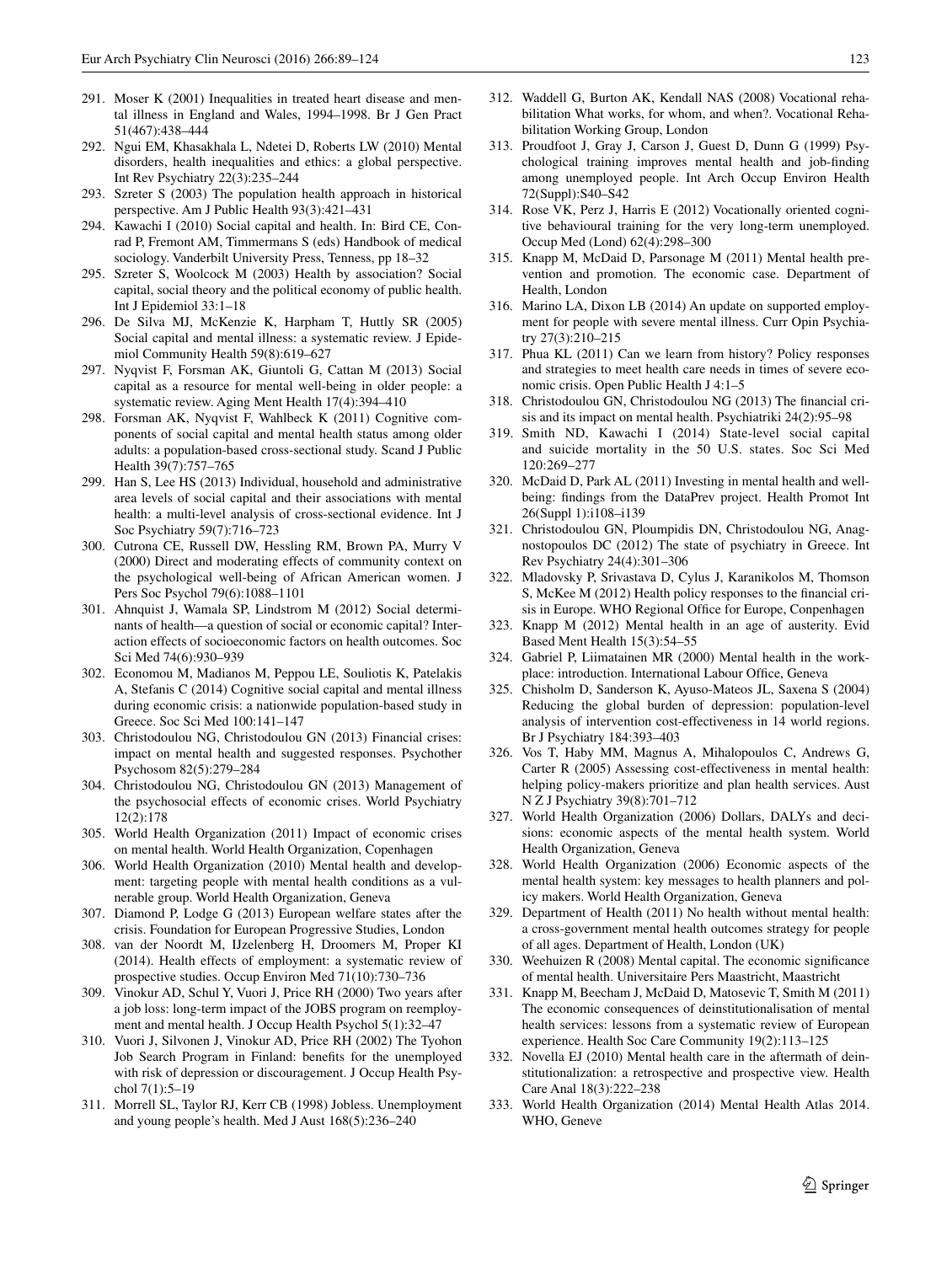- 291. Moser K (2001) Inequalities in treated heart disease and mental illness in England and Wales, 1994–1998. Br J Gen Pract 51(467):438–444
- 292. Ngui EM, Khasakhala L, Ndetei D, Roberts LW (2010) Mental disorders, health inequalities and ethics: a global perspective. Int Rev Psychiatry 22(3):235–244
- <span id="page-34-3"></span>293. Szreter S (2003) The population health approach in historical perspective. Am J Public Health 93(3):421–431
- <span id="page-34-4"></span>294. Kawachi I (2010) Social capital and health. In: Bird CE, Conrad P, Fremont AM, Timmermans S (eds) Handbook of medical sociology. Vanderbilt University Press, Tenness, pp 18–32
- <span id="page-34-5"></span>295. Szreter S, Woolcock M (2003) Health by association? Social capital, social theory and the political economy of public health. Int J Epidemiol 33:1–18
- <span id="page-34-6"></span>296. De Silva MJ, McKenzie K, Harpham T, Huttly SR (2005) Social capital and mental illness: a systematic review. J Epidemiol Community Health 59(8):619–627
- <span id="page-34-7"></span>297. Nyqvist F, Forsman AK, Giuntoli G, Cattan M (2013) Social capital as a resource for mental well-being in older people: a systematic review. Aging Ment Health 17(4):394–410
- <span id="page-34-0"></span>298. Forsman AK, Nyqvist F, Wahlbeck K (2011) Cognitive components of social capital and mental health status among older adults: a population-based cross-sectional study. Scand J Public Health 39(7):757–765
- <span id="page-34-8"></span>299. Han S, Lee HS (2013) Individual, household and administrative area levels of social capital and their associations with mental health: a multi-level analysis of cross-sectional evidence. Int J Soc Psychiatry 59(7):716–723
- <span id="page-34-9"></span>300. Cutrona CE, Russell DW, Hessling RM, Brown PA, Murry V (2000) Direct and moderating effects of community context on the psychological well-being of African American women. J Pers Soc Psychol 79(6):1088–1101
- <span id="page-34-1"></span>301. Ahnquist J, Wamala SP, Lindstrom M (2012) Social determinants of health—a question of social or economic capital? Interaction effects of socioeconomic factors on health outcomes. Soc Sci Med 74(6):930–939
- <span id="page-34-2"></span>302. Economou M, Madianos M, Peppou LE, Souliotis K, Patelakis A, Stefanis C (2014) Cognitive social capital and mental illness during economic crisis: a nationwide population-based study in Greece. Soc Sci Med 100:141–147
- <span id="page-34-10"></span>303. Christodoulou NG, Christodoulou GN (2013) Financial crises: impact on mental health and suggested responses. Psychother Psychosom 82(5):279–284
- <span id="page-34-11"></span>304. Christodoulou NG, Christodoulou GN (2013) Management of the psychosocial effects of economic crises. World Psychiatry 12(2):178
- <span id="page-34-12"></span>305. World Health Organization (2011) Impact of economic crises on mental health. World Health Organization, Copenhagen
- <span id="page-34-13"></span>306. World Health Organization (2010) Mental health and development: targeting people with mental health conditions as a vulnerable group. World Health Organization, Geneva
- <span id="page-34-14"></span>307. Diamond P, Lodge G (2013) European welfare states after the crisis. Foundation for European Progressive Studies, London
- <span id="page-34-15"></span>308. van der Noordt M, IJzelenberg H, Droomers M, Proper KI (2014). Health effects of employment: a systematic review of prospective studies. Occup Environ Med 71(10):730–736
- <span id="page-34-16"></span>309. Vinokur AD, Schul Y, Vuori J, Price RH (2000) Two years after a job loss: long-term impact of the JOBS program on reemployment and mental health. J Occup Health Psychol 5(1):32–47
- <span id="page-34-17"></span>310. Vuori J, Silvonen J, Vinokur AD, Price RH (2002) The Tyohon Job Search Program in Finland: benefits for the unemployed with risk of depression or discouragement. J Occup Health Psychol 7(1):5–19
- <span id="page-34-18"></span>311. Morrell SL, Taylor RJ, Kerr CB (1998) Jobless. Unemployment and young people's health. Med J Aust 168(5):236–240
- <span id="page-34-19"></span>312. Waddell G, Burton AK, Kendall NAS (2008) Vocational rehabilitation What works, for whom, and when?. Vocational Rehabilitation Working Group, London
- <span id="page-34-20"></span>313. Proudfoot J, Gray J, Carson J, Guest D, Dunn G (1999) Psychological training improves mental health and job-finding among unemployed people. Int Arch Occup Environ Health 72(Suppl):S40–S42
- <span id="page-34-21"></span>314. Rose VK, Perz J, Harris E (2012) Vocationally oriented cognitive behavioural training for the very long-term unemployed. Occup Med (Lond) 62(4):298–300
- <span id="page-34-22"></span>315. Knapp M, McDaid D, Parsonage M (2011) Mental health prevention and promotion. The economic case. Department of Health, London
- <span id="page-34-23"></span>316. Marino LA, Dixon LB (2014) An update on supported employment for people with severe mental illness. Curr Opin Psychiatry 27(3):210–215
- <span id="page-34-24"></span>317. Phua KL (2011) Can we learn from history? Policy responses and strategies to meet health care needs in times of severe economic crisis. Open Public Health J 4:1–5
- <span id="page-34-25"></span>318. Christodoulou GN, Christodoulou NG (2013) The financial crisis and its impact on mental health. Psychiatriki 24(2):95–98
- <span id="page-34-26"></span>319. Smith ND, Kawachi I (2014) State-level social capital and suicide mortality in the 50 U.S. states. Soc Sci Med 120:269–277
- <span id="page-34-27"></span>320. McDaid D, Park AL (2011) Investing in mental health and wellbeing: findings from the DataPrev project. Health Promot Int 26(Suppl 1):i108–i139
- <span id="page-34-28"></span>321. Christodoulou GN, Ploumpidis DN, Christodoulou NG, Anagnostopoulos DC (2012) The state of psychiatry in Greece. Int Rev Psychiatry 24(4):301–306
- <span id="page-34-29"></span>322. Mladovsky P, Srivastava D, Cylus J, Karanikolos M, Thomson S, McKee M (2012) Health policy responses to the financial crisis in Europe. WHO Regional Office for Europe, Conpenhagen
- <span id="page-34-30"></span>323. Knapp M (2012) Mental health in an age of austerity. Evid Based Ment Health 15(3):54–55
- <span id="page-34-31"></span>324. Gabriel P, Liimatainen MR (2000) Mental health in the workplace: introduction. International Labour Office, Geneva
- <span id="page-34-32"></span>325. Chisholm D, Sanderson K, Ayuso-Mateos JL, Saxena S (2004) Reducing the global burden of depression: population-level analysis of intervention cost-effectiveness in 14 world regions. Br J Psychiatry 184:393–403
- 326. Vos T, Haby MM, Magnus A, Mihalopoulos C, Andrews G, Carter R (2005) Assessing cost-effectiveness in mental health: helping policy-makers prioritize and plan health services. Aust N Z J Psychiatry 39(8):701–712
- 327. World Health Organization (2006) Dollars, DALYs and decisions: economic aspects of the mental health system. World Health Organization, Geneva
- <span id="page-34-33"></span>328. World Health Organization (2006) Economic aspects of the mental health system: key messages to health planners and policy makers. World Health Organization, Geneva
- <span id="page-34-34"></span>329. Department of Health (2011) No health without mental health: a cross-government mental health outcomes strategy for people of all ages. Department of Health, London (UK)
- <span id="page-34-35"></span>330. Weehuizen R (2008) Mental capital. The economic significance of mental health. Universitaire Pers Maastricht, Maastricht
- <span id="page-34-36"></span>331. Knapp M, Beecham J, McDaid D, Matosevic T, Smith M (2011) The economic consequences of deinstitutionalisation of mental health services: lessons from a systematic review of European experience. Health Soc Care Community 19(2):113–125
- <span id="page-34-37"></span>332. Novella EJ (2010) Mental health care in the aftermath of deinstitutionalization: a retrospective and prospective view. Health Care Anal 18(3):222–238
- <span id="page-34-38"></span>333. World Health Organization (2014) Mental Health Atlas 2014. WHO, Geneve